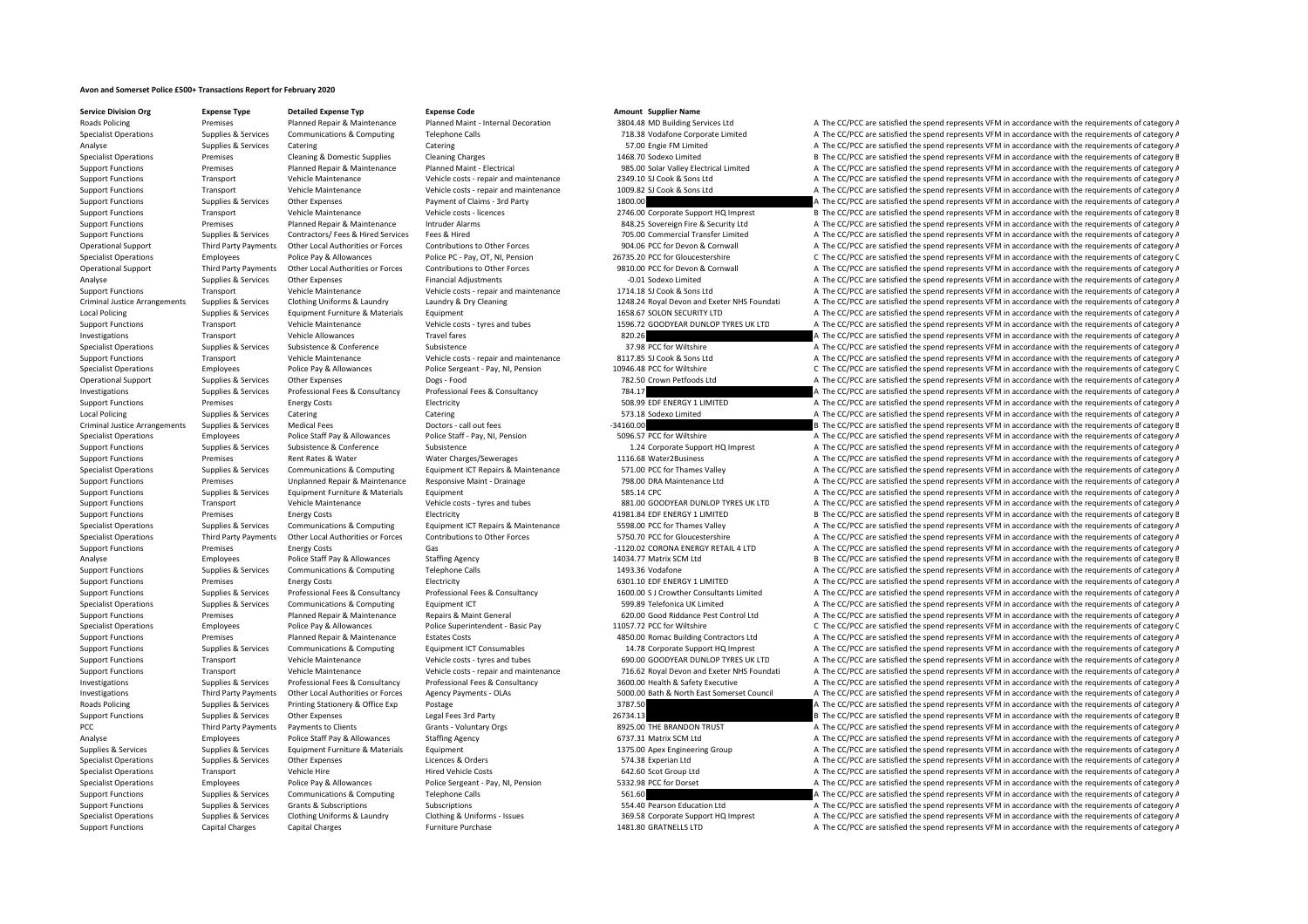## **Avon and Somerset Police £500+ Transactions Report for February 2020**

**Service Division Org Expense Type Detailed Expense Typ Expense Code Amount Supplier Name**

## Specialist Operations Supplies & Services Communications & Computing Telephone Calls 718.38 Vodafone Corporate Limited A The CC/PCC are satisfied the spend represents VFM in accordance with the requirements of category A Analyse Supplies & Services Catering Catering Catering Catering Catering Catering Catering Catering Catering Catering Catering Catering Catering ST.00 Engile FM Limited A The CC/PCC are satisfied the spend represents VFM i Specialist Operations Premises Cleaning & Domestic Supplies Cleaning Charges Cleaning Charges Cleaning Charges 1468.70 Sodexo Limited B The CC/PCC are satisfied the spend represents VFM in accordance with the requirements Support Functions Premises Planned Repair & Maintenance Planned Maint - Electrical 985.00 Solar Valley Electrical Limited A The CC/PCC are satisfied the spend represents VFM in accordance with the requirements of category Support Functions Transport Vehicle Maintenance Vehicle costs ‐ repair and maintenance 2349.10 SJ Cook & Sons Ltd A The CC/PCC are satisfied the spend represents VFM in accordance with the requirements of category A Support Functions Transport Vehicle Maintenance Vehicle costs - repair and maintenance 1009.82 SJ Cook & Sons Ltd A The CC/PCC are satisfied the spend represents VFM in accordance with the requirements of category A Support Functions Supplies & Services Other Expenses Payment of Claims – 3rd Party 1800.00 A The CC/PCC are satisfied the spend represents VFM in accordance with the requirements of category A The Compositions of category Support Functions Transport Vehicle Maintenance Vehicle costs - licences 2746.00 Corporate Support HQ Imprest B The CC/PCC are satisfied the spend represents VFM in accordance with the requirements of category B Support Functions Premises Planned Repair & Maintenance Intruder Alarms and a security converign Fire & Security Ltd A The CC/PCC are satisfied the spend represents VFM in accordance with the requirements of category A The Support Functions Supplies & Services Contractors/ Fees & Hired Services Fees & Hired 705.00 Commercial Transfer Limited A The CC/PCC are satisfied the spend represents VFM in accordance with the requirements of category A Operational Support Third Party Payments Other Local Authorities or Forces Contributions to Other Forces Content Dube Forces 904.06 PCC for Devon & Cornwall A The CC/PCC are satisfied the spend represents VFM in accordance Specialist Operations Employees Police Pay & Allowances Police PC · Pay, OT, NI, Pension 26735.20 PCC for Gloucestershire C The CC/PCC are satisfied the spend represents VFM in accordance with the requirements of category A The CC/PCC are satisfied the spend represents VFM in accordance with the requirements of category A Analyse Supplies & Services Other Expenses Financial Adjustments Financial Adjustments **A The CC/PCC are satisfied the spend represents VFM** in accordance with the requirements of category A Support Functions Transport Vehicle Maintenance Vehicle costs - repair and maintenance 1714.18 SJ Cook & Sons Ltd A The CC/PCC are satisfied the spend represents VFM in accordance with the requirements of category A Criminal Justice Arrangements Supplies & Services Clothing Uniforms & Laundry Laundry A Dry Cleaning Materian Supplies & Services Clothing Uniforms & Laundry Mustava Dry Cleaning Materation 2024-24 Royal Devon and Exeter N Local Policing Supplies & Services Equipment Furniture & Materials Equipment Equipment Equipment and the equipment<br>Supplies Supplies Services Supplies and Material Supplies of the contents of category A The CC/PCC are sati Support Functions Transport Vehicle Maintenance Vehicle costs – tyres and tubes 1596.72 GOODYEAR DUNLOP TYRES UK LTD A The CC/PCC are satisfied the spend represents VFM in accordance with the requirements of category A Investigations Transport Vehicle Allowances Travel fares Travel fares 820.26 A The CC/PCC are satisfied the spend represents VFM in accordance with the requirements of category A Specialist Operations Supplies & Services Subsistence Subsistence Subsistence Subsistence Subsistence Subsistence Subsistence Subsistence Subsistence Subsistence Subsistence Subsistence Subsistence Subsistence Subsistence Support Functions Transport Vehicle Maintenance Vehicle costs - repair and maintenance 8117.85 SJ Cook & Sons Ltd A The CC/PCC are satisfied the spend represents VFM in accordance with the requirements of category A Specialist Operations Employees Police Pay & Allowances Police Sergeant - Pay, NI, Pension 10946.48 PCC for Wiltshire C The CC/PCC are satisfied the spend represents VFM in accordance with the requirements of category C De Operational Support Supplies & Services Other Expenses Dogs – Food 79.50 Crown Petfoods Ltd A The CC/PCC are satisfied the spend represents VFM in accordance with the requirements of category A The CC/PCC are satisfied the Investigations Supplies & Services Professional Fees & Consultancy Professional Fees & Consultancy Professional Fees & Consultancy Professional Fees & Consultancy Professional Fees & Consultancy Professional Fees & Consult Support Functions Premises Energy Costs Electricity Electricity SOB.99 EDF ENERGY 1 LIMITED A The CC/PCC are satisfied the spend represents VFM in accordance with the requirements of category A Local Policing Supplies & Services Catering Catering 573.18 Sodexo Limited A The CC/PCC are satisfied the spend represents VFM in accordance with the requirements of category A Criminal Justice Arrangements Supplies & Services Medical Fees Doctors • call out fees Doctors • call out fees<br>
Soften Service Service Service Arrangements of category and the spend represents VFM in accordance with the re Specialist Operations Employees Police Staff Pay & Allowances Police Staff - Pay, NI, Pension 5096.57 PCC for Wiltshire A The CC/PCC are satisfied the spend represents VFM in accordance with the requirements of category A Support Functions Supplies & Services Subsistence Subsistence Subsistence Subsistence Subsistence Subsistence Subsistence Subsistence Subsistence Subsistence Subsistence Subsistence Subsistence Subsistence Subsistence Subs Support Functions Premises Rent Rates & Water Water Charges/Sewerages 1116.68 Water2Business A The CC/PCC are satisfied the spend represents VFM in accordance with the requirements of category A Specialist Operations Supplies & Services Communications & Computing Foutunes Functions Foutunes Computing Foutunes Computing Foutunes Computing Foutunes (CAPIC are said of the CCAPIC are satisfied the spend represents VFM Support Functions Premises Unplanned Repair & Maintenance Responsive Maint · Drainage 798.00 DRA Maintenance Ltd A The CC/PCC are satisfied the spend represents VFM in accordance with the requirements of category A Support Functions Supplies & Services Faultoment Furniture & Materials Faultoment Satisfies and the Service and The CC/PCC are satisfied the spend represents VFM in accordance with the requirements of category A Support Functions Transport Vehicle Maintenance Vehicle costs ‐ tyres and tubes 881.00 GOODYEAR DUNLOP TYRES UK LTD A The CC/PCC are satisfied the spend represents VFM in accordance with the requirements of category A Support Functions Premises Premises Energy Costs Electricity Equipment LCT Repairs A LIMITED 41981.84 EDF ENERGY 1 LIMITED B The CC/PCC are satisfied the spend represents VFM in accordance with the requirements of category Specialist Operations Supplies & Services Communications & Computing Equipment ICT Repairs & Maintenance 5598.00 PCC for Thames Valley A The CC/PCC are satisfied the spend represents VFM in accordance with the requirements Specialist Operations Third Party Payments Other Local Authorities or Forces Contributions to Other Forces FOSO.70 PCC for Gloucestershire A The CC/PCC are satisfied the spend represents VFM in accordance with the requirem Support Functions Premises Energy Costs Gas Gas Cases and the C120.02 CORONA ENERGY RETAIL 4 LTD A The CC/PCC are satisfied the spend represents VFM in accordance with the requirements of category A Analyse Employees Police Staff Pay & Allowances Staffing Agency 14034.77 Matrix SCM Ltd B The CC/PCC are satisfied the spend represents VFM in accordance with the requirements of category E Support Functions Supplies & Services Communications & Computing Telephone Calls 1493.36 Vodafone A The CC/PCC are satisfied the spend represents VFM in accordance with the requirements of category A Support Functions Premises Energy Costs Electricity Electricity Energy Costs Electricity Electricity 6301.10 EDF ENERGY 1 LIMITED A The CC/PCC are satisfied the spend represents VFM in accordance with the requirements of c Supplies & Services Professional Fees & Consultancy Professional Fees & Consultancy Professional Fees & Consultancy Professional Fees & Consultancy Professional Fees & Consultancy Professional Fees & Consultancy Profession Specialist Operations Supplies & Services Communications & Computing Equipment ICT 599.89 Telefonica UK Limited A The CC/PCC are satisfied the spend represents VFM in accordance with the requirements of category A Support Functions Premises Planned Repair & Maintenance Repairs & Maint General 620.00 Good Riddance Pest Control Ltd A The CC/PCC are satisfied the spend represents VFM in accordance with the requirements of category A Th Specialist Operations Employees Police Pay & Allowances Police Superintendent - Basic Pay 11057.72 PCC for Wiltshire C The CC/PCC are satisfied the spend represents VFM in accordance with the requirements of category C Sup Estates Costs **Extates Costs A The EC/PCC are satisfied the spend represents VFM in accordance with the requirements of category A** The CC/PCC are satisfied the spend represents VFM in accordance with the requirements of c Support Functions Supplies & Services Communications & Computing Equipment ICT Consumables 14.78 Corporate Support HQ Imprest A The CC/PCC are satisfied the spend represents VFM in accordance with the requirements of categ Support Functions Transport Vehicle Maintenance Vehicle costs - tyres and tubes 690.00 GOODYEAR DUNLOP TYRES UK LTD A The CC/PCC are satisfied the spend represents VFM in accordance with the requirements of category A Support Functions Transport Transport Wehicle Maintenance Vehicle Costs - repair and maintenance 716.62 Royal Devon and Exeter NHS Foundati A The CC/PCC are satisfied the spend represents VFM in accordance with the require Investigations Supplies & Services Professional Fees & Consultancy Professional Fees & Consultancy Professional Fees & Consultancy Professional Fees & Consultancy Professional Fees & Consultancy Professional Fees & Consult Third Party Payments Other Local Authorities or Forces Agency Payments - OLAs 5000.00 Bath & North East Somerset Council A The CC/PCC are satisfied the spend represents VFM in accordance with the requirements of category A Roads Policing Supplies & Services Printing Stationery & Office Exp Postage Printing Stationery & Office Exp Postage Postage 3787.50 A The CC/PCC are satisfied the spend represents VFM in accordance with the requirements o Support Functions Supplies & Services Other Expenses Legal Fees 3rd Party 26734.13 26734.13 B The CC/PCC are satisfied the spend represents VFM in accordance with the requirements of category B PCC Third Party Payments **Payments to Clients** Grants - Voluntary Orgs 8925.00 THE BRANDON TRUST A The CC/PCC are satisfied the spend represents VFM in accordance with the requirements of category A Analyse Supplies Employees Police Staff Pay & Allowances Staffing Agency Staffing Agency and A The CC/PCC are satisfied the spend represents VFM in accordance with the requirements of category A The Computer of category A A The CC/PCC are satisfied the spend represents VFM in accordance with the requirements of category A Specialist Operations Supplies & Services Other Expenses Licences & Orders Licences & Orders 574.38 Experian Ltd A The CC/PCC are satisfied the spend represents VFM in accordance with the requirements of category A Specialist Operations Transport Vehicle Hire Vehicle Costs Hired Vehicle Costs Hired Vehicle Costs 642.60 Scot Group Ltd A The CC/PCC are satisfied the spend represents VFM in accordance with the requirements of category A A The CC/PCC are satisfied the spend represents VFM in accordance with the requirements of category A Support Functions Supplies & Services Communications & Computing Telephone Calls 561.60 561.60 A The CC/PCC are satisfied the spend represents VFM in accordance with the requirements of category A Support Functions Supplies & Services Grants & Subscriptions Subscriptions Subscriptions Subscriptions Subscriptions Subscriptions Subscriptions Subscriptions Subscriptions Subscriptions Subscriptions Subscriptions Subscri Specialist Operations Supplies & Services Clothing Uniforms & Laundry Clothing & Uniforms - Issues 369.58 Corporate Support HQ Imprest A The CC/PCC are satisfied the spend represents VFM in accordance with the requirements Support Functions Capital Charges Capital Charges Furniture Purchase Furniture Purchase 1481.80 GRATNELLS LTD A The CC/PCC are satisfied the spend represents VFM in accordance with the requirements of category A

A The CC/PCC are satisfied the spend represents VFM in accordance with the requirements of category A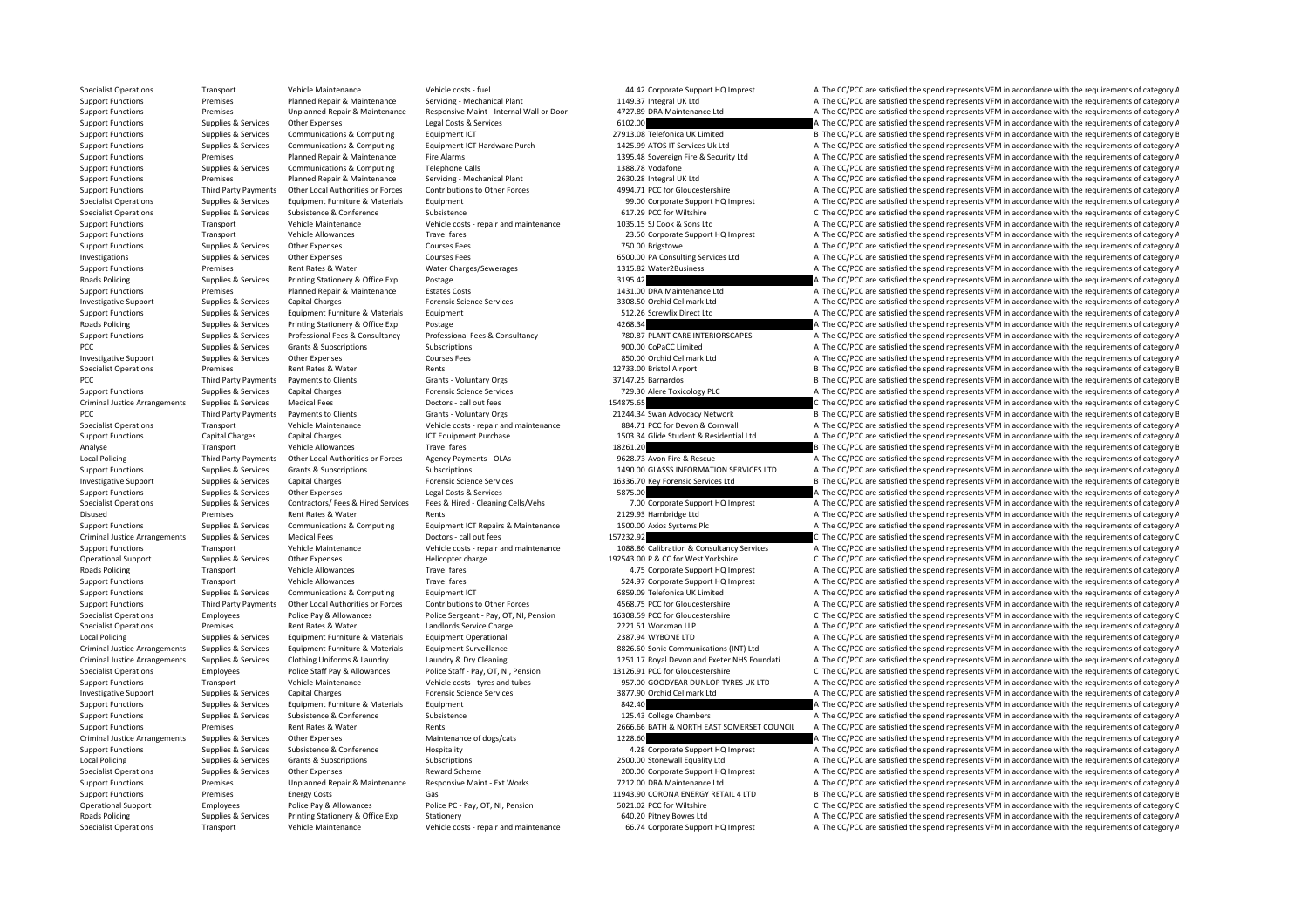Specialist Operations Transport Vehicle Maintenance Vehicle costs ‐ fuel 44.42 Corporate Support HO Imprest A The CC/PCC are satisfied the spend represents VFM in accordance with the requirements of category A Support Functions Premises Planned Repair & Maintenance Servicing - Mechanical Plant 1149.37 Integral UK Ltd A The CC/PCC are satisfied the spend represents VFM in accordance with the requirements of category A The Cordina Support Functions Premises Premises Unplanned Repair & Maintenance Responsive Maint - Internal Wall or Door at a version and the comparable to the CC/PCC are satisfied the spend represents VFM in accordance with the requir Support Functions Supplies a Supplies Concerning Constructions A The Constructions Concerning Constr<br>A The CC/PCC are satisfied the spend represents VFM in accordance with the requirements of category A Support Functions Supplies & Services Communications & Computing Equipment ICT 27913.08 Telefonica UK Limited B The CC/PCC are satisfied the spend represents VFM in accordance with the requirements of category B Supplies & Services Communications & Computing Equipment ICT Hardware Purch 1425.99 ATOS IT Services Uk Ltd A The CC/PCC are satisfied the spend represents VFM in accordance with the requirements of category A Support Functions Premises Planned Repair & Maintenance Fire Alarms 1395.48 Sovereign Fire & Security Ltd A The CC/PCC are satisfied the spend represents VFM in accordance with the requirements of category A Support Functions Supplies & Services Communications & Computing Telephone Calls 1388.78 Vodafone 1388.78 Vodafone A The CC/PCC are satisfied the spend represents VFM in accordance with the requirements of category A The C Support Functions Premises Planned Repair & Maintenance Servicing • Mechanical Plant 2630.28 Integral UK Ltd A The CC/PCC are satisfied the spend represents VFM in accordance with the requirements of category A Support Functions Third Party Payments Other Local Authorities or Forces Contributions to Other Forces A994.71 PCC for Gloucestershire A The CC/PCC are satisfied the spend represents VFM in accordance with the requirements Specialist Operations Supplies & Services Equipment Furniture & Materials Equipment expecialist Equipment 99.00 Corporate Support HQ Imprest A The CC/PCC are satisfied the spend represents VFM in accordance with the requir Specialist Operations Supplies & Services Subsistence Subsistence Subsistence Subsistence Subsistence Subsistence Subsistence Subsistence Subsistence Subsistence Subsistence Subsistence Subsistence Subsistence Subsistence Support Functions Transport Vehicle Maintenance Vehicle costs ‐ repair and maintenance 1035.15 SJ Cook & Sons Ltd A The CC/PCC are satisfied the spend represents VFM in accordance with the requirements of category A The CO Support Functions Transport Vehicle Allowances Travel fares 23.50 Corporate Support HQ Imprest A The CC/PCC are satisfied the spend represents VFM in accordance with the requirements of category A Support Functions Supplies & Services Other Expenses Courses Fees Courses Fees 750.00 Brigstowe A The CC/PCC are satisfied the spend represents VFM in accordance with the requirements of category A The CC/PCC are satisfied Investigations Supplies & Services Other Expenses Courses Fees Courses Fees and Courses Fees 6500.00 PA Consulting Services Ltd A The CC/PCC are satisfied the spend represents VFM in accordance with the requirements of cat A The CC/PCC are satisfied the spend represents VFM in accordance with the requirements of category A Roads Policing Supplies & Services Printing Stationery & Office Exp Postage 2013 2013-14 2 3195.42 A The CC/PCC are satisfied the spend represents VFM in accordance with the requirements of category A Support Functions Premises Planned Repair & Maintenance Estates Costs 1431.00 DRA Maintenance Ltd A The CC/PCC are satisfied the spend represents VFM in accordance with the requirements of category A Investigative Support Supplies & Services Capital Charges Forensic Science Services Forensic Science Services 3308.50 Orchid Cellmark Ltd A The CC/PCC are satisfied the spend represents VFM in accordance with the requireme Support Functions Supplies & Services Equipment Furniture & Materials Equipment Functions Equipment Support Equipment Equipment Equipment Supplies and the Services Equipment A The CONSTANT A The CC/PCC are satisfied the sp Roads Policing Supplies & Services Printing Stationery & Office Exp Postage 4268.34 A The CC/PCC are satisfied the spend represents VFM in accordance with the requirements of category A Supplies & Services Professional Fees & Consultancy Professional Fees & Consultancy Professional Fees & Consultancy Professional Fees & Consultancy Professional Fees & Consultancy Professional Fees & Consultancy Profession PCC The CC/PCC are satisfied the spend represents VFM in accordance with the requirements of category A The CC/PCC are satisfied the spend represents VFM in accordance with the requirements of category A Investigative Support Supplies & Services Other Expenses Courses Fees 850.00 Orchid Cellmark Ltd A The CC/PCC are satisfied the spend represents VFM in accordance with the requirements of category A Specialist Operations Premises Premises Rent Rates & Water Rents Rents Rents Rents Rents Rents Rents Rents Rent Rents Rents Rent Rents Rents Rent Rents Rent Rents Rent Rent Rent Rents Rent Rents Rents Rents Rent Rents Rent PCC Third Party Payments Payments Clients Grants Voluntary Orgs 37147.25 Barnardos B The CC/PCC are satisfied the spend represents VFM in accordance with the requirements of category B Support Functions Supplies & Services Capital Charges Forensic Science Services Forensic Science Services 729.30 Alere Toxicology PLC A The CC/PCC are satisfied the spend represents VFM in accordance with the requirements Criminal Justice Arrangements Supplies & Services Medical Fees Doctors - call out fees Doctors - call out fees 154875.65 C The CC/PCC are satisfied the spend represents VFM in accordance with the requirements of category C PCC Third Party Payments Payments to Clients Grants Voluntary Orgs 21244.34 Swan Advocacy Network B The CC/PCC are satisfied the spend represents VFM in accordance with the requirements of category P Specialist Operations Transport Vehicle Maintenance Vehicle costs ‐ repair and maintenance 384.71 PCC for Devon & Cornwall A The CC/PCC are satisfied the spend represents VFM in accordance with the requirements of category Support Functions Capital Charges Capital Charges ICT Equipment Purchase 1503.34 Glide Student & Residential Ltd A The CC/PCC are satisfied the spend represents VFM in accordance with the requirements of category A Analyse Transport Vehicle Allowances Travel fares 18261.20 18261.20 B The CC/PCC are satisfied the spend represents VFM in accordance with the requirements of category B Local Policing Third Party Payments Other Local Authorities or Forces Agency Payments - OLAs 9628.73 Avon Fire & Rescue A The CC/PCC are satisfied the spend represents VFM in accordance with the requirements of category A Support Functions Supplies & Services Grants & Subscriptions Subscriptions Subscriptions Subscriptions Subscriptions Subscriptions and the Services of the Services of the Spend represents VFM in accordance with the require Investigative Support Supplies & Services Capital Charges Forensic Science Services 16336.70 Key Forensic Services Ltd B The CC/PCC are satisfied the spend represents VFM in accordance with the requirements of category B Support Functions Supplies & Services Other Expenses Legal Costs & Services Services 5875.00 A The CC/PCC are satisfied the spend represents VFM in accordance with the requirements of category A Supplies & Services Contractors/ Fees & Hired Services Fees & Hired - Cleaning Cells/Vens 7.00 Corporate Support HQ Imprest A The CC/PCC are satisfied the spend represents VFM in accordance with the requirements of categor Disused Premises Premises Premises Rent Rates & Water Rents Rents Rents Rents Rents Rents Rents Rents Rents Rents 2129.93 Hambridge Ltd A The CC/PCC are satisfied the spend represents VFM in accordance with the requirement Supplies & Services Communications & Computing Equipment ICT Repairs & Maintenance 1500.00 Axios Systems Plc A The CC/PCC are satisfied the spend represents VFM in accordance with the requirements of category A Criminal Justice Arrangements Supplies & Services Medical Fees Doctors - call out fees 157232.92 C The CC/PCC are satisfied the spend represents VFM in accordance with the requirements of category C Support Functions Transport Vehicle Maintenance Vehicle Costs - repair and maintenance 1088.86 Calibration & Consultancy Services A The CC/PCC are satisfied the spend represents VFM in accordance with the requirements of c Operational Support Supplies & Services Other Expenses Helicopter charge Helicopter charge 192543.00 P & CC for West Yorkshire C The CC/PCC are satisfied the spend represents VFM in accordance with the requirements of cate Roads Policing Transport Vehicle Allowances Travel fares Travel fares and the CORPORT A The CC/PCC are satisfied the spend represents VFM in accordance with the requirements of category A Support Functions Transport Vehicle Allowances Travel fares Travel fares S24.97 Corporate Support HQ Imprest A The CC/PCC are satisfied the spend represents VFM in accordance with the requirements of category A Support Functions Supplies & Services Communications & Computing Equipment ICT 6859.09 Telefonica UK Limited A The CC/PCC are satisfied the spend represents VFM in accordance with the requirements of category A Support Functions Third Party Payments Other Local Authorities or Forces Contributions to Other Forces A568.75 PCC for Gloucestershire A The CC/PCC are satisfied the spend represents VFM in accordance with the requirements Specialist Operations Employees Police Pay & Allowances Police Cargeant - Pay, OT, NI, Pension 16308.59 PCC for Gloucestershire C The CC/PCC are satisfied the spend represents VFM in accordance with the requirements of cat Specialist Operations Premises Premises Anti-Rates & Water Landlords Service Charge 2221.51 Workman LLP A The CC/PCC are satisfied the spend represents VFM in accordance with the requirements of category A The Computer Cha Local Policing Supplies & Services Equipment Furniture & Materials Equipment Operational 2387.94 WYBONE LTD A The CC/PCC are satisfied the spend represents VFM in accordance with the requirements of category A Criminal Justice Arrangements Supplies & Services Equipment Furniture & Materials Equipment Surveillance except and the S826.60 Sonic Communications (INT) Ltd A The CC/PCC are satisfied the spend represents VFM in accordan Criminal Justice Arrangements Supplies & Services Clothing Uniforms & Laundry Laundry A Dry Cleaning Materian Materia 1251.17 Royal Devon and Exeter NHS Foundati A The CC/PCC are satisfied the spend represents VFM in accor Specialist Operations Employees Police Staff Pay & Allowances Police Staff - Pay, OT, NI, Pension 13126.91 PCC for Gloucestershire C The CC/PCC are satisfied the spend represents VFM in accordance with the requirements of Support Functions Transport Vehicle Maintenance Vehicle costs – tyres and tubes 957.00 GOODYEAR DUNLOP TYRES UK LTD A The CC/PCC are satisfied the spend represents VFM in accordance with the requirements of category A Inve Investigative Support Supplies & Services Capital Charges Forensic Science Services Forensic Science Services 3877.90 Orchid Cellmark Ltd A The CC/PCC are satisfied the spend represents VFM in accordance with the requireme Support Functions Supplies & Services Equipment Furniture & Materials Equipment Anterials Equipment Supplies & Services Equipment Buncticles A The CC/PCC are satisfied the spend represents VFM in accordance with the requir Support Functions Supplies & Services Subsistence & Conference Subsistence Subsistence Subsistence Subsistence Subsistence Subsistence Subsistence Subsistence Subsistence Subsistence Subsistence Subsistence Subsistence Sub Support Functions Premises Rent Rates & Water Rents Rents Rents 2666.66 BATH & NORTH EAST SOMERSET COUNCIL A The CC/PCC are satisfied the spend represents VFM in accordance with the requirements of category A Criminal Justice Arrangements Supplies & Services Other Expenses Maintenance of dogs/cats Maintenance of dogs/cats 1228.60 A The CC/PCC are satisfied the spend represents VFM in accordance with the requirements of category Support Functions Supplies & Services Subsistence & Conference Hospitality Hospitality 4.28 Corporate Support HQ Imprest A The CC/PCC are satisfied the spend represents VFM in accordance with the requirements of category A Local Policing Supplies & Services Grants & Subscriptions Subscriptions Subscriptions 2500.00 Stonewall Equality Ltd A The CC/PCC are satisfied the spend represents VFM in accordance with the requirements of category A Specialist Operations Supplies & Services Other Expenses Reward Scheme Reward Scheme 200.00 Corporate Support HQ Imprest A The CC/PCC are satisfied the spend represents VFM in accordance with the requirements of category A A The CC/PCC are satisfied the spend represents VFM in accordance with the requirements of category A Support Functions Premises Energy Costs Gas Gas Function Content Content Accordance with the requirements of category E Operational Support Employees Police Pay & Allowances Police PC - Pay, OT, NI, Pension 5021.02 PCC for Wiltshire C The CC/PCC are satisfied the spend represents VFM in accordance with the requirements of category C Roads Policing Supplies & Services Printing Stationery & Office Exp Stationery 60fice Exp Stationery 640.20 Pitney Bowes Ltd A The CC/PCC are satisfied the spend represents VFM in accordance with the requirements of catego Specialist Operations Transport Vehicle Maintenance Vehicle Costs - repair and maintenance 66.74 Corporate Support HQ Imprest A The CC/PCC are satisfied the spend represents VFM in accordance with the requirements of categ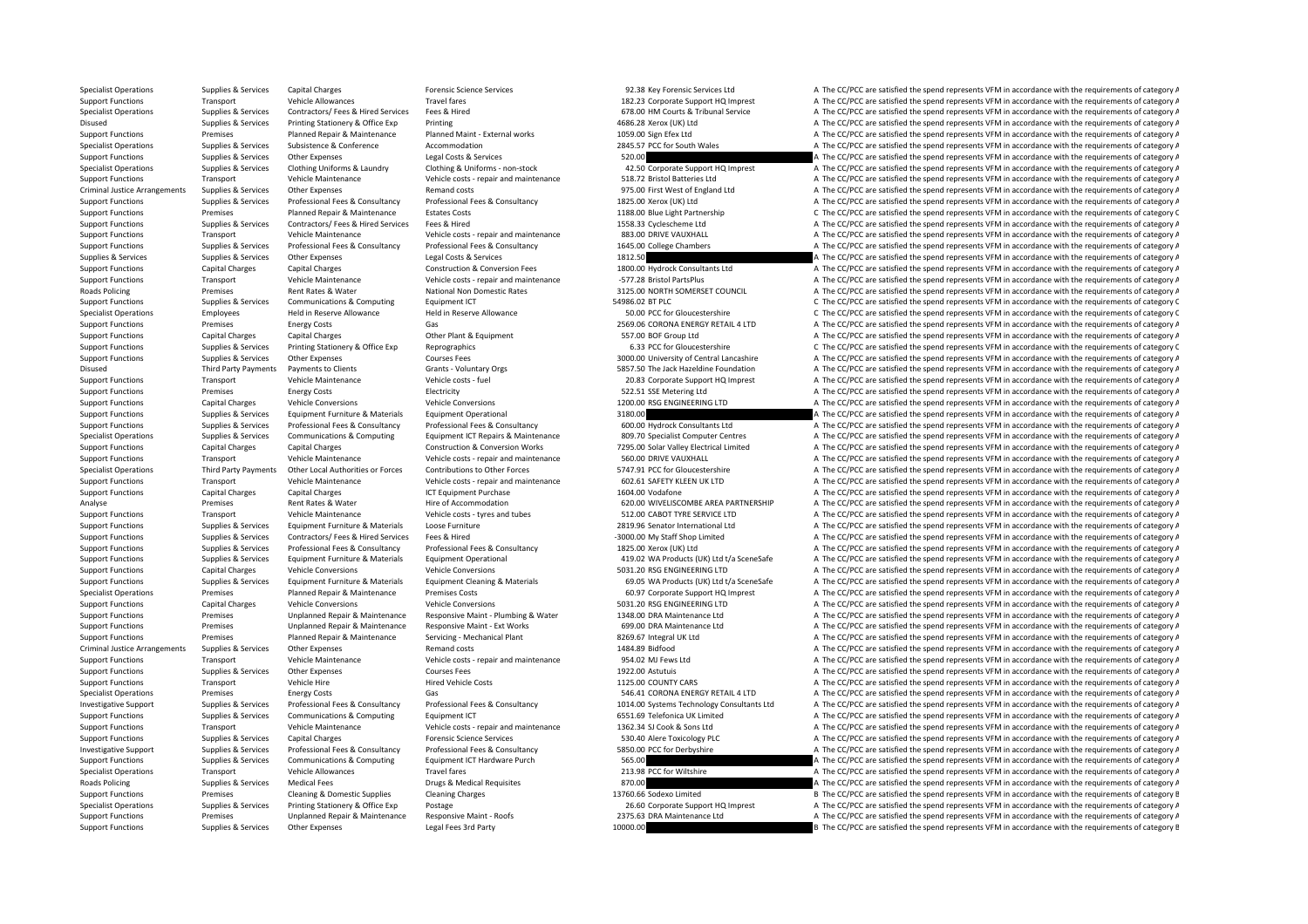Specialist Operations Supplies & Services Capital Charges Forensic Science Services 92.38 Key Forensic Services 1.1 a The CC/PCC are satisfied the spend represents VFM in accordance with the requirements of category A Support Functions Transport Vehicle Allowances Travel fares Travel fares 182.23 Corporate Support HQ Imprest A The CC/PCC are satisfied the spend represents VFM in accordance with the requirements of category A Specialist Operations Supplies & Services Contractors/Fees & Hired Services Fees & Hired Contractors Fees & Hired Contractors Fees & Hired Services Fees & Hired Contractors Fees & Hired Contractors Fees & Hired Contractors Disused Supplies & Services Printing Stationery & Office Exp Printing Printing 4686.28 Xerox (UK) Ltd A The CC/PCC are satisfied the spend represents VFM in accordance with the requirements of category A Support Functions Premises Planned Repair & Maintenance Planned Maint - External works 1059.00 Sign Efex Ltd A The CC/PCC are satisfied the spend represents VFM in accordance with the requirements of category A Specialist Operations Supplies & Services Subsistence & Conference Accommodation Accommodation 2845.57 PCC for South Wales A The CC/PCC are satisfied the spend represents VFM in accordance with the requirements of category Support Functions Supplies & Services Other Expenses Legal Costs & Services Legal Costs & Services A The COD Costs and The CC/PCC are satisfied the spend represents VFM in accordance with the requirements of category A Specialist Operations Supplies & Services Clothing Uniforms & Laundry Clothing & Uniforms - non-stock 42.50 Corporate Support HQ Imprest A The CC/PCC are satisfied the spend represents VFM in accordance with the requiremen Support Functions Transport Vehicle Maintenance Vehicle costs ‐ repair and maintenance 518.72 Bristol Batteries Ltd A The CC/PCC are satisfied the spend represents VFM in accordance with the requirements of category A Criminal Justice Arrangements Supplies & Services Other Expenses Remand costs Remand costs 975.00 First West of England Ltd A The CC/PCC are satisfied the spend represents VFM in accordance with the requirements of categor Support Functions Supplies & Services Professional Fees & Consultancy Professional Fees & Consultancy Professional Fees & Consultancy Consultancy 1825.00 Xerox (UK) Ltd Support Functions A The CC/PCC are satisfied the spen Support Functions Premises Planned Repair & Maintenance Estates Costs 1188.00 Blue Light Partnership C The CC/PCC are satisfied the spend represents VFM in accordance with the requirements of category C Support Functions Supplies & Services Contractors/ Fees & Hired Fees & Hired Fees & Hired 1558.33 Cyclescheme Ltd A The CC/PCC are satisfied the spend represents VFM in accordance with the requirements of category A The CO Support Functions Transport Vehicle Maintenance Vehicle costs ‐ repair and maintenance 883.00 DRIVE VAUXHALL A The CC/PCC are satisfied the spend represents VFM in accordance with the requirements of category A Supplies & Services Professional Fees & Consultancy Professional Fees & Consultancy Professional Fees & Consultancy Professional Fees & Consultancy Professional Fees & Consultancy Professional Fees & Consultancy Profession Supplies & Supplies & Services Other Expenses Legal Costs & Services Supplies A The CC/PCC are satisfied the spend represents VFM in accordance with the requirements of category A The Costruction at a services 1800.00 Hydr A The CC/PCC are satisfied the spend represents VFM in accordance with the requirements of category A Support Functions Transport Vehicle Maintenance Vehicle costs – repair and maintenance – 577.28 Bristol PartsPlus A The CC/PCC are satisfied the spend represents VFM in accordance with the requirements of category A Roads Roads Policing Premises Rent Rates & Water National Non Domestic Rates 3125.00 NORTH SOMERSET COUNCIL A The CC/PCC are satisfied the spend represents VFM in accordance with the requirements of category A Support Functions Supplies & Services Communications & Computing Equipment ICT 54986.02 BT PLC SASS.02 BT PLC C The CC/PCC are satisfied the spend represents VFM in accordance with the requirements of category C Specialist Operations Employees Held in Reserve Allowance Held in Reserve Allowance Held in Reserve Allowance Held in Reserve Allowance Specialistic and the COV CCC are satisfied the spend represents VFM in accordance with Support Functions Premises Energy Costs Gas Gas Gas 2569.06 CORONA ENERGY RETAIL 4 LTD A The CC/PCC are satisfied the spend represents VFM in accordance with the requirements of category A Support Functions Capital Charges Support Functions Capital Charges Capital Charges Other Plant & Equipment Charges Other Plant & Equipment 557.00 BOF Group Ltd A The CC/PCC are satisfied the spend represents VFM in accordance with the requirements of cate Support Functions Supplies & Services Printing Stationery & Office Exp Reprographics Reprographics 6.33 PCC for Gloucestershire C The CC/PCC are satisfied the spend represents VFM in accordance with the requirements of cat Support Functions Supplies & Services Other Expenses Courses Fees 3000.00 University of Central Lancashire A The CC/PCC are satisfied the spend represents VFM in accordance with the requirements of category A Disused Third Party Payments Payments to Clients Grants - Voluntary Orgs 5857.50 The Jack Hazeldine Foundation A The CC/PCC are satisfied the spend represents VFM in accordance with the requirements of category A The Crien Support Functions Transport Vehicle Maintenance Vehicle costs fuel 20.83 Corporate Support HQ Imprest A The CC/PCC are satisfied the spend represents VFM in accordance with the requirements of category A Support Functions Premises Energy Costs Electricity Electricity S22.51 SSE Metering Ltd A The CC/PCC are satisfied the spend represents VFM in accordance with the requirements of category A Support Functions Capital Charges Vehicle Conversions Vehicle Conversions Vehicle Conversions Vehicle Conversions Vehicle Conversions Vehicle Conversions 1200.00 RSG ENGINEERING LTD A The CC/PCC are satisfied the spend rep Support Functions Supplies & Services Faujoment Furniture & Materials Faujoment Operational 3180.00 3180.00 A The CC/PCC are satisfied the spend represents VFM in accordance with the requirements of category A Supplies & Services Professional Fees & Consultancy Professional Fees & Consultancy Professional Fees & Consultancy Professional Fees & Consultancy Professional Fees & Consultancy Professional Fees & Consultancy 600.00 Hyd Specialist Operations Supplies & Services Communications & Computing Equipment ICT Repairs & Maintenance 209.70 Specialist Computer Centres A The CC/PCC are satisfied the spend represents VFM in accordance with the require Support Functions Capital Charges Capital Charges Construction & Conversion Works 7295.00 Solar Valley Electrical Limited A The CC/PCC are satisfied the spend represents VFM in accordance with the requirements of category Support Functions Transport Vehicle Maintenance Vehicle costs - repair and maintenance 560.00 DRIVE VAUXHALL A The CC/PCC are satisfied the spend represents VFM in accordance with the requirements of category A Specialist Operations Third Party Payments Other Local Authorities or Forces Contributions to Other Forces Contributions of Other Forces 5747.91 PCC for Gloucestershire A The CC/PCC are satisfied the spend represents VFM i Support Functions Transport Vehicle Maintenance Vehicle costs ‐ repair and maintenance 602.61 SAFETY KLEEN UK LTD A The CC/PCC are satisfied the spend represents VFM in accordance with the requirements of category A Support Functions Capital Charges Capital Charges ICT Equipment Purchase 1604.00 Vodafone A The CC/PCC are satisfied the spend represents VFM in accordance with the requirements of category A Analyse Premises Rent Rates & Water Hire of Accommodation Hire of Accommodation 620.00 WIVELISCOMBE AREA PARTNERSHIP A The CC/PCC are satisfied the spend represents VFM in accordance with the requirements of category A Support Functions Transport Vehicle Maintenance Vehicle costs – tyres and tubes 512.00 CABOT TYRE SERVICE LTD A The CC/PCC are satisfied the spend represents VFM in accordance with the requirements of category A The CONTEC Support Functions Supplies & Services Faultoment Furniture & Materials Loose Furniture 2019 and the 2019 Senator International Ltd A The CC/PCC are satisfied the spend represents VFM in accordance with the requirements of Support Functions Supplies & Services Contractors/ Fees & Hired Services Fees & Hired Services Fees & Hired Services Fees & Hired A The CC/PCC are satisfied the spend represents VFM in accordance with the requirements of c Support Functions Supplies & Services Professional Fees & Consultancy Professional Fees & Consultancy Professional Fees & Consultancy Professional Fees & Consultancy Professional Fees & Consultancy Professional Fees & Cons Supplies & Services Comment Furniture & Materials Foundment Operational and the CAPC AREA (UK) Itd t/a SceneSafe A The CC/PCC are satisfied the spend represents VFM in accordance with the requirements of category A Support Functions Capital Charges Vehicle Conversions Vehicle Conversions Vehicle Conversions 5031.20 RSG ENGINEERING LTD A The CC/PCC are satisfied the spend represents VFM in accordance with the requirements of category Supplies & Services Equipment Furniture & Materials Equipment Cleaning & Materials Equipment Cleaning & Materials and the Supplies & Services Equipment Furniture & Materials Equipment Cleaning & Materials 65.05 WA Products Specialist Operations Premises Planned Repair & Maintenance Premises Costs 60.97 Corporate Support HQ Imprest A The CC/PCC are satisfied the spend represents VFM in accordance with the requirements of category A Support Functions Capital Charges Vehicle Conversions Vehicle Conversions Vehicle Conversions 5031.20 RSG ENGINEERING LTD A The CC/PCC are satisfied the spend represents VFM in accordance with the requirements of category Support Functions Premises Unplanned Repair & Maintenance Responsive Maint ‐ Plumbing & Water 1348.00 DRA Maintenance Ltd A The CC/PCC are satisfied the spend represents VFM in accordance with the requirements of category Support Functions Premises Maintenand Repair & Maintenance Responsive Maint - Ext Works 699.00 DRA Maintenance Ltd A The CC/PCC are satisfied the spend represents VFM in accordance with the requirements of category A The C Support Functions Premises Planned Repair & Maintenance Servicing • Mechanical Plant 8269.67 Integral UK Ltd A The CC/PCC are satisfied the spend represents VFM in accordance with the requirements of category A Criminal Justice Arrangements Supplies & Services Other Expenses Remand costs Remand costs 1484.89 Bidfood A The CC/PCC are satisfied the spend represents VFM in accordance with the requirements of category A Support Functions Transport Vehicle Maintenance Vehicle costs - repair and maintenance 954.02 MJ Fews Ltd A The CC/PCC are satisfied the spend represents VFM in accordance with the requirements of category A Support Functions Supplies & Services Other Expenses Courses Fees Courses Fees 1922.00 Astutuis A The CC/PCC are satisfied the spend represents VFM in accordance with the requirements of category A Support Functions Transport Vehicle Hire Hired Vehicle Costs 1125.00 COUNTY CARS A The CC/PCC are satisfied the spend represents VFM in accordance with the requirements of category A The COSTS 1125.00 COUNTY CARS A The CC/ Specialist Operations Premises Energy Costs Gas Gas S46.41 CORONA ENERGY RETAIL 4 LTD A The CC/PCC are satisfied the spend represents VFM in accordance with the requirements of category A Investigative Support Supplies & Services Professional Fees & Consultancy Professional Fees & Consultancy Professional Fees & Consultancy Professional Fees & Consultancy Professional Fees & Consultancy Professional Fees & Support Functions Supplies & Services Communications & Computing Equipment ICT 6551.69 Telefonica UK Limited A The CC/PCC are satisfied the spend represents VFM in accordance with the requirements of category A Support Functions Transport Vehicle Maintenance Vehicle costs - repair and maintenance 1362.34 SJ Cook & Sons Ltd A The CC/PCC are satisfied the spend represents VFM in accordance with the requirements of category A Support Functions Supplies & Services Capital Charges Forensic Science Services Forensic Science Services Services Consultancy Forensic Science Services Consultancy Professional Fees & Consultancy Professional Fees & Consu Investigative Support Supplies & Services Professional Fees & Consultancy Professional Fees & Consultancy Professional Fees & Consultancy Professional Fees & Consultancy Professional Fees & Consultancy Professional Fees & Support Functions Supplies & Services Communications & Computing Equipment ICT Hardware Purch 565.00 565.00 A The CC/PCC are satisfied the spend represents VFM in accordance with the requirements of category A Specialist Operations Transport Vehicle Allowances Travel fares Travel fares Travel fares Travel fares 213.98 PCC for Wiltshire A The CC/PCC are satisfied the spend represents VFM in accordance with the requirements of cat A The CC/PCC are satisfied the spend represents VFM in accordance with the requirements of category A Support Functions Premises Cleaning & Domestic Supplies Cleaning Charges 13760.66 Sodexo Limited B The CC/PCC are satisfied the spend represents VFM in accordance with the requirements of category B Specialist Operations Supplies & Services Printing Stationery & Office Exp Postage 26.60 Corporate Support HQ Imprest A The CC/PCC are satisfied the spend represents VFM in accordance with the requirements of category A Support Functions Premises Unplanned Repair & Maintenance Responsive Maint - Roofs 2375.63 DRA Maintenance Ltd A The CC/PCC are satisfied the spend represents VFM in accordance with the requirements of category A Support Functions Supplies & Services Other Expenses Legal Fees 3rd Party 10000.00 10000.00 B The CC/PCC are satisfied the spend represents VFM in accordance with the requirements of category B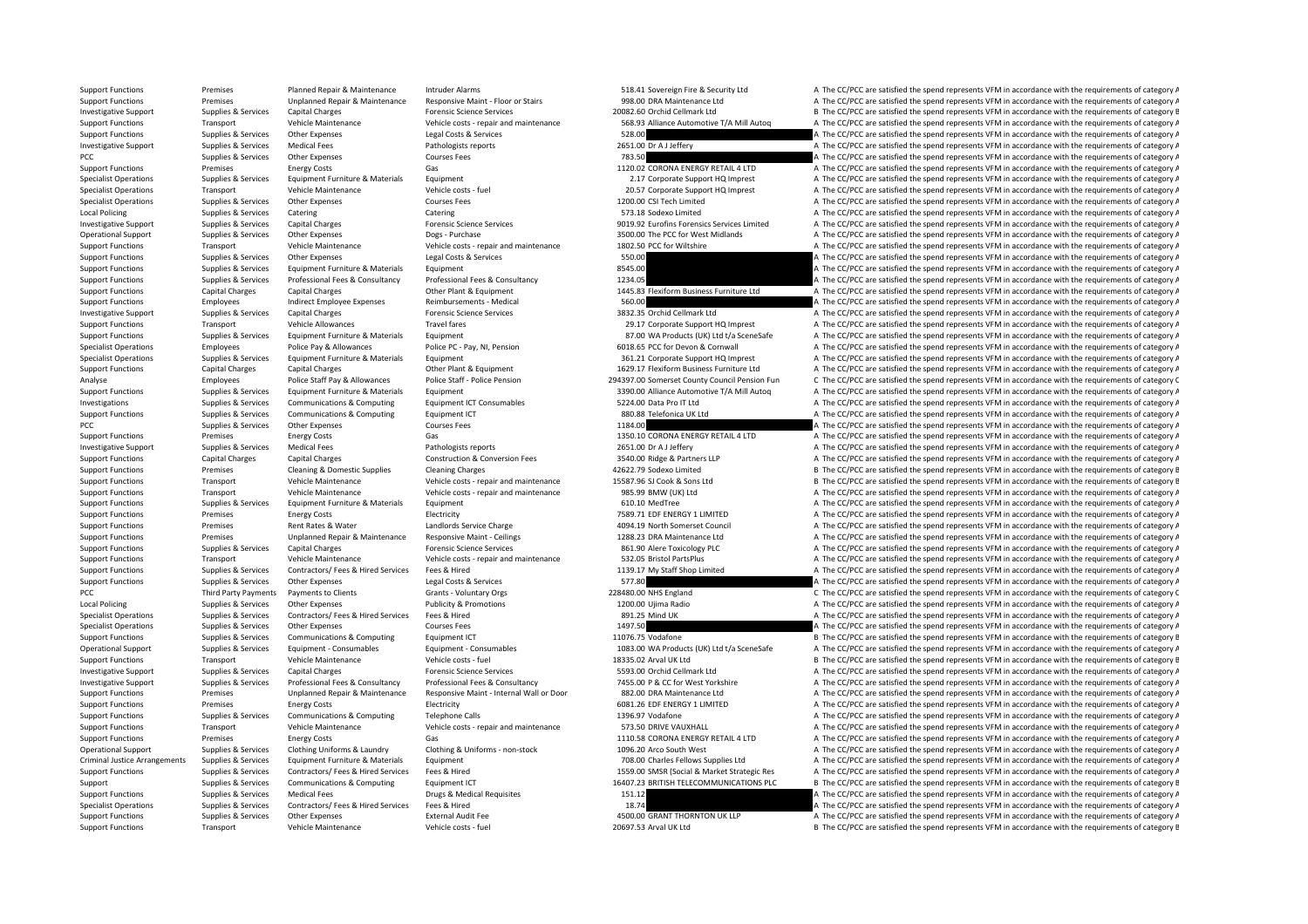## Support Functions Premises Planned Repair & Maintenance Intruder Alarms 518.41 Sovereign Fire & Security Ltd A The CC/PCC are satisfied the spend represents VFM in accordance with the requirements of category A Support Functions Premises Unplanned Repair & Maintenance Responsive Maint ‐ Floor or Stairs 998.00 DRA Maintenance Ltd A The CC/PCC are satisfied the spend represents VFM in accordance with the requirements of category A Investigative Support Supplies & Services Capital Charges Forensic Science Services Procensic Services 20082.60 Orchid Cellmark Ltd B The CC/PCC are satisfied the spend represents VFM in accordance with the requirements of A The CC/PCC are satisfied the spend represents VFM in accordance with the requirements of category A Support Functions Supplies & Services Other Expenses Legal Costs & Services Legal Costs & Services Services Services 528.00 A The CC/PCC are satisfied the spend represents VFM in accordance with the requirements of categor Investigative Support Supplies & Services Medical Fees Pathologists reports Pathologists reports 2651.00 Dr A J Jeffery A The CC/PCC are satisfied the spend represents VFM in accordance with the requirements of category A PCC The CC/PCC are satisfied the spend represents VFM in accordance with the requirements of category A The CC/PCC are satisfied the spend represents VFM in accordance with the requirements of category A Support Functions Premises Energy Costs Gas Gas Gas 1120.02 CORONA ENERGY RETAIL 4 LTD A The CC/PCC are satisfied the spend represents VFM in accordance with the requirements of category A The Criteria of the Spendix Contr Specialist Operations Supplies & Services Equipment Furniture & Materials Equipment 2.17 Corporate Support HQ Imprest A The CC/PCC are satisfied the spend represents VFM in accordance with the requirements of category A Specialist Operations Transport Vehicle Maintenance Vehicle costs - fuel 20.57 Corporate Support HQ Imprest A The CC/PCC are satisfied the spend represents VFM in accordance with the requirements of category A Specialist Operations Supplies & Services Other Expenses Courses Fees Courses Fees 1200.00 CSI Tech Limited A The CC/PCC are satisfied the spend represents VFM in accordance with the requirements of category A The CC/PC ar Local Policing Supplies & Services Catering Catering Catering Catering Catering Catering Catering Catering Catering Catering Catering Catering Catering Catering Catering Catering Catering Catering Catering Supplies & Servi Investigative Support Supplies & Services Capital Charges Capital Charges Forensic Science Services Controls Company of the CONSTRIEGON DOLLER SERVICES CONTINUES ON THE SAME CONTINUES A The CONSTRIEGON A The COPCC are sati A The CC/PCC are satisfied the spend represents VFM in accordance with the requirements of category A Support Functions Transport Vehicle Maintenance Vehicle costs - repair and maintenance 1802.50 PCC for Wiltshire A The CC/PCC are satisfied the spend represents VFM in accordance with the requirements of category A Support Functions Supplies & Services Other Expenses Legal Costs & Services Legal Costs & Services Supplies and the Expenditure & Materials Equipment Costs & Services Supplies & Services Equipment Functions Supplies & Serv Support Functions Supplies a Supplies Equipment Functions Supplies A The CC/PCC are satisfied the spend represents of category A Support Functions Supplies & Services Professional Fees & Consultancy Professional Fees & Consultancy Professional Fees & Consultancy Professional Fees & Consultancy Professional Fees & Consultancy Professional Fees & Cons Support Functions Capital Charges Capital Charges Other Plant & Equipment 1445.83 Flexiform Business Furniture Ltd A The CC/PCC are satisfied the spend represents VFM in accordance with the requirements of category A Support Functions Employees Indirect Employee Expenses Reimbursements - Medical 560.00 560.00 A The CC/PCC are satisfied the spend represents VFM in accordance with the requirements of category A Investigative Support Supplies & Services Capital Charges Services Forensic Science Services and Samples and Cellmark Ltd A The CC/PCC are satisfied the spend represents VFM in accordance with the requirements of category Support Functions Transport Vehicle Allowances Travel fares 29.17 Corporate Support HQ Imprest A The CC/PCC are satisfied the spend represents VFM in accordance with the requirements of category A Support Functions Supplies & Services Equipment Furniture & Materials Equipment 87.00 WA Products (UK) Ltd t/a SceneSafe A The CC/PCC are satisfied the spend represents VFM in accordance with the requirements of category A Specialist Operations Employees Police Pay & Allowances Police PC - Pay, NI, Pension 6018.65 PCC for Devon & Cornwall A The CC/PCC are satisfied the spend represents VFM in accordance with the requirements of category A Specialist Operations Supplies & Services Equipment Furniture & Materials Foujipment 361.21 Corporate Support HO Imprest A The CC/PCC are satisfied the spend represents VFM in accordance with the requirements of category A Support Functions Capital Charges Capital Charges Capital Charges Capital Charges Capital Charges Capital Charges Capital Charges Other Plant & Equipment 1629.17 Flexiform Business Furniture Ltd A The CC/PCC are satisfied Employees Police Staff David Police Staff David Police Staff David Police David Police Carl David Police David Police David Police David Police David Police David Police David Police David Police David Police David Police Support Functions Supplies & Services Equipment Furniture & Materials Equipment 3390.00 Alliance Automotive T/A Mill Autoq A The CC/PCC are satisfied the spend represents VFM in accordance with the requirements of category Investigations Supplies & Services Communications & Computing Equipment ICT Consumables 5224.00 Data Pro IT Ltd A The CC/PCC are satisfied the spend represents VFM in accordance with the requirements of category A Support Functions Supplies & Services Communications & Computing Faultoment ICT 880.88 Telefonica UK Itd A The CC/PCC are satisfied the spend represents VFM in accordance with the requirements of category A PCC Supplies & Services Other Expenses Courses Fees Courses Fees 1184.00 A The CC/PCC are satisfied the spend represents VFM in accordance with the requirements of category A The COURC are satisfied the spend represents VF Support Functions Premises Finergy Costs Gas Gas 1350.10 CORONA ENFRGY RETAIL 4 LTD A The CC/PCC are satisfied the spend represents VFM in accordance with the requirements of category A Investigative Support Supplies & Services Medical Fees Pathologists reports Pathologists reports 2651.00 Dr A J Jeffery A The CC/PCC are satisfied the spend represents VFM in accordance with the requirements of category A Support Functions Capital Charges Capital Charges Construction & Conversion Fees 3540.00 Ridge & Partners LLP A The CC/PCC are satisfied the spend represents VFM in accordance with the requirements of category A Support Functions Premises Cleaning & Domestic Supplies Cleaning Charges 42622.79 Sodexo Limited B The CC/PCC are satisfied the spend represents VFM in accordance with the requirements of category B Support Functions Transport Vehicle Maintenance Vehicle costs ‐ repair and maintenance 15587.96 SJ Cook & Sons Ltd B The CC/PCC are satisfied the spend represents VFM in accordance with the requirements of category B Support Functions Transport Vehicle Maintenance Vehicle costs - repair and maintenance 985.99 BMW (UK) Ltd A The CC/PCC are satisfied the spend represents VFM in accordance with the requirements of category A Support Functions Supplies & Services Equipment Furniture & Materials Equipment experience and the Service and The CC/PCC are satisfied the spend represents VFM in accordance with the requirements of category A Support Functions Premises Energy Costs Electricity Electricity 7589.71 EDF ENERGY 1 LIMITED A The CC/PCC are satisfied the spend represents VFM in accordance with the requirements of category A Theorem and the requirement Support Functions Premises Rent Rates & Water Landlords Service Charge 4094.19 North Somerset Council A The CC/PCC are satisfied the spend represents VFM in accordance with the requirements of category A Support Functions Premises Unplanned Repair & Maintenance Responsive Maint ‐ Ceilings 1288.23 DRA Maintenance Ltd A The CC/PCC are satisfied the spend represents VFM in accordance with the requirements of category A Support Functions Supplies & Services Capital Charges Forensic Science Services Forensic Science Services 861.90 Alere Toxicology PLC A The CC/PCC are satisfied the spend represents VFM in accordance with the requirements Support Functions Transport Vehicle Maintenance Vehicle costs - repair and maintenance 532.05 Bristol PartsPlus A The CC/PCC are satisfied the spend represents VFM in accordance with the requirements of category A Support Functions Supplies & Services Contractors/ Fees & Hired Fees & Hired The Services Fees & Hired 1139.17 My Staff Shop Limited A The CC/PCC are satisfied the spend represents VFM in accordance with the requirements o Support Functions Supplies & Services Other Expenses Legal Costs & Services Services Costs Agencies Costs & Services Services Costs & Services Services Services Services Costs & Services Costs & Services Services Services PCC Third Party Payments Payments to Clients Grants - Voluntary Orgs 228480.00 NHS England C The CC/PCC are satisfied the spend represents VFM in accordance with the requirements of category C Local Policing Supplies & Services Other Expenses Publicity & Promotions Publicity A The COD Ujima Radio A The CC/PCC are satisfied the spend represents VFM in accordance with the requirements of category A Specialist Operations Supplies & Services Contractors/ Fees & Hired Services Fees & Hired Services Fees & Hired 891.25 Mind UK A The CC/PCC are satisfied the spend represents VFM in accordance with the requirements of cate Specialist Operations Supplies & Services Other Expenses Courses Fees Courses Fees 1497.50 A The CC/PCC are satisfied the spend represents VFM in accordance with the requirements of category A Supplies & Services Communica Support Functions Supplies & Services Communications & Computing Equipment ICT 11076.75 Vodafone B The CC/PCC are satisfied the spend represents VFM in accordance with the requirements of category B Operational Supplies & Services Equipment - Consumables Equipment - Consumables Equipment - Consumables Equipment - Consumables Equipment - Consumables Equipment - Consumables Equipment - Consumables A The CC/PCC are satis Support Functions Transport Vehicle Maintenance Vehicle costs - fuel 18335.02 Arval UK Ltd B The CC/PCC are satisfied the spend represents VFM in accordance with the requirements of category B Investigative Support Supplies & Services Capital Charges Forensic Science Services Forensic Science Services 5593.00 Orchid Cellmark Ltd A The CC/PCC are satisfied the spend represents VFM in accordance with the requireme Investigative Support Supplies & Services Professional Fees & Consultancy Professional Fees & Consultancy Professional Fees & Consultancy Professional Fees & Consultancy Professional Fees & Consultance Professional Fees & Support Functions Premises Unplanned Repair & Maintenance Responsive Maint Internal Wall or Door 882.00 DRA Maintenance Ltd A The CC/PCC are satisfied the spend represents VFM in accordance with the requirements of categor Support Functions Premises Energy Costs Electricity Electricity Electricity 6081.26 EDF ENERGY 1 LIMITED A The CC/PCC are satisfied the spend represents VFM in accordance with the requirements of category A Support Functions Supplies & Services Communications & Computing Telephone Calls 1396.97 Vodafone A The CC/PCC are satisfied the spend represents VFM in accordance with the requirements of category A Support Functions Transport Vehicle Maintenance Vehicle costs ‐ repair and maintenance 573.50 DRIVE VAUXHALL A The CC/PCC are satisfied the spend represents VFM in accordance with the requirements of category A Support Functions Premises Premises Energy Costs Gas Gas Gas 1110.58 CORONA ENERGY RETAIL 4 LTD A The CC/PCC are satisfied the spend represents VFM in accordance with the requirements of category A Clothing Uniforms & Laun A The CC/PCC are satisfied the spend represents VFM in accordance with the requirements of category A Criminal Justice Arrangements Supplies & Services Equipment Furniture & Materials Equipment expansive Equipment Equipment Equipment Equipment Equipment expansive and the CO/PCC are satisfied the spend represents VFM in acc Support Functions Supplies & Services Contractors/Fees & Hired Services Fees & Hired The Support Alter and the Contractors/Fees & Hired Services Fees & Hired The Support Alter and the Support Alter Services Communications Support Supplies & Services Communications & Computing Equipment ICT 16407.23 BRITISH TELECOMMUNICATIONS PLC B The CC/PCC are satisfied the spend represents VFM in accordance with the requirements of category B Support Functions Supplies & Services Medical Fees **Drugs & Medical Requisites** Drugs & Medical Requisites 151.12 A The CC/PCC are satisfied the spend represents VFM in accordance with the requirements of category A Specialist Operations Supplies & Services Contractors/ Fees & Hired Services Fees & Hired 18.74 A The CC/PCC are satisfied the spend represents VFM in accordance with the requirements of category A Support Functions Supplies & Services Other Expenses External Audit Fee 4500.00 GRANT THORNTON UK LLP A The CC/PCC are satisfied the spend represents VFM in accordance with the requirements of category A Support Functions Transport Vehicle Maintenance Vehicle costs - fuel 20697.53 Arval UK Ltd B The CC/PCC are satisfied the spend represents VFM in accordance with the requirements of category B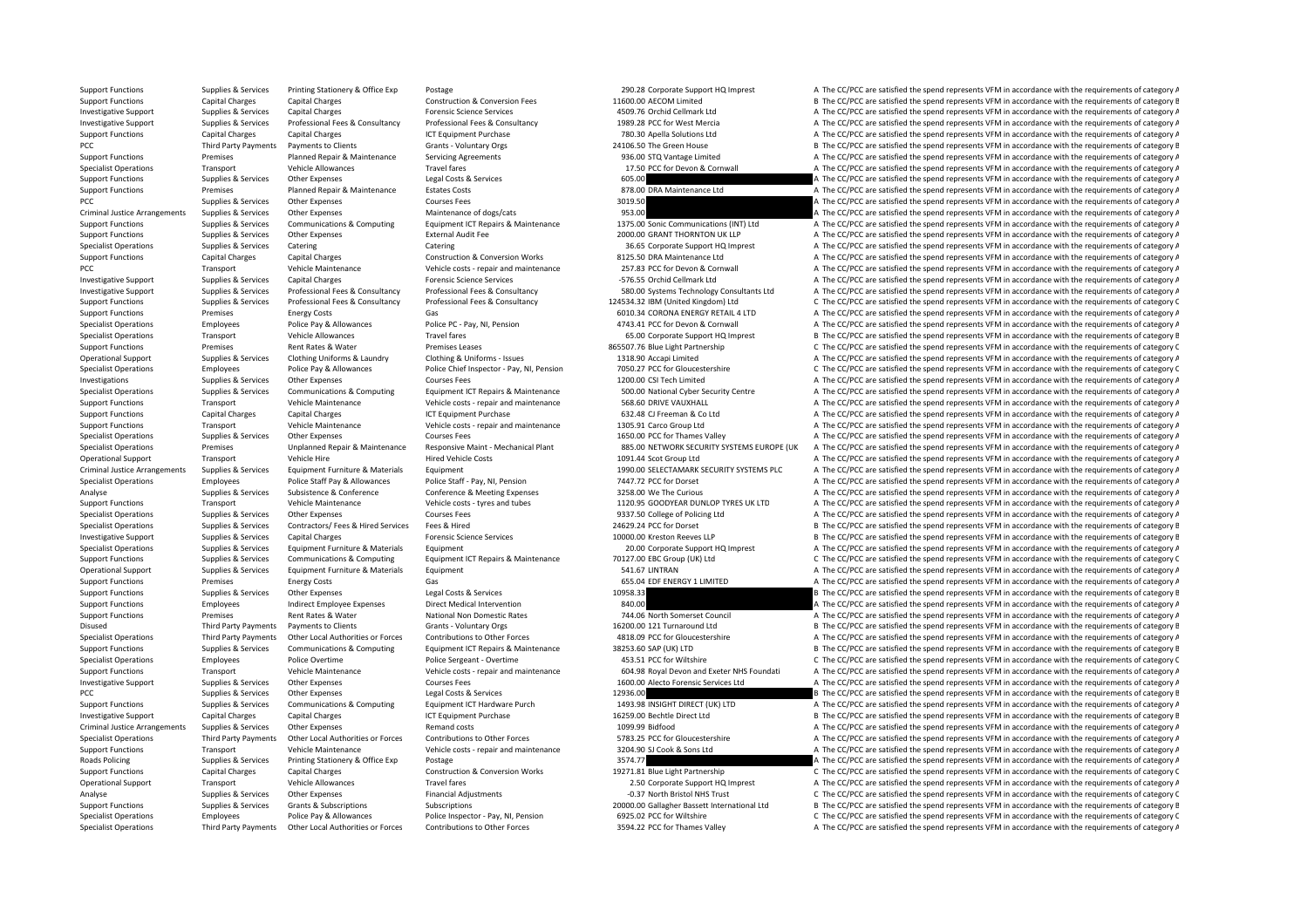Support Functions Supplies & Services Printing Stationery & Office Exp Postage 290.28 Corporate Support HQ Imprest A The CC/PCC are satisfied the spend represents VFM in accordance with the requirements of category A Support Functions Capital Charges Capital Charges Capital Charges Capital Charges Construction & Conversion Fees 11600.00 AECOM Limited B The CC/PCC are satisfied the spend represents VFM in accordance with the requirement Investigative Support Supplies & Services Capital Charges A Consultancy Forensic Science Services A The COLOGING A The CCC-PCC are satisfied the spend represents VFM in accordance with the requirements of category A The CC A The CC/PCC are satisfied the spend represents VFM in accordance with the requirements of category A Support Functions Capital Charges Capital Charges Capital Charges Capital Charges ICT Equipment Purchase 1CT Equipment Purchase 780.30 Apella Solutions Ltd A The CC/PCC are satisfied the spend represents VFM in accordance PCC Third Party Payments Payments to Clients Grants - Voluntary Orgs 24106.50 The Green House B The CC/PCC are satisfied the spend represents VFM in accordance with the requirements of category B Support Functions Premises Planned Repair & Maintenance Servicing Agreements 936.00 STQ Vantage Limited A The CC/PCC are satisfied the spend represents VFM in accordance with the requirements of category A Specialist Operations Transport Vehicle Allowances Travel fares Travel fares Travel fares 17.50 PCC for Devon & Cornwall A The CC/PCC are satisfied the spend represents VFM in accordance with the requirements of category A Support Functions Supplies & Services Other Expenses Legal Costs & Services Costs 605.00 A The CC/PCC are satisfied the spend represents VFM in accordance with the requirements of category A The CC/PCC are satisfied the sp Support Functions Premises Planned Repair & Maintenance Estates Costs 878.00 DRA Maintenance Ltd A The CC/PCC are satisfied the spend represents VFM in accordance with the requirements of category A PCC Supplies & Services Other Expenses Courses Fees 3019.50 3019.50 A The CC/PCC are satisfied the spend represents VFM in accordance with the requirements of category A The Criminal lustice Arrangements Supplies & Service Criminal Justice Arrangements of dogs/cats and the Supplies of Criminal Dustices Arrangements Of category A The CC/PCC are satisfied the spend represents VFM in accordance with the requirements of category A Support Functions Supplies & Services Communications & Computing Equipment ICT Repairs & Maintenance 1375.00 Sonic Communications (INT) Ltd A The CC/PCC are satisfied the spend represents VFM in accordance with the require Support Functions Supplies & Services Other Expenses External Audit Fee 2000.00 GRANT THORNTON UK LLP A The CC/PCC are satisfied the spend represents VFM in accordance with the requirements of category A Specialist Operations Supplies & Services Catering Support Catering Catering Catering Catering Catering Services Catering Catering Catering Catering Services Category A The CC/PCC are satisfied the spend represents VFM in Support Functions Capital Charges Capital Charges Capital Charges Construction & Conversion Works 8125.50 DRA Maintenance A The CC/PCC are satisfied the spend represents VFM in accordance with the requirements of category A The CC/PCC are satisfied the spend represents VFM in accordance with the requirements of category A Investigative Support Supplies & Services Capital Charges Forensic Science Services Forensic Science Services Forensic Science Services -576.55 Orchid Cellmark Ltd A The CC/PCC are satisfied the spend represents VFM in acc Investigative Support Supplies & Services Professional Fees & Consultancy Professional Fees & Consultancy Professional Fees & Consultancy Professional Fees & Consultancy Professional Fees & Consultancy Professional Fees & Supplies & Services Professional Fees & Consultancy Professional Fees & Consultancy Professional Fees & Consultancy Professional Fees & Consultancy Professional Fees & Consultancy Professional Fees & Consultancy 124534.32 Support Functions Premises Energy Costs Gas Gas Gas Functions Gas 6010.34 CORONA ENERGY RETAIL 4 LTD A The CC/PCC are satisfied the spend represents VFM in accordance with the requirements of category A The Costs Coronal C Specialist Operations Employees Police Pay & Allowances Police Pay, NI, Pension Police Pay, NI, Pension 4743.41 PCC for Devon & Cornwall A The CC/PCC are satisfied the spend represents VFM in accordance with the requiremen Specialist Operations Transport Vehicle Allowances Travel fares Travel fares 65.00 Corporate Support HQ Imprest B The CC/PCC are satisfied the spend represents VFM in accordance with the requirements of category B Support Functions Premises Premises Rent Rates & Water Premises Leases 865507.76 Blue Light Partnership C The CC/PCC are satisfied the spend represents VFM in accordance with the requirements of category C Operational Support Supplies & Services Clothing Uniforms & Laundry Clothing & Uniforms - Issues 1318.90 Accapi Limited A The CC/PCC are satisfied the spend represents VFM in accordance with the requirements of category A Specialist Operations Employees Police Pay & Allowances Police Chief Inspector - Pay, NI, Pension 7050.27 PCC for Gloucestershire C The CC/PCC are satisfied the spend represents VFM in accordance with the requirements of c Investigations Supplies & Services Other Expenses Courses Fees Courses Fees 1200.00 CSI Tech Limited A The CC/PCC are satisfied the spend represents VFM in accordance with the requirements of category A Specialist Operations Supplies & Services Communications & Computing Equipment ICT Repairs & Maintenance 500.00 National Cyber Security Centre A The CC/PCC are satisfied the spend represents VFM in accordance with the requ Support Functions Transport Vehicle Maintenance Vehicle costs - repair and maintenance 568.60 DRIVE VAUXHALL A The CC/PCC are satisfied the spend represents VFM in accordance with the requirements of category A Support Functions Capital Charges Capital Charges ICT Foundance ICT Functions Co Ltd A The CC/PCC are satisfied the spend represents VFM in accordance with the requirements of category A Support Functions Transport Vehicle Maintenance Vehicle costs - repair and maintenance 1305.91 Carco Group Ltd A The CC/PCC are satisfied the spend represents VFM in accordance with the requirements of category A The Crime Specialist Operations Supplies & Services Other Expenses Courses Fees Courses Fees 1650.00 PCC for Thames Valley A The CC/PCC are satisfied the spend represents VFM in accordance with the requirements of category A Specialist Operations Premises Unplanned Repair & Maintenance Responsive Maint - Mechanical Plant 885.00 NETWORK SECURITY SYSTEMS ELIROPE (UK A The CC/PCC are satisfied the spend represents VEM in accordance with the requi Operational Support Transport Vehicle Hire Hired Vehicle Costs Hired Vehicle Costs 1091.44 Scot Group Ltd A The CC/PCC are satisfied the spend represents VFM in accordance with the requirements of category A Criminal Justice Arrangements Supplies & Services Foujoment Furniture & Materials Foujoment Furniture & Materials Foujoment 1990.00 SELECTAMARK SECURITY SYSTEMS PLC. A The CC/PCC are satisfied the spend represents VEM in a Specialist Operations Employees Police Staff Pay & Allowances Police Staff - Pay, NI, Pension 7447.72 PCC for Dorset A The CC/PCC are satisfied the spend represents VFM in accordance with the requirements of category A Analyse Supplies & Services Subsistence & Conference Conference & Meeting Expenses 3258.00 We The Curious A The CC/PCC are satisfied the spend represents VFM in accordance with the requirements of category A Support Functions Transport Vehicle Maintenance Vehicle costs - tyres and tubes 1120.95 GOODYEAR DUNLOP TYRES UK LTD A The CC/PCC are satisfied the spend represents VFM in accordance with the requirements of category A Specialist Operations Supplies & Services Other Expenses Courses Fees Courses Fees 9337.50 College of Policing Ltd A The CC/PCC are satisfied the spend represents VFM in accordance with the requirements of category A The C Specialist Operations Supplies & Services Contractors/ Fees & Hired Services Fees & Hired 24629.24 PCC for Dorset B The CC/PCC are satisfied the spend represents VFM in accordance with the requirements of category B Investigative Support Supplies & Services Capital Charges Forensic Science Services 10000.00 Kreston Reeves LLP B The CC/PCC are satisfied the spend represents VFM in accordance with the requirements of category B Specialist Operations Supplies & Services Equipment Furniture & Materials Equipment 20.00 Corporate Support HQ Imprest A The CC/PCC are satisfied the spend represents VFM in accordance with the requirements of category A Supplies & Services Communications & Computing Equipment ICT Repairs & Maintenance 70127.00 EBC Group (UK) Ltd C The CC/PCC are satisfied the spend represents VFM in accordance with the requirements of category C Operational Support Supplies & Services Equipment Furniture & Materials Equipment Furniture & Materials Equipment 541.67 LINTRAN A The CC/PCC are satisfied the spend represents VFM in accordance with the requirements of ca Support Functions Premises Energy Costs Gas Gas Gas Function Costs.04 EDF ENERGY 1 LIMITED A The CC/PCC are satisfied the spend represents VFM in accordance with the requirements of category A Support Functions Supplies & Services Other Expenses Legal Costs & Services Legal Costs & Services Legal Costs & Services 10958.33 B The CC/PCC are satisfied the spend represents VFM in accordance with the requirements of Support Functions Employees Indirect Employee Expenses Direct Medical Intervention 840.00 840.00 A The CC/PCC are satisfied the spend represents VFM in accordance with the requirements of category A Support Functions Premises Rent Rates & Water National Non Domestic Rates 744.06 North Somerset Council A The CC/PCC are satisfied the spend represents VFM in accordance with the requirements of category A Disused Third Party Payments Payments to Clients Grants - Voluntary Orgs 16200.00 121 Turnaround Ltd B The CC/PCC are satisfied the spend represents VFM in accordance with the requirements of category B Specialist Operatio A The CC/PCC are satisfied the spend represents VFM in accordance with the requirements of category A Support Functions Supplies & Services Communications & Computing Equipment ICT Repairs & Maintenance 38253.60 SAP (UK) LTD B The CC/PCC are satisfied the spend represents VFM in accordance with the requirements of category Specialist Operations Employees Police Overtime Police Are Police Sergeant - Overtime ASS,51 PCC for Wiltshire C The CC/PCC are satisfied the spend represents VFM in accordance with the requirements of category C Support Functions Transport Vehicle Maintenance Vehicle Costs - repair and maintenance 604.98 Royal Devon and Exeter NHS Foundati A The CC/PCC are satisfied the spend represents VFM in accordance with the requirements of c Investigative Support Supplies & Services Other Expenses Courses Fees Courses Fees 1600.00 Alecto Forensic Services Ltd A The CC/PCC are satisfied the spend represents VFM in accordance with the requirements of category A PCC The CC/PCC are satisfied the spend represents VFM in accordance with the requirements of category B The CC/PCC are satisfied the spend represents VFM in accordance with the requirements of category B Support Functions Supplies & Services Communications & Computing Equipment ICT Hardware Purch 1493.98 INSIGHT DIRECT (UK) LTD A The CC/PCC are satisfied the spend represents VFM in accordance with the requirements of categ Investigative Support Capital Charges Capital Charges ICT Equipment Purchase 16259.00 Bechtle Direct Ltd B The CC/PCC are satisfied the spend represents VFM in accordance with the requirements of category B Criminal Justice Arrangements Supplies & Services Other Expenses Remand costs Remand costs and the supplier of category and the spend represents VFM in accordance with the requirements of category A Specialist Operations Third Party Payments Other Local Authorities or Forces Contributions to Other Forces ST83.25 PCC for Gloucestershire and A The CC/PCC are satisfied the spend represents VFM in accordance with the requ Transport Vehicle Maintenance Vehicle costs ‐ repair and maintenance 3204.90 SJ Cook & Sons Ltd A The CC/PCC are satisfied the spend represents VFM in accordance with the requirements of category A Roads Policing Supplies & Services Printing Stationery & Office Exp Postage 3574.77 3574.77 A The CC/PCC are satisfied the spend represents VFM in accordance with the requirements of category A Support Functions Capital Charges Capital Charges Capital Charges Capital Charges Construction & Conversion Works 19271.81 Blue Light Partnership C The CC/PCC are satisfied the spend represents VFM in accordance with the r A The CC/PCC are satisfied the spend represents VFM in accordance with the requirements of category A Analyse Supplies & Services Other Expenses Financial Adjustments Financial Adjustments **1999 Analyse C The CC/PCC are satisfied** the spend represents VFM in accordance with the requirements of category C The CC/PCC are sat Support Functions Supplies & Services Grants & Subscriptions Subscriptions Subscriptions 20000.00 Gallagher Bassett International Ltd B The CC/PCC are satisfied the spend represents VFM in accordance with the requirements Specialist Operations Employees Police Pay & Allowances Police Inspector - Pay, NI, Pension 6925.02 PCC for Wiltshire C The CC/PCC are satisfied the spend represents VFM in accordance with the requirements of category C Specialist Operations Third Party Payments Other Local Authorities or Forces Contributions to Other Forces S594.22 PCC for Thames Valley A The CC/PCC are satisfied the spend represents VFM in accordance with the requiremen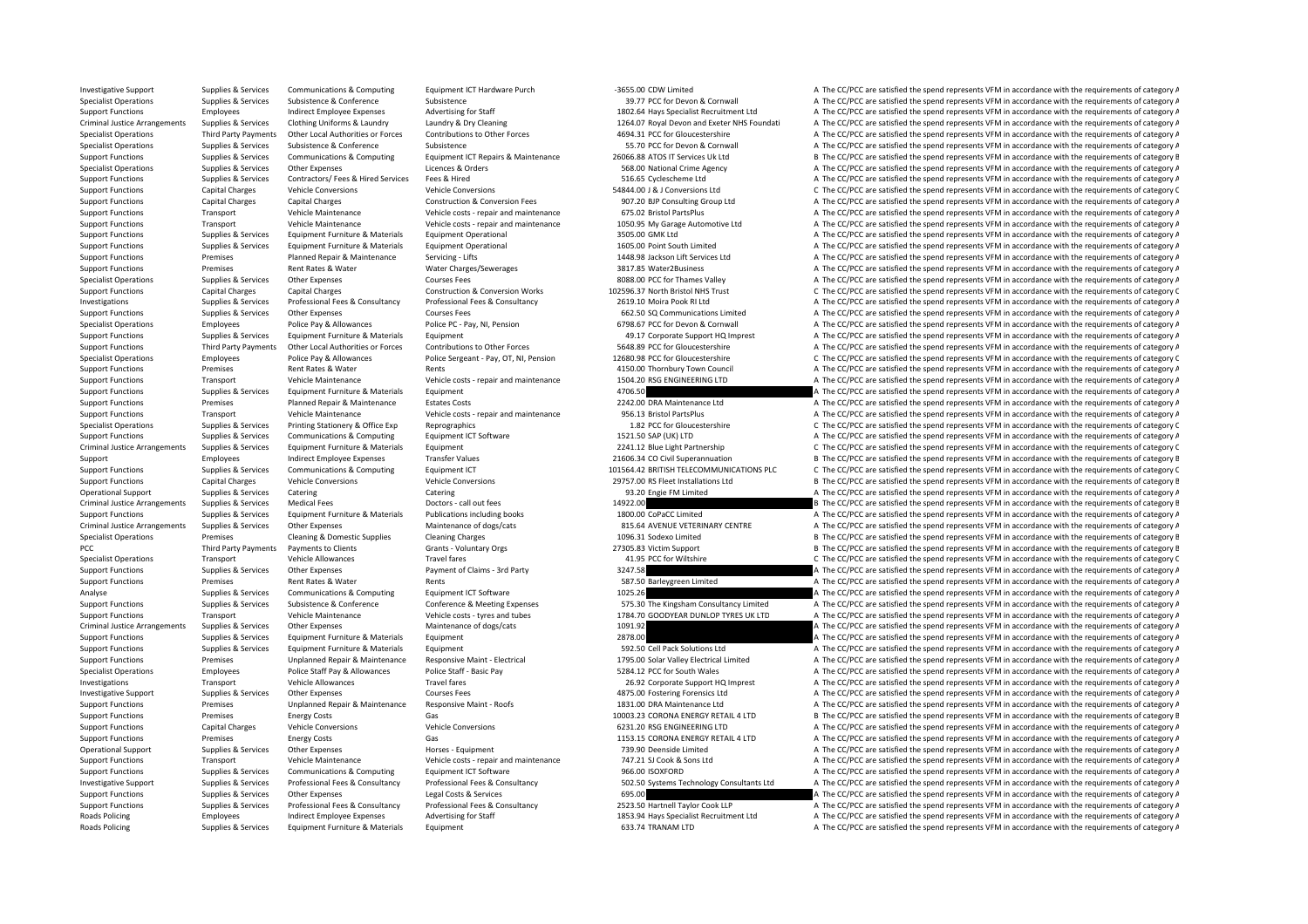Investigative Support Supplies & Services Communications & Computing Equipment ICT Hardware Purch ·3655.00 CDW Limited A The CC/PCC are satisfied the spend represents VFM in accordance with the requirements of category A Specialist Operations Supplies & Services Subsistence Subsistence Subsistence Subsistence Subsistence Subsistence Subsistence Subsistence Subsistence Subsistence Subsistence Subsistence Subsistence Subsistence Subsistence Support Functions Employees Indirect Employee Expenses Advertising for Staff 1802.64 Hays Specialist Recruitment Ltd A The CC/PCC are satisfied the spend represents VFM in accordance with the requirements of category A Cri Criminal Justice Arrangements Supplies & Services Clothing Uniforms & Laundry Laundry Manuforms A Laundry & Dr Cleaning 1264.07 Royal Devon and Exeter NHS Foundati A The CC/PCC are satisfied the spend represents VFM in acc Specialist Operations Third Party Payments Other Local Authorities or Forces Contributions to Other Forces + 4694.31 PCC for Gloucestershire A The CC/PCC are satisfied the spend represents VFM in accordance with the requir Specialist Operations Supplies & Services Subsistence Subsistence Subsistence Subsistence Subsistence Subsistence Subsistence Subsistence Subsistence Subsistence Subsistence Subsistence Subsistence Subsistence Subsistence Supplies & Services Communications & Computing Equipment ICT Repairs & Maintenance 26066.88 ATOS IT Services Uk Ltd Bire CC/PCC are satisfied the spend represents VFM in accordance with the requirements of category E Specialist Operations Supplies & Services Other Expenses Licences & Orders Licences & Orders Services Contractors/ Fees & Hired Services Fees & Hired Services Contractors/ Fees & Hired Services Fees & Hired Services Contra Support Functions Supports Services Contractors/ Fees & Hired Fees & Hired Services Fees & Hired 516.65 Cyclescheme Ltd A The CC/PCC are satisfied the spend represents VFM in accordance with the requirements of category A Support Functions Capital Charges Vehicle Conversions Vehicle Conversions Vehicle Conversions Support Support Conversions Ltd C The CC/PCC are satisfied the spend represents VFM in accordance with the requirements of categ Support Functions Capital Charges Capital Charges Capital Charges Construction & Conversion Fees 907.20 BJP Consulting Group Ltd A The CC/PCC are satisfied the spend represents VFM in accordance with the requirements of ca Support Functions Transport Vehicle Maintenance Vehicle costs - repair and maintenance 675.02 Bristol PartsPlus A The CC/PCC are satisfied the spend represents VFM in accordance with the requirements of category A Support Functions Transport Vehicle Maintenance Vehicle costs ‐ repair and maintenance 1050.95 My Garage Automotive Ltd A The CC/PCC are satisfied the spend represents VFM in accordance with the requirements of category A Support Functions Support Functions Supplies A The CC/PCC are satisfied the spend represents VFM in accordance with the requirements of category A Support Functions Supplies & Services Equipment Furniture & Materials Equipment Operational 1605.00 Point South Limited A The CC/PCC are satisfied the spend represents VFM in accordance with the requirements of category A Support Functions Premises Planned Repair & Maintenance Servicing - Lifts 1448.98 Jackson Lift Services Ltd A The CC/PCC are satisfied the spend represents VFM in accordance with the requirements of category A The Creation A The CC/PCC are satisfied the spend represents VFM in accordance with the requirements of category A Specialist Operations Supplies & Services Other Expenses Courses Fees Courses Fees 8088.00 PCC for Thames Valley A The CC/PCC are satisfied the spend represents VFM in accordance with the requirements of category A Support Functions Capital Charges Capital Charges Construction & Conversion Works 102596.37 North Bristol NHS Trust C The CC/PCC are satisfied the spend represents VFM in accordance with the requirements of category C Supplies & Services Professional Fees & Consultancy Professional Fees & Consultancy Professional Fees & Consultancy Professional Fees & Consultancy Professional Fees & Consultancy Professional Fees & Consultancy 2619.10 Mo Support Functions Supplies & Services Other Expenses Courses Fees Courses Fees 662.50 SQ Communications Limited A The CC/PCC are satisfied the spend represents VFM in accordance with the requirements of category A The Crit A. The CC/PCC are satisfied the spend represents VFM in accordance with the requirements of category A Support Functions Supplies & Services Equipment Furniture & Materials Equipment 49.17 Corporate Support HQ Imprest A The CC/PCC are satisfied the spend represents VFM in accordance with the requirements of category A Support Functions Third Party Payments Other Local Authorities or Forces Contributions to Other Forces S648.89 PCC for Gloucestershire A The CC/PCC are satisfied the spend represents VFM in accordance with the requirements Specialist Operations Capacity Fundations Fundations Police Pay & Allowances Police Sergeant - Pay OT. NJ. Pension 12680.98 PCC for Gloucestershire C. The CC/PCC are satisfied the spend represents VFM in accordance with th Support Functions Premises Rent Rates & Water Rents Rents Rents Rents Rents Rents Rents Rents Rents Rents A The COUNTOM Council A The CC/PCC are satisfied the spend represents VFM in accordance with the requirements of cat Support Functions Transport Vehicle Maintenance Vehicle costs and maintenance 1504.20 RSG ENGINEERING LTD A The CC/PCC are satisfied the spend represents VFM in accordance with the requirements of category A The CC/PCC are Support Functions Supplies & Services Equipment Furniture & Materials Equipment 4706.50 4706.50 A The CC/PCC are satisfied the spend represents VFM in accordance with the requirements of category A Support Functions Premises Planned Repair & Maintenance Estates Costs 2242.00 DRA Maintenance Ltd A The CC/PCC are satisfied the spend represents VFM in accordance with the requirements of category A Support Functions Transport Vehicle Maintenance Vehicle costs repair and maintenance 956.13 Bristol PartsPlus A The CC/PCC are satisfied the spend represents VFM in accordance with the requirements of category A The CC/PCC Specialist Operations Supplies & Services Printing Stationery & Office Exp Reprographics Reprographics 1.82 PCC for Gloucestershire C The CC/PCC are satisfied the spend represents VFM in accordance with the requirements of Support Functions Supplies & Services Communications & Computing Equipment ICT Software 1521.50 SAP (UK) LTD A The CC/PCC are satisfied the spend represents VFM in accordance with the requirements of category A Criminal Justice Arrangements Supplies & Services Equipment Funiture & Materials Equipment 2241.12 Blue Light Partnership 2041.12 Blue Light Partnership C The CC/PCC are satisfied the spend represents VFM in accordance wit Support Employees Indirect Employee Expenses Transfer Values 21606.34 CO Civil Superannuation B The CC/PCC are satisfied the spend represents VFM in accordance with the requirements of category B Support Functions Supplies & Services Communications & Computing Foundment ICT 101564.42 BRITISH TELECOMMUNICATIONS PLC C The CC/PCC are satisfied the spend represents VFM in accordance with the requirements of category C Support Functions Capital Charges Vehicle Conversions Vehicle Conversions Vehicle Conversions 29757.00 RS Fleet Installations Ltd B The CC/PCC are satisfied the spend represents VFM in accordance with the requirements of c Operational Support Supplies & Services Catering Catering Catering Catering Catering Catering Catering Catering Catering Catering Catering Catering Catering Category A The CC/PCC are satisfied the spend represents VFM in a Criminal Justice Arrangements Supplies & Services Medical Fees Doctors - call out fees Doctors - call out fees 14922.00 B The CC/PCC are satisfied the spend represents VFM in accordance with the requirements of category B Support Functions Supplies & Services Equipment Furniture & Materials Publications including books 1800.00 CoPaCC Limited A The CC/PCC are satisfied the spend represents VFM in accordance with the requirements of category Criminal Justice Arrangements Supplies & Services Other Expenses Maintenance of dogs/cats 815.64 AVENUE VETTRINARY CENTRE A The CC/PCC are satisfied the spend represents VEM in accordance with the requirements of category Specialist Operations Premises Cleaning & Domestic Supplies Cleaning Charges Cleaning Charges 1096.31 Sodexo Limited B The CC/PCC are satisfied the spend represents VFM in accordance with the requirements of category B PCC Third Party Payments Payments to Clients Grants - Voluntary Orgs 27305.83 Victim Support B The CC/PCC are satisfied the spend represents VFM in accordance with the requirements of category B Specialist Operations Transport Vehicle Allowances Travel fares Travel fares 41.95 PCC for Wiltshire C. The CC/PCC are satisfied the spend represents VFM in accordance with the requirements of category C. Support Functions Supplies & Services Other Expenses Payment of Claims – 3rd Party 3247.58 3247.58 A The CC/PCC are satisfied the spend represents VFM in accordance with the requirements of category A The Criteria and part Support Functions Premises Rent Rates & Water Rents Rents Rents Rents Rents Rents Rents Rents Rent Rents Rents Rents Rents Rents Rents Rents Rents Rents Rents Rents Rents Rents Rents Rents Rents Rents Rents Rents Rents Ren Analyse Supplies & Services Communications & Computing Equipment ICT Software 1025.26 A The CC/PCC are satisfied the spend represents VFM in accordance with the requirements of category A Supplies & Services Subsistence & Conference Conference Conference & Meeting Expenses 575.30 The Kingsham Consultancy Limited A The CC/PCC are satisfied the spend represents VFM in accordance with the requirements of categ Support Functions Transport Vehicle Maintenance Vehicle costs - tyres and tubes 1784.70 GOODYEAR DUNLOP TYRES UK LTD A The CC/PCC are satisfied the spend represents VFM in accordance with the requirements of category A Cri Criminal Justice Arrangements Supplies & Services Other Expenses Maintenance of dogs/cats Maintenance of dogs/cats 1091.92 1091.92 A The CC/PCC are satisfied the spend represents VFM in accordance with the requirements of Support Functions Supplies & Services Equipment Furniture & Materials Equipment 2878.00 2878.00 A The CC/PCC are satisfied the spend represents VFM in accordance with the requirements of category A Support Functions Supplies & Services Equipment Furniture & Materials Equipment = 592.50 Cell Pack Solutions Ltd A The CC/PCC are satisfied the spend represents VFM in accordance with the requirements of category A Support Functions Premises Unplanned Repair & Maintenance Responsive Maint - Electrical 1795.00 Solar Valley Electrical Limited A The CC/PCC are satisfied the spend represents VFM in accordance with the requirements of cat Specialist Operations Employees Police Staff Pay & Allowances Police Staff - Basic Pay Folice Staff - Basic Pay Folice Staff - Basic Pay 5284.12 PCC for South Wales A The CC/PCC are satisfied the spend represents VFM in ac Investigations Transport Vehicle Allowances Travel fares Travel fares 26.92 Corporate Support HQ Imprest A The CC/PCC are satisfied the spend represents VFM in accordance with the requirements of category A Investigative Support Supplies & Services Other Expenses Courses Fees Courses Fees 4875.00 Fostering Forensics Ltd A The CC/PCC are satisfied the spend represents VFM in accordance with the requirements of category A Support Functions Premises Unplanned Repair & Maintenance Responsive Maint - Roofs 1831.00 DRA Maintenance Ltd A The CC/PCC are satisfied the spend represents VFM in accordance with the requirements of category A Support Functions Premises Energy Costs Gas Gas 10003.23 CORONA ENERGY RETAIL 4 LTD B The CC/PCC are satisfied the spend represents VFM in accordance with the requirements of category E Support Functions Capital Charges Vehicle Conversions Vehicle Conversions Vehicle Conversions and the CONVERING LTD A The CC/PCC are satisfied the spend represents VFM in accordance with the requirements of category A Support Functions Premises Premises Energy Costs Gas Gas 1153.15 CORONA ENERGY RETAIL 4 LTD A The CC/PCC are satisfied the spend represents VFM in accordance with the requirements of category A The Costs and the requiremen A The CC/PCC are satisfied the spend represents VFM in accordance with the requirements of category A Support Functions Transport Vehicle Maintenance Vehicle costs - repair and maintenance 747.21 SJ Cook & Sons Ltd A The CC/PCC are satisfied the spend represents VFM in accordance with the requirements of category A Support Functions Supplies & Services Communications & Computing Equipment ICT Software executions and the Software 966.00 ISOXFORD A The CC/PCC are satisfied the spend represents VFM in accordance with the requirements of A The CC/PCC are satisfied the spend represents VFM in accordance with the requirements of category A Support Functions Supplies & Services Other Expenses Legal Costs & Services A The COSTS Costs Associates and the Context of category A The CC/PCC are satisfied the spend represents VFM in accordance with the requirements o Support Functions Supplies & Services Professional Fees & Consultancy Professional Fees & Consultancy Professional Fees & Consultancy Professional Fees & Consultancy Professional Fees & Consultancy Professional Fees & Cons Roads Policing Employees Indirect Employee Expenses Advertising for Staff 1853.94 Hays Specialist Recruitment Ltd A The CC/PCC are satisfied the spend represents VFM in accordance with the requirements of category A Roads Policing Supplies & Services Equipment Furniture & Materials Equipment **Equipment** Equipment **Furniture & Materials** Equipment **Equipment 633.74 TRANAM LTD** A The CC/PCC are satisfied the spend represents VFM in acco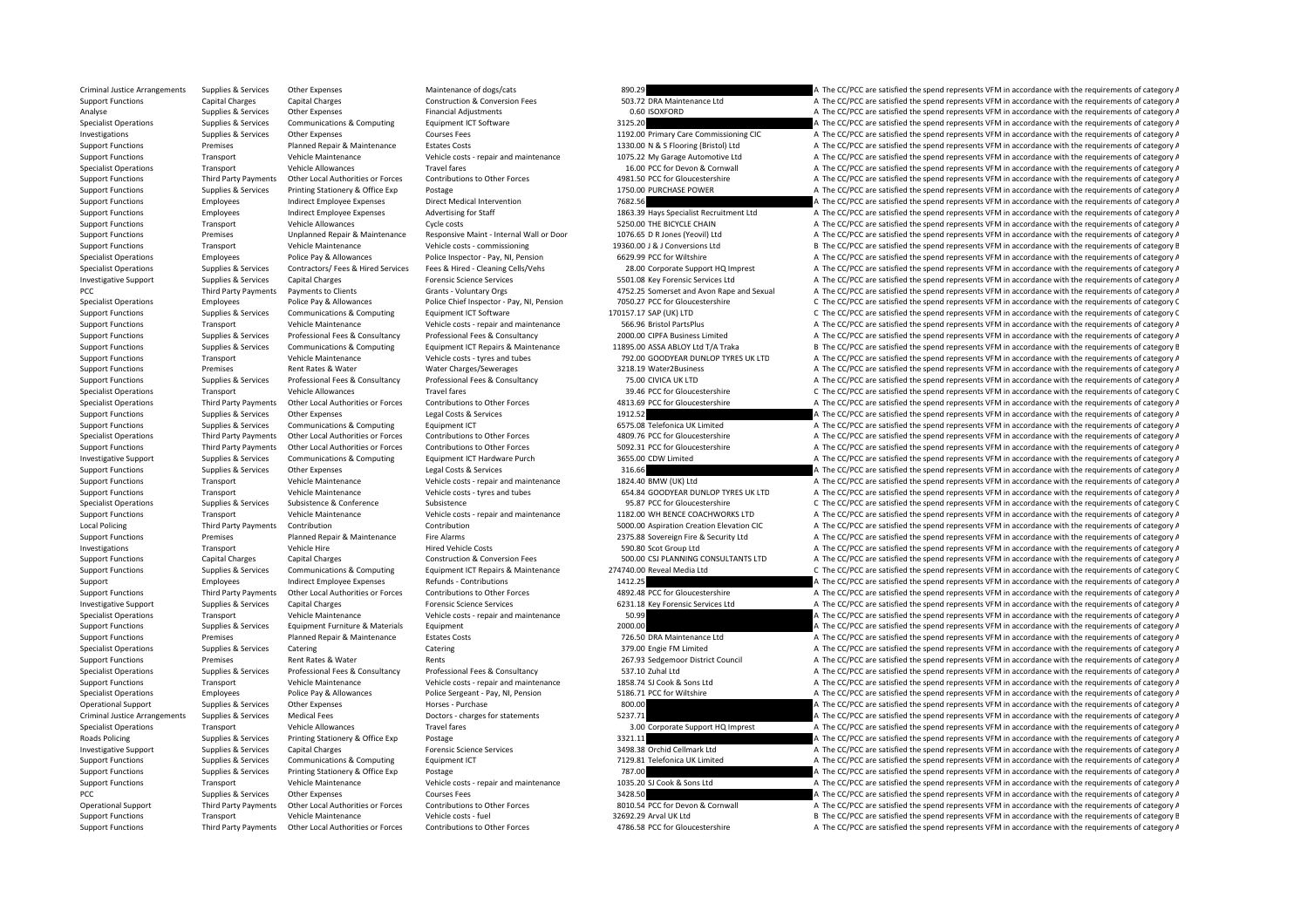Criminal Justice Arrangements Supplies & Services Other Expenses Maintenance of dogs/cats Maintenance of dogs/cats 890.29 A The CC/PCC are satisfied the spend represents VFM in accordance with the requirements of category Support Functions Capital Charges Capital Charges Capital Charges Construction & Conversion Fees 503.72 DRA Maintenance Ltd A The CC/PCC are satisfied the spend represents VFM in accordance with the requirements of categor Analyse Supplies & Services Other Expenses Financial Adjustments Communications & Communications & Communications & Communications & Communications & Communications & Communications and Equipment ICT Software and a categor A The CC/PCC are satisfied the spend represents VFM in accordance with the requirements of category A Investigations Supplies & Services Other Expenses Courses Fees Courses Fees 1192.00 Primary Care Commissioning CIC A The CC/PCC are satisfied the spend represents VFM in accordance with the requirements of category A Support Functions Premises Planned Repair & Maintenance Estates Costs 1330.00 N & S Flooring (Bristol) Ltd A The CC/PCC are satisfied the spend represents VFM in accordance with the requirements of category A Support Functions Transport Vehicle Maintenance Vehicle costs - repair and maintenance 1075.22 My Garage Automotive Ltd A The CC/PCC are satisfied the spend represents VFM in accordance with the requirements of category A Specialist Operations Transport Vehicle Allowances Travel fares Travel fares Travel fares 16.00 PCC for Devon & Cornwall A The CC/PCC are satisfied the spend represents VFM in accordance with the requirements of category A Support Functions Third Party Payments Other Local Authorities or Forces Contributions to Other Forces A981.50 PCC for Gloucestershire A The CC/PCC are satisfied the spend represents VFM in accordance with the requirements Support Functions Supplies & Services Printing Stationery & Office Exp Postage Postage 1750.00 PURCHASE POWER A The CC/PCC are satisfied the spend represents VFM in accordance with the requirements of category A Support Functions Employees Indirect Employee Expenses Direct Medical Intervention 7682.56 A The CC/PCC are satisfied the spend represents VFM in accordance with the requirements of category A Support Function 3 A The CC/P Support Functions Employees Indirect Employee Expenses Advertising for Staff 1863.39 Hays Specialist Recruitment Ltd A The CC/PCC are satisfied the spend represents VFM in accordance with the requirements of category A Support Functions Transport Vehicle Allowances Cycle costs Cycle costs 5250.00 THE BICYCLE CHAIN A The CC/PCC are satisfied the spend represents VFM in accordance with the requirements of category A Support Functions Premi A The CC/PCC are satisfied the spend represents VFM in accordance with the requirements of category A Support Functions Transport Vehicle Maintenance Vehicle costs ‐ commissioning 19360.00 J & J Conversions Ltd B The CC/PCC are satisfied the spend represents VFM in accordance with the requirements of category B Specialist Operations Employees Police Pay & Allowances Police Inspector - Pay, NI, Pension 6629.99 PCC for Wiltshire A The CC/PCC are satisfied the spend represents VFM in accordance with the requirements of category A Th A The CC/PCC are satisfied the spend represents VFM in accordance with the requirements of category A Investigative Support Supplies & Services Capital Charges Forensic Science Services Forensic Science Services 5501.08 Key Forensic Services Ltd A The CC/PCC are satisfied the spend represents VFM in accordance with the req PCC Third Party Payments Payments to Clients Grants - Voluntary Orgs 4752.25 Somerset and Avon Rape and Sexual A The CC/PCC are satisfied the spend represents VFM in accordance with the requirements of category A Specialist Operations Employees Police Pay & Allowances Police Chief Inspector - Pay, Ni, Pension 7050.27 PCC for Gloucestershire C The CC/PCC are satisfied the spend represents VFM in accordance with the requirements of c Support Functions Supplies & Services Communications & Computing Equipment ICT Software 170157.17 SAP (UK) LTD C The CC/PCC are satisfied the spend represents VFM in accordance with the requirements of category C Vehicle M Support Functions Transport Vehicle Maintenance Vehicle costs - repair and maintenance 566.96 Bristol PartsPlus A The CC/PCC are satisfied the spend represents VFM in accordance with the requirements of category A Supplies & Services Professional Fees & Consultancy Professional Fees & Consultancy Professional Fees & Consultancy Professional Fees & Consultancy Professional Fees & Consultancy Professional Fees & Consultancy 2000.00 CI Supplies & Services Communications & Computing Equipment ICT Repairs & Maintenance 11895.00 ASSA ABLOY Ltd T/A Traka Bille CrypCC are satisfied the spend represents VFM in accordance with the requirements of category E Support Functions Transport Vehicle Maintenance Vehicle costs - tyres and tubes 792.00 GOODYEAR DUNLOP TYRES UK LTD A The CC/PCC are satisfied the spend represents VFM in accordance with the requirements of category A Support Functions Premises Rent Rates & Water Water Water Charges/Sewerages 3218.19 Water 2Business A The CC/PCC are satisfied the spend represents VFM in accordance with the requirements of category A Thomas Consultance C Support Functions Supplies & Services Professional Fees & Consultancy Professional Fees & Consultancy Professional Fees & Consultancy Professional Fees & Consultancy Professional Fees & Consultancy Professional Fees & Cons Specialist Operations Transport Vehicle Allowances Travel fares Travel fares and the security of C The CC/PCC are satisfied the spend represents VFM in accordance with the requirements of category C The CC/PCC are satisfie Specialist Operations Third Party Payments Other Local Authorities or Forces Contributions to Other Forces A813.69 PCC for Gloucestershire A The CC/PCC are satisfied the spend represents VFM in accordance with the requirem Support Functions Supplies Services Other Expenses Costs and Costs and Costs and Costs and Costs and The COSTS are satisfied the spend represents VFM in accordance with the requirements of category A The CODES are satisfie Support Functions Supplies & Services Communications & Computing Equipment ICT 6575.08 Telefonica UK Limited A The CC/PCC are satisfied the spend represents VFM in accordance with the requirements of category A The computi Specialist Operations Third Party Payments Other Local Authorities or Forces Contributions to Other Forces contributions of Chefforces 4809.76 PCC for Gloucestershire A The CC/PCC are satisfied the spend represents VFM in Support Functions Third Party Payments Other Local Authorities or Forces Contributions to Other Forces S092.31 PCC for Gloucestershire A The CC/PCC are satisfied the spend represents VFM in accordance with the requirements Investigative Support Supplies & Services Communications & Computing Equipment ICT Hardware Purch 3655.00 CDW Limited A The CC/PCC are satisfied the spend represents VFM in accordance with the requirements of category A Support Functions Supplies & Services Other Expenses Legal Costs & Services 316.66 A The CC/PCC are satisfied the spend represents VFM in accordance with the requirements of category A Support Functions Transport Vehicle Maintenance Vehicle costs - repair and maintenance 1824.40 BMW (UK) Ltd A The CC/PCC are satisfied the spend represents VFM in accordance with the requirements of category A The Criminal Support Functions Transport Vehicle Maintenance Vehicle costs - tyres and tubes 654.84 GOODYEAR DUNLOP TYRES UK LTD A The CC/PCC are satisfied the spend represents VFM in accordance with the requirements of category A Specialist Operations Supplies & Services Subsistence Subsistence Subsistence Subsistence Subsistence Subsistence Subsistence Subsistence Subsistence Subsistence Subsistence Subsistence Subsistence Subsistence Subsistence Support Functions Transport Vehicle Maintenance Vehicle costs ‐ repair and maintenance 1182.00 WH BENCE COACHWORKS LTD A The CC/PCC are satisfied the spend represents VFM in accordance with the requirements of category A Local Policing Third Party Payments Contribution Contribution Contribution Contribution Contribution Contribution Contribution Contribution Contribution S000.00 Aspiration Creation Elevation CIC A The CC/PCC are satisfied Support Functions Premises Premises Planned Repair & Maintenance Fire Alarms 2375.88 Sovereign Fire & Security Ltd A The CC/PCC are satisfied the spend represents VFM in accordance with the requirements of category A Investigations Transport Vehicle Hire Hired Vehicle Costs Hired Vehicle Costs 590.80 Scot Group Ltd A The CC/PCC are satisfied the spend represents VFM in accordance with the requirements of category A The Costs 500.00 CSI Support Functions Capital Charges Capital Charges Construction & Conversion Fees 500.00 CSI PLANNING CONSULTANTS LTD A The CC/PCC are satisfied the spend represents VFM in accordance with the requirements of category A Supplies & Services Communications & Computing Equipment ICT Repairs & Maintenance 274740.00 Reveal Media Ltd C The CC/PCC are satisfied the spend represents VFM in accordance with the requirements of category C Support Employees Indirect Employee Expenses Refunds - Contributions 1412.25 A The CC/PCC are satisfied the spend represents VFM in accordance with the requirements of category A Support Functions Third Party Payments Other Local Authorities or Forces Contributions to Other Forces A892.48 PCC for Gloucestershire A The CC/PCC are satisfied the spend represents VFM in accordance with the requirements Investigative Support Supplies & Services Capital Charges Forensic Science Services 6231.18 Key Forensic Services Ltd A The CC/PCC are satisfied the spend represents VFM in accordance with the requirements of category A Specialist Operations Transport Vehicle Maintenance Vehicle costs - repair and maintenance SO.99 Support Equipment COVPCC are satisfied the spend represents VFM in accordance with the requirements of category A The COVPC a Support Functions Supplies & Services Equipment Furniture & Materials Equipment extra Equipment Purinents Extres Costs and the COLOGIC are satisfied the spend represents VFM in accordance with the requirements of category Support Functions Premises Planned Repair & Maintenance Estates Costs 726.50 DRA Maintenance Ltd A The CC/PCC are satisfied the spend represents VFM in accordance with the requirements of category A Specialist Operations Supplies & Services Catering Specialist Catering Catering Catering Catering Catering Catering Catering Catering Catering Catering Catering Catering Catering Catering Catering Catering and a Specialist Support Functions Premises Rent Rates & Water Rents Rents Rents Rents Rents Rents 267.93 Sedgemoor District Council A The CC/PCC are satisfied the spend represents VFM in accordance with the requirements of category A Specialist Operations Supplies & Services Professional Fees & Consultancy Professional Fees & Consultancy Professional Fees & Consultancy Professional Fees & Consultancy Professional Fees & Consultancy Professional Fees & Support Functions Transport Vehicle Maintenance Vehicle costs – repair and maintenance 1858.74 SJ Cook & Sons Ltd A The CC/PCC are satisfied the spend represents VFM in accordance with the requirements of category A The Cr Specialist Operations Employees Police Pay & Allowances Police Sergeant - Pay, NI, Pension 5186.71 PCC for Wiltshire A The CC/PCC are satisfied the spend represents VFM in accordance with the requirements of category A Operational Support Supplies & Services Other Expenses Horses Purchase A The CODO BOOD A The CC/PCC are satisfied the spend represents VFM in accordance with the requirements of category A Criminal Justice Arrangements Supplies & Services Medical Fees Doctors - charges for statements A The CC/PCC are satisfied the spend represents VFM in accordance with the requirements of category A Specialist Operations Transport Vehicle Allowances Travel fares Travel fares 3.00 Corporate Support HQ Imprest A The CC/PCC are satisfied the spend represents VFM in accordance with the requirements of category A Roads Policing Supplies A Services Printing Stationery & Office Exp Postage 3321.11 2012 a The CC/PCC are satisfied the spend represents VFM in accordance with the requirements of category A The Creatisfied the spend repre Investigative Support Supplies & Services Capital Charges Forensic Science Services and Support Support Support Support Support Support Support Support Support Support Support Support Support Support Support Support Suppor Support Functions Supplies & Services Communications & Computing Equipment ICT 7129.81 Telefonica UK Limited A The CC/PCC are satisfied the spend represents VFM in accordance with the requirements of category A Support Functions Supplies & Services Printing Stationery & Office Exp Postage Postage 787.00 787.00 A The CC/PCC are satisfied the spend represents VFM in accordance with the requirements of category A The CC/PCC are sati A The CC/PCC are satisfied the spend represents VFM in accordance with the requirements of category A PCC The CC/PCC are satisfied the spend represents VFM in accordance with the requirements of category A The CC/PCC are satisfied the spend represents VFM in accordance with the requirements of category A Operational Support Third Party Payments Other Local Authorities or Forces Contributions to Other Forces contributions Come SO10.54 PCC for Devon & Cornwall A The CC/PCC are satisfied the spend represents VFM in accordance Support Functions Transport Vehicle Maintenance Vehicle costs - fuel 32692.29 Arval UK Ltd B The CC/PCC are satisfied the spend represents VFM in accordance with the requirements of category E Support Functions Third Party Payments Other Local Authorities or Forces Contributions to Other Forces 4786.58 PCC for Gloucestershire A The CC/PCC are satisfied the spend represents VFM in accordance with the requirements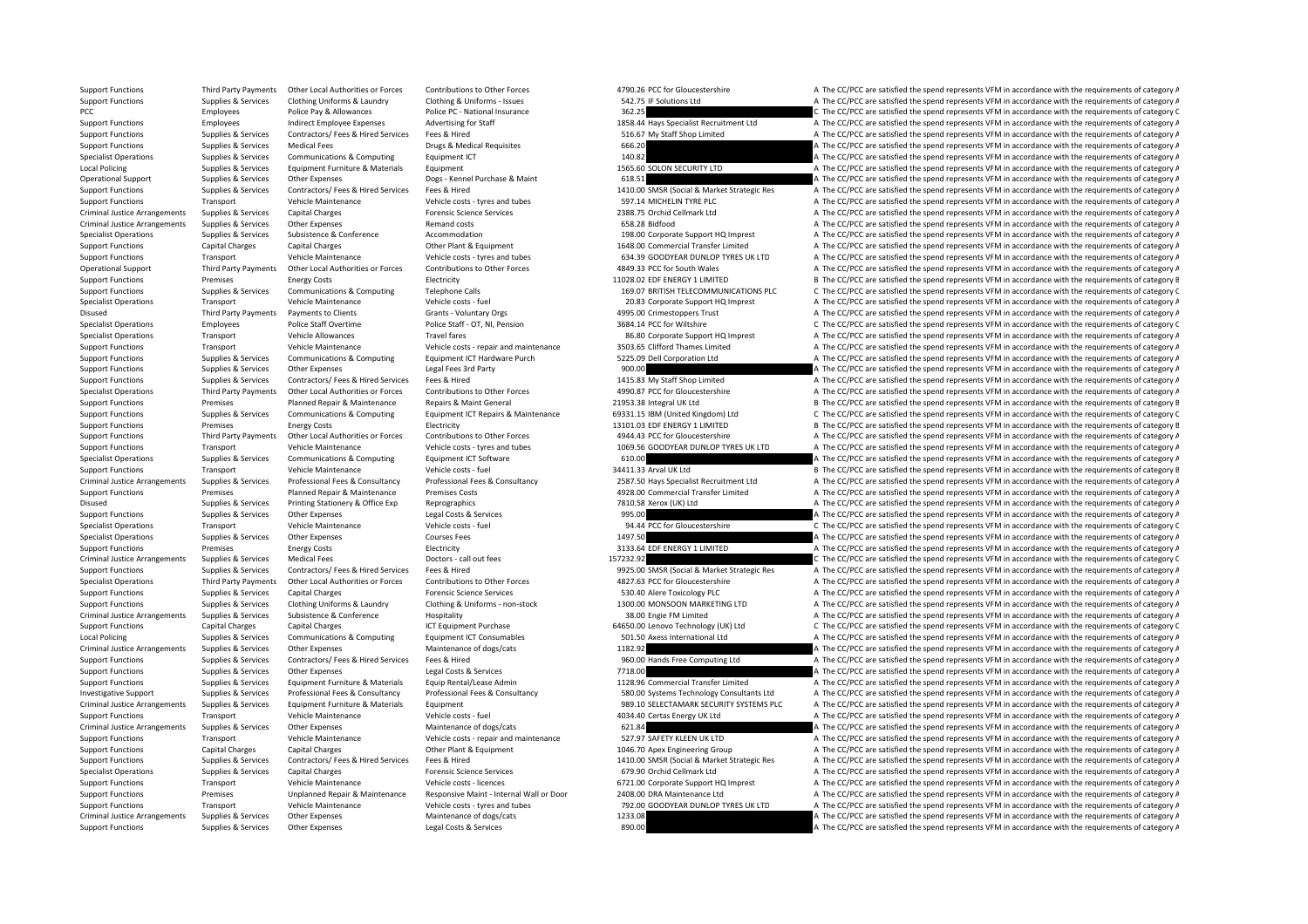Support Functions Supplies & Services Other Expenses Legal Costs & Services A The COPCC are satisfied the spend represents VFM in accordance with the requirements of category A

Support Functions Third Party Payments Other Local Authorities or Forces Contributions to Other Forces A790.26 PCC for Gloucestershire A The CC/PCC are satisfied the spend represents VFM in accordance with the requirements Support Functions Supplies & Services Clothing Uniforms & Laundry Clothing & Uniforms - Issues 542.75 IF Solutions Ltd A The CC/PCC are satisfied the spend represents VFM in accordance with the requirements of category A T PCC PCC Employees Police Pay & Allowances Police PC - National Insurance 362.25 C The CC/PCC are satisfied the spend represents VFM in accordance with the requirements of category C<br>Support Functions Employees Indirect E Support Functions Employees Indirect Employee Expenses Advertising for Staff 1858.44 Hays Specialist Recruitment Ltd A The CC/PCC are satisfied the spend represents VFM in accordance with the requirements of category A Support Functions Supplies & Services Contractors/ Fees & Hired Services Fees & Hired Fees A Services Fees & Hired Services Fees & Hired Supplies and the Services Services Services Services Services Shop Drugs & Medical Re Support Functions Supplies & Services Medical Fees Drugs & Medical Requisites 666.20 A The CC/PCC are satisfied the spend represents VFM in accordance with the requirements of category A Specialist Operations Supplies & Services Communications & Computing Equipment ICT 140.82 A The CC/PCC are satisfied the spend represents VFM in accordance with the requirements of category A The CC/PC are satisfied the sp Local Policing Supplies & Services Equipment Furniture & Materials Equipment Equipment Equipment Equipment a The CONNECURITY LTD A The CC/PCC are satisfied the spend represents VFM in accordance with the requirements of ca Operational Support Supplies & Services Other Expenses Does - Kennel Purchase & Maint 618.51 A The CC/PCC are satisfied the spend represents VFM in accordance with the requirements of category A Supplies & Services Contractors/ Fees & Hired Services Fees & Hired The Services Fees & Hired Services Fees & Hired Services Fees & Hired Services Fees & Hired Services Fees & Hired Services Fees & Hired Services Fees & Hi Support Functions Transport Vehicle Maintenance Vehicle costs – tyres and tubes 597.14 MICHELIN TYRE PLC A The CC/PCC are satisfied the spend represents VFM in accordance with the requirements of category A The Criminal lu Criminal Justice Arrangements Supplies & Services Capital Charges Forensic Science Services 2388.75 Orchid Cellmark Ltd A The CC/PCC are satisfied the spend represents VFM in accordance with the requirements of category A Criminal Justice Arrangements Supplies & Services Other Expenses Remand costs Remand costs Remand costs 658.28 Bidfood A The CC/PCC are satisfied the spend represents VFM in accordance with the requirements of category A T Specialist Operations Support Operations Support Accordance Accordance Accommodation 198.00 Corporate Support H<br>A The CC/PCC are satisfied the spend represents VFM in accordance with the requirements of category A Support Functions Capital Charges Capital Charges Other Plant & Equipment 1648.00 Commercial Transfer Limited A The CC/PCC are satisfied the spend represents VFM in accordance with the requirements of category A Support Functions Transport Vehicle Maintenance Vehicle costs - tyres and tubes 634.39 GOODYEAR DUNLOP TYRES UK LTD A The CC/PCC are satisfied the spend represents VFM in accordance with the requirements of category A Vehi A The CC/PCC are satisfied the spend represents VFM in accordance with the requirements of category A Support Functions Premises Energy Costs Electricity Electricity and the Support Electricity 11028.02 EDF ENERGY 1 LIMITED B The CC/PCC are satisfied the spend represents VFM in accordance with the requirements of category Support Functions Supplies & Services Communications & Computing Telephone Calls 169.07 BRITISH TELECOMMUNICATIONS PLC C The CC/PCC are satisfied the spend represents VFM in accordance with the requirements of category C Specialist Operations Transport Vehicle Maintenance Vehicle costs - fuel 20.83 Corporate Support HQ Imprest A The CC/PCC are satisfied the spend represents VFM in accordance with the requirements of category A Disused Third Party Payments Payments to Clients Grants - Voluntary Orgs 4995.00 Crimestoppers Trust A The CC/PCC are satisfied the spend represents VFM in accordance with the requirements of category A Police Staff Ore an Specialist Operations Control Police Staff Overtime Police Staff - OT, NI, Pension 3684.14 PCC for Wiltshire 3680 Corporate Support HQ Imprest C The CC/PCC are satisfied the spend represents VFM in accordance with the requ Specialist Operations Transport Vehicle Allowances Travel fares Travel fares 86.80 Corporate Support HQ Imprest A The CC/PCC are satisfied the spend represents VFM in accordance with the requirements of category A Support Functions Transport Vehicle Maintenance Vehicle costs - repair and maintenance 3503.65 Clifford Thames Limited A The CC/PCC are satisfied the spend represents VFM in accordance with the requirements of category A Support Functions Supplies & Services Communications & Computing Foujinment ICT Hardware Purch 5225.09 Dell Corporation Ltd A The CC/PCC are satisfied the spend represents VFM in accordance with the requirements of categor Support Functions Supplies & Services Other Expenses Legal Fees 3rd Party Legal Fees 3rd Party 900.00 A The CC/PCC are satisfied the spend represents VFM in accordance with the requirements of category A The CC/PC are sati Support Functions Supplies & Services Contractors/ Fees & Hired Services Fees & Hired 1415.83 My Staff Shop Limited A The CC/PCC are satisfied the spend represents VFM in accordance with the requirements of category A The Specialist Operations Third Party Payments Other Local Authorities or Forces Contributions to Other Forces A990.87 PCC for Gloucestershire A The CC/PCC are satisfied the spend represents VFM in accordance with the requirem Support Functions Premises Planned Repair & Maintenance Repairs & Maint General 21953.38 Integral UK Ltd B The CC/PCC are satisfied the spend represents VFM in accordance with the requirements of category B Support Functions Supplies & Services Communications & Computing Communications & Computing Foutbread Functions Foutbread Maintenance 69331.15 IBM (United Kingdom) Itd C. The CC/PCC are satisfied the spend represents VFM i Support Functions Premises Premises Energy Costs Electricity Electricity Electricity 13101.03 EDF ENERGY 1 LIMITED B The CC/PCC are satisfied the spend represents VFM in accordance with the requirements of category B The c Support Functions Third Party Payments Other Local Authorities or Forces Contributions to Other Forces A944.43 PCC for Gloucestershire A The CC/PCC are satisfied the spend represents VFM in accordance with the requirements Support Functions Transport Vehicle Maintenance Vehicle costs - tyres and tubes 1069.56 GOODYEAR DUNLOP TYRES UK LTD A The CC/PCC are satisfied the spend represents VFM in accordance with the requirements of category A Specialist Operations Supplies & Services Communications & Computing Equipment ICT Software 610.00 610.00 A The CC/PCC are satisfied the spend represents VFM in accordance with the requirements of category A Support Functions Transport Vehicle Maintenance Vehicle costs – fuel 34411.33 Arval UK Ltd B The CC/PCC are satisfied the spend represents VFM in accordance with the requirements of category B Criminal Justice Arrangements Supplies & Services Professional Fees & Consultancy Professional Fees & Consultancy Professional Fees & Consultancy Professional Fees & Consultancy Professional Fees & Consultancy Professional Support Functions Premises Planned Repair & Maintenance Premises Costs 4928.00 Commercial Transfer Limited A The CC/PCC are satisfied the spend represents VFM in accordance with the requirements of category A Disused Supplies & Services Printing Stationery & Office Exp Reprographics 7810.58 Xerox (UK) Ltd A The CC/PCC are satisfied the spend represents VFM in accordance with the requirements of category A Support Functions Supplies & Services Other Expenses Legal Costs & Services Legal Costs & Services Legal Costs & Services 995.00 A The CC/PCC are satisfied the spend represents VFM in accordance with the requirements of ca Specialist Operations Transport Vehicle Maintenance Vehicle costs - fuel 94.44 PCC for Gloucestershire C. The CC/PCC are satisfied the spend represents VFM in accordance with the requirements of category C Specialist Operations Supplies & Services Other Expenses Courses Fees Courses Fees 1497.50 A The CC/PCC are satisfied the spend represents VFM in accordance with the requirements of category A Support Functions Premises Energy Costs Electricity Electricity 3133.64 EDF ENERGY 1 LIMITED A The CC/PCC are satisfied the spend represents VFM in accordance with the requirements of category A Criminal Justice Arrangements Supplies & Services Medical Fees Doctors - call out fees Doctors - call out fees 157232.92 C The CC/PCC are satisfied the spend represents VFM in accordance with the requirements of category C Supplies & Services Contractors/Fees & Hired Services Fees & Hired Frees Contractors/Fees & Hired Services Fees & Hired Services Fees & Hired Services Fees & Hired Services Fees & Hired Services Fees & Hired Services Fees Specialist Operations Third Party Payments Other Local Authorities or Forces Contributions to Other Forces A827.63 PCC for Gloucestershire A The CC/PCC are satisfied the spend represents VFM in accordance with the requirem Support Functions Supplies & Services Capital Charges Forensic Science Services Forensic Science Services Forensic Science Services 530.40 Alere Toxicology PLC A The CC/PCC are satisfied the spend represents VFM in accorda Supplies & Services Clothing Uniforms & Laundry Clothing & Uniforms - non-stock 1300.00 MONSOON MARKETING LTD A The CC/PCC are satisfied the spend represents VFM in accordance with the requirements of category A Criminal Justice Arrangements Supplies & Services Subsistence & Conference Hospitality Hospitality 38.00 Engie FM Limited A The CC/PCC are satisfied the spend represents VFM in accordance with the requirements of category Support Functions Capital Charges Capital Charges Capital Charges Capital Charges ACT Equipment Purchase 64650.00 Lenovo Technology (UK) Ltd C The CC/PCC are satisfied the spend represents VFM in accordance with the requir Local Policing Supplies & Services Communications & Computing Equipment ICT Consumables 501.50 Axess International Ltd A The CC/PCC are satisfied the spend represents VFM in accordance with the requirements of category A Criminal Justice Arrangements Supplies & Services Other Expenses Maintenance of dogs/cats Maintenance of dogs/cats 1182.92 A The CC/PCC are satisfied the spend represents VFM in accordance with the requirements of category Support Functions Supplies & Services Contractors/ Fees & Hired Services Fees & Hired 960.00 Hands Free Computing Ltd A The CC/PCC are satisfied the spend represents VFM in accordance with the requirements of category A Support Functions Supplies & Services Other Expenses Legal Costs & Services Legal Costs & Services A The COVEC are satisfied the spend represents VFM in accordance with the requirements of category A Support Functions Supplies & Services Equipment Furniture & Materials Equip Rental/Lease Admin 1128.96 Commercial Transfer Limited A The CC/PCC are satisfied the spend represents VFM in accordance with the requirements of Investigative Support Supplies & Services Professional Fees & Consultancy Professional Fees & Consultancy Professional Fees & Consultancy Professional Fees & Consultancy Professional Fees & Consultancy Professional Fees & Criminal Justice Arrangements Supplies & Services Equipment Furniture & Materials Equipment Equipment Equipment<br>
Vehicle Materials Support Consumer Support Pransport and Transport Transport Vehicle Materiance Vehicle Const Support Functions Transport Vehicle Maintenance Vehicle costs - fuel 4034.40 Certas Energy UK Ltd A The CC/PCC are satisfied the spend represents VEM in accordance with the requirements of category A Criminal Justice Arrangements Supplies & Services Other Expenses Maintenance of dogs/cats 621.84 63.84 A The CC/PCC are satisfied the spend represents VFM in accordance with the requirements of category A Support Functions Transport Vehicle Maintenance Vehicle costs - repair and maintenance 527.97 SAFETY KLEEN UK LTD A The CC/PCC are satisfied the spend represents VFM in accordance with the requirements of category A The Cr A The CC/PCC are satisfied the spend represents VFM in accordance with the requirements of category A Supplies & Services Contractors/Fees & Hired Services Fees & Hired The Services Fees & Hired The Services Fees & Hired Services Fees & Hired The COND SMSR (Social & Market Strategic Res A The CC/PCC are satisfied the spend Specialist Operations Supplies & Services Capital Charges Manufact Capital Charges Forensic Science Services 679.90 Orchid Cellmark Ltd A The CC/PCC are satisfied the spend represents VFM in accordance with the requirement A The CC/PCC are satisfied the spend represents VFM in accordance with the requirements of category A Support Functions Premises Unplanned Repair & Maintenance Responsive Maint - Internal Wall or Door 2408.00 DRA Maintenance Ltd A The CC/PCC are satisfied the spend represents VFM in accordance with the requirements of cate Support Functions Transport Vehicle Maintenance Vehicle costs - tyres and tubes 792.00 GOODYEAR DUNLOP TYRES UK LTD A The CC/PCC are satisfied the spend represents VFM in accordance with the requirements of category A Criminal Justice Arrangements Supplies & Services Other Expenses Maintenance of dogs/cats Maintenance of dogs/cats 1233.08 A The CC/PCC are satisfied the spend represents VFM in accordance with the requirements of category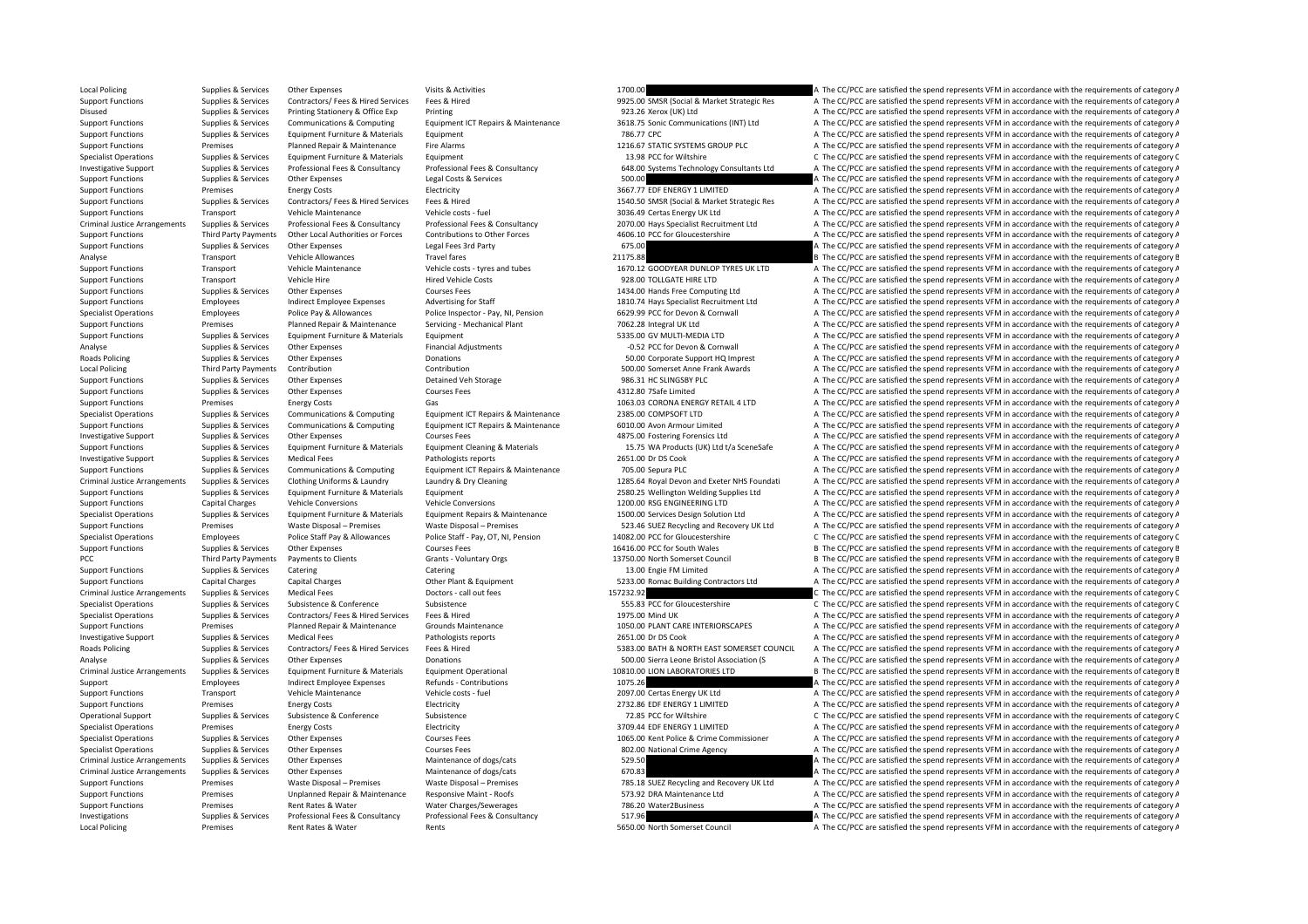Local Policing Premises Rent Rates & Water Rents Rents Rents Section A The CC/PCC are satisfied the spend represents VFM in accordance with the requirements of category A

Local Policing Supplies & Services Other Expenses Visits & Activities Visits & Activities 1700.00 A The CC/PCC are satisfied the spend represents VFM in accordance with the requirements of category A Supplies & Services Contractors/Fees & Hired Services Fees & Hired Services Fees & Hired Services Fees & Hired Services Fees & Hired Services Fees & Hired Services Fees & Hired Services Fees & Hired Services Fees & Hired S Disused Supplies & Services Printing Stationery & Office Exp Printing Printing Printing Stationery A Office Exp Printing Printing Stationers and Development of category A The CC/PCC are satisfied the spend represents VFM i Supplies & Services Communications & Computing Equipment ICT Repairs & Maintenance 3618.75 Sonic Communications (INT) Ltd A The CC/PCC are satisfied the spend represents VFM in accordance with the requirements of category Support Functions Supplies & Services Faujoment Functions of category A The CC/PCC are satisfied the spend represents VFM in accordance with the requirements of category A Support Functions Premises Planned Repair & Maintenance Fire Alarms 1216.67 STATIC SYSTEMS GROUP PLC A The CC/PCC are satisfied the spend represents VFM in accordance with the requirements of category A Specialist Operations Supplies & Services Equipment Furniture & Materials Equipment 13.98 PCC for Wiltshire 13.98 PCC for Wiltshire C The CC/PCC are satisfied the spend represents VFM in accordance with the requirements of Investigative Support Supplies & Services Professional Fees & Consultancy Professional Fees & Consultancy Professional Fees & Consultancy Professional Fees & Consultancy Professional Fees & Consultancy Professional Fees & Support Functions Supplies & Services Other Expenses Legal Costs & Services Legal Costs & Services Costs & Services Services Costs & Services Costs & Services Costs & Services Costs & Services Costs & Services Costs & Serv Support Functions Premises Energy Costs Electricity Electricity 3667.77 EDF ENERGY 1 LIMITED A The CC/PCC are satisfied the spend represents VFM in accordance with the requirements of category A Support Functions Supplies & Services Contractors/Fees & Hired Services Fees & Hired Hired Services Fees & Hired Services Fees & Hired Services Fees & Hired Services Fees & Hired Service Contractors Fees & Hired Service Me Support Functions Transport Vehicle Maintenance Vehicle costs - fuel 3036.49 Certas Energy UK Ltd A The CC/PCC are satisfied the spend represents VFM in accordance with the requirements of category A Criminal Justice Arrangements Supplies & Services Professional Fees & Consultancy Professional Fees & Consultancy Professional Fees & Consultancy Professional Fees & Consultancy Professional Fees & Consultancy Professional A The CC/PCC are satisfied the spend represents VFM in accordance with the requirements of category A Support Functions Supplies & Services Other Expenses Legal Fees 3rd Party 675.00 675.00 A The CC/PCC are satisfied the spend represents VFM in accordance with the requirements of category A Analyse Transport Mehicle Allowances Travel fares Travel fares 21175.88 B The CC/PCC are satisfied the spend represents VFM in accordance with the requirements of category B The COMEAN in accordance with the requirements o A The CC/PCC are satisfied the spend represents VFM in accordance with the requirements of category A Support Functions Transport Vehicle Hire Hired Vehicle Costs and the Hired Vehicle Costs 928.00 TOLLGATE HIRE LTD A The CC/PCC are satisfied the spend represents VFM in accordance with the requirements of category A Support Functions Supplies & Services Other Expenses Courses Fees Courses Fees 1434.00 Hands Free Computing Ltd A The CC/PCC are satisfied the spend represents VFM in accordance with the requirements of category A Support Functions Employees Indirect Employee Expenses Advertising for Staff 1810.74 Hays Specialist Recruitment Ltd A The CC/PCC are satisfied the spend represents VFM in accordance with the requirements of category A Specialist Operations Employees Police Pay & Allowances Police Inspector - Pay, NJ, Pension 6629.99 PCC for Devon & Cornwall<br>Support Functions Premises Planned Renair & Maintenance Servicing - Mechanical Plant 7062.28 Inte Support Functions Premises Planned Repair & Maintenance Servicing Mechanical Plant 7062.28 Integral UK Itd A The CC/PCC are satisfied the spend represents VFM in accordance with the requirements of category A Support Functions Supplies & Services Equipment Furniture & Materials Equipment Furniture & Materials Equipment 5335.00 GV MULTI-MEDIA LTD A The CC/PCC are satisfied the spend represents VFM in accordance with the requirem Analyse Supplies & Services Other Expenses Financial Adjustments Financial Adjustments – 9.52 PCC for Devon & Cornwall A The CC/PCC are satisfied the spend represents VFM in accordance with the requirements of category A Roads Policing Supplies Services Other Expenses Donations Donations Support Support BO Corporate Support HO Imprest A The CC/PCC are satisfied the spend represents VFM in accordance with the requirements of category A Local Policing Third Party Payments Contribution Contribution Contribution Contribution Contribution Contribution Contribution Contribution Supplements of category A The CC/PCC are satisfied the spend represents VFM in acc Support Functions Supplies & Services Other Expenses Detained Veh Storage 986.31 HC SLINGSBY PLC A The CC/PCC are satisfied the spend represents VFM in accordance with the requirements of category A Support Functions Supplies & Services Other Expenses Courses Fees Courses Fees 4312.80 7Safe Limited A The CC/PCC are satisfied the spend represents VFM in accordance with the requirements of category A Support Functions Premises Energy Costs Gas Gas 1063.03 CORONA ENERGY RETAIL 4 LTD A The CC/PCC are satisfied the spend represents VFM in accordance with the requirements of category A Specialist Operations Supplies & Services Communications & Computing Equipment ICT Repairs & Maintenance 2385.00 COMPSOFT LTD A The CC/PCC are satisfied the spend represents VFM in accordance with the requirements of categ Supplies & Services Communications & Computing Equipment ICT Repairs & Maintenance 6010.00 Avon Armour Limited A The CC/PCC are satisfied the spend represents VFM in accordance with the requirements of category A Investigative Support Supplies & Services Other Expenses Courses Fees Courses Fees 4875.00 Fostering Forensics Ltd A The CC/PCC are satisfied the spend represents VFM in accordance with the requirements of category A Supplies & Services Equipment Furniture & Materials Foundment Cleaning & Materials And Cleaning & Materials Provides And The CONSTRICALLY A Serve CONSTRICALLY A Serve CONSTRICALLY A Serve Safe A The CC/PCC are satisfied th Investigative Support Supplies & Services Medical Fees Pathologists reports Pathologists reports 2651.00 Dr DS Cook A The CC/PCC are satisfied the spend represents VFM in accordance with the requirements of category A Support Functions Supplies & Services Communications & Computing Foujoment ICT Repairs & Maintenance 705.00 Sepura PLC A The CC/PCC are satisfied the spend represents VFM in accordance with the requirements of category A Criminal Justice Arrangements Supplies & Services Clothing Uniforms & Laundry Laundry Manuforms Manufor Supplies & Services Clothing Uniforms & Laundry Manufor Manufor Manuforms of category A The CC/PCC are satisfied the s Support Functions Supplies & Services Equipment Furniture & Materials Equipment 2580.25 Wellington Welding Supplies Ltd A The CC/PCC are satisfied the spend represents VFM in accordance with the requirements of category A Support Functions Capital Charges Vehicle Conversions Vehicle Conversions Vehicle Conversions 1200.00 RSG ENGINEERING LTD A The CC/PCC are satisfied the spend represents VFM in accordance with the requirements of category Supplies & Services Equipment Furniture & Materials Equipment Repairs & Maintenance 1500.00 Services Design Solution Ltd A The CC/PCC are satisfied the spend represents VFM in accordance with the requirements of category A Support Functions Premises Waste Disposal – Premises Waste Disposal – Premises Waste Disposal – Premises Waste Disposal – Premises Waste Disposal – Premises S23.46 SUEZ Recycling and Recovery UK Ltd A The CC/PCC are satisf Specialist Operations Conditional Employees Police Staff Pay & Allowances Police Staff - Pay OT NI Pension 14082 00 PCC for Glourestershire C The CC/PCC are satisfied the spend represents VEM in accordance with the require Support Functions Supplies & Services Other Expenses Courses Fees Courses Fees 16416.00 PCC for South Wales B The CC/PCC are satisfied the spend represents VFM in accordance with the requirements of category E PCC Third Party Payments **Payments** to Clients Grants - Voluntary Orgs 13750.00 North Somerset Council B The CC/PCC are satisfied the spend represents VFM in accordance with the requirements of category B Support Functions Supplies & Services Catering Catering Catering Catering Catering Catering Catering Catering Catering Catering Catering Catering Catering Catering Catering Catering Catering Catering Catering Category A Th Support Functions Capital Charges Capital Charges Other Plant & Equipment S233.00 Romac Building Contractors Ltd A The CC/PCC are satisfied the spend represents VFM in accordance with the requirements of category A Criminal Justice Arrangements Supplies & Services Medical Fees Doctors - call out fees 157232.92 C The CC/PCC are satisfied the spend represents VFM in accordance with the requirements of category C Specialist Operations Supplies & Services Subsistence Subsistence Subsistence Subsistence Subsistence Subsistence Subsistence Subsistence Subsistence Subsistence Subsistence Subsistence Subsistence Subsistence Subsistence Specialist Operations Supplies & Services Contractors/ Fees & Hired Fees & Hired Fees & Hired 1975.00 Mind UK A The CC/PCC are satisfied the spend represents VFM in accordance with the requirements of category A The CC/PCC Support Functions Premises Planned Repair & Maintenance Grounds Maintenance 1050.00 PLANT CARE INTERIORSCAPES A The CC/PCC are satisfied the spend represents VFM in accordance with the requirements of category A The Criter A The CC/PCC are satisfied the spend represents VFM in accordance with the requirements of category A Roads Policing Supplies & Services Contractors/ Fees & Hired Services Fees & Hired Services Fees & Hired Services Fees & Hired State of Contractors/ Fees & Hired State Services Fees & Hired State Services State State State Analyse Supplies & Services Other Expenses Donations Donations Donations SOO.00 Sierra Leone Bristol Association (S A The CC/PCC are satisfied the spend represents VFM in accordance with the requirements of category A Criminal Justice Arrangements Supplies & Services Equipment Furniture & Materials Equipment Operational Equipment Operational Equipment Operational 10810.00 LION LABORATORIES LTD B The CC/PCC are satisfied the spend repres Support Employees Support Employee Expenses Refunds - Contributions Refunds 1075.26 A The CC/PCC are satisfied the spend represents VFM in accordance with the requirements of category A Support Functions Transport Vehicle Support Functions Transport Vehicle Maintenance Vehicle costs - fuel 2097.00 Certas Energy UK Ltd A The CC/PCC are satisfied the spend represents VFM in accordance with the requirements of category A Support Functions Premises Energy Costs Electricity Electricity Electricity 2732.86 EDF ENERGY 1 LIMITED A The CC/PCC are satisfied the spend represents VFM in accordance with the requirements of category A Operational Support Supplies & Services Subsistence Subsistence Subsistence Subsistence Subsistence Subsistence 72.85 PCC for Wiltshire C The CC/PCC are satisfied the spend represents VFM in accordance with the requirement Specialist Operations Premises Energy Costs Electricity Electricity 3709.44 EDE ENERGY 1 LIMITED A The CC/PCC are satisfied the spend represents VFM in accordance with the requirements of category A Specialist Operations Supplies & Services Other Expenses Courses Fees Courses Fees 1065.00 Kent Police & Crime Commissioner A The CC/PCC are satisfied the spend represents VFM in accordance with the requirements of categor A The CC/PCC are satisfied the spend represents VFM in accordance with the requirements of category A Criminal Justice Arrangements Supplies & Services Other Expenses Maintenance of dogs/cats Maintenance of dogs/cats 529.50 A The CC/PCC are satisfied the spend represents VFM in accordance with the requirements of category Criminal Justice Arrangements Supplies & Services Other Expenses Maintenance of dogs/cats Maintenance of dogs/cats 670.83 A The CC/PCC are satisfied the spend represents VFM in accordance with the requirements of category A The CC/PCC are satisfied the spend represents VFM in accordance with the requirements of category A Support Functions Premises Unplanned Repair & Maintenance Responsive Maint ‐ Roofs 573.92 DRA Maintenance Ltd A The CC/PCC are satisfied the spend represents VFM in accordance with the requirements of category A Support Functions Premises Rent Rates & Water Water Charges/Sewerages 786.20 Water2Business A The CC/PCC are satisfied the spend represents VFM in accordance with the requirements of category A Investigations Supplies & Services Professional Fees & Consultancy Professional Fees & Consultancy Professional Fees & Consultancy Professional Fees & Consultancy S17.96 A The CC/PCC are satisfied the spend represents VFM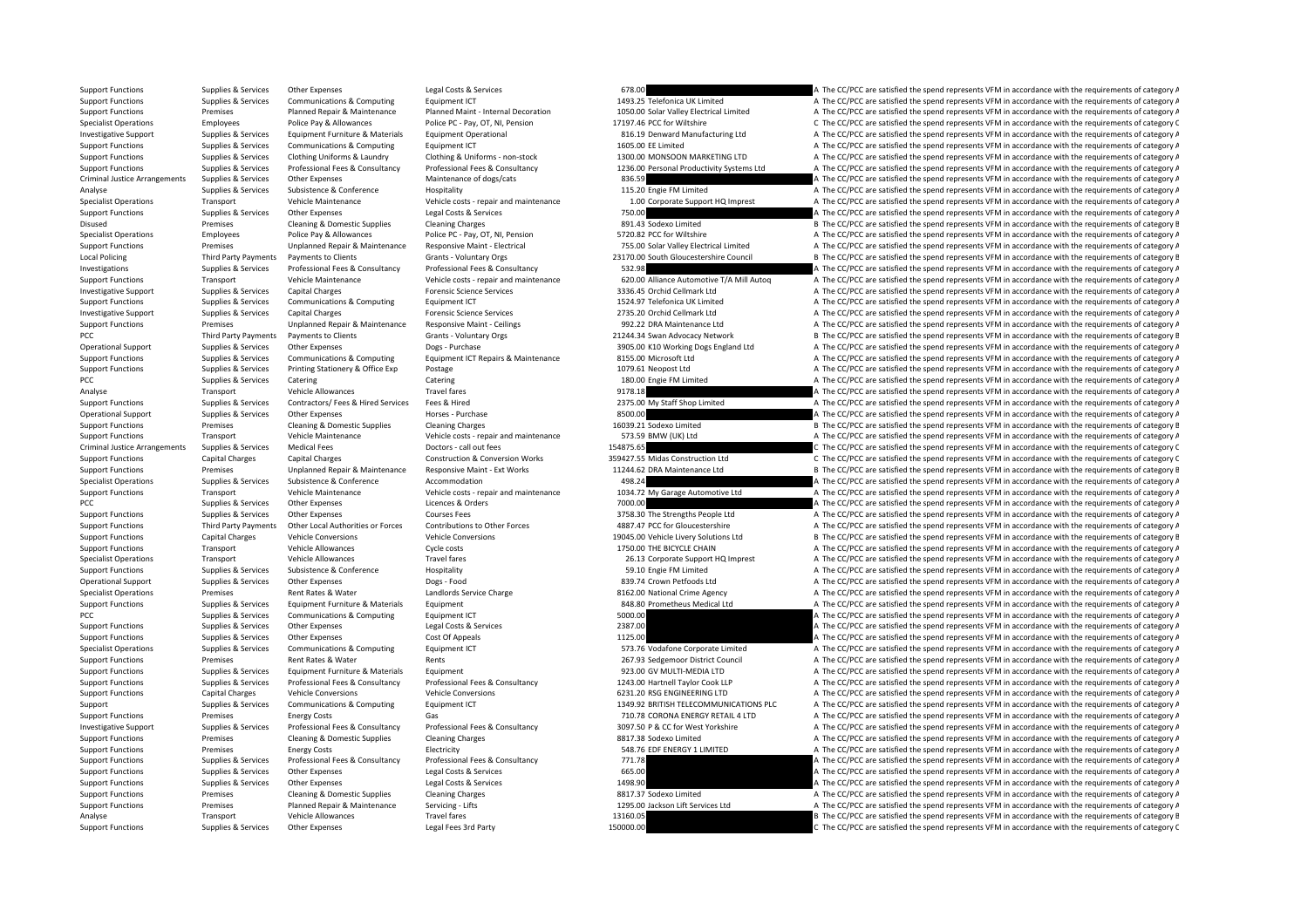Support Functions Supplies & Services Other Expenses Legal Costs & Services A The COSTS OF CONTEXTS A The COVEC are satisfied the spend represents VFM in accordance with the requirements of category A Support Functions Supplies & Services Communications & Computing Equipment ICT Equipment ICT 1493.25 Telefonica UK Limited A The CC/PCC are satisfied the spend represents VFM in accordance with the requirements of category Support Functions Premises Premises Planned Repair & Maintenance Planned Maint - Internal Decoration 1050.00 Solar Valley Electrical Limited A The CC/PCC are satisfied the spend represents VFM in accordance with the requir Specialist Operations Employees Police Pay & Allowances Police PC ‐ Pay, OT, NI, Pension 17197.46 PCC for Wiltshire C The CC/PCC are satisfied the spend represents VFM in accordance with the requirements of category C Investigative Support Supplies & Services Equipment Furniture & Materials Equipment Operational Equipment Operational and the Support of the CO/PCC are satisfied the spend represents VFM in accordance with the requirements Support Functions Supplies & Services Communications & Computing Equipment ICT 1605.00 EE Limited 1605.00 EE Limited A The CC/PCC are satisfied the spend represents VFM in accordance with the requirements of category A Supplies & Services Clothing Uniforms & Laundry Clothing & Uniforms - non-stock 1300.00 MONSOON MARKETING LTD A The CC/PCC are satisfied the spend represents VFM in accordance with the requirements of category A out of the control of the services of the Professional Fees & Consultancy Professional Fees & Consultancy Professional Fees & Consultancy Professional Fees & Consultancy Professional Fees & Consultancy Professional Fees & Criminal Justice Arrangements Supplies & Services Other Expenses Maintenance of dogs/cats Maintenance of dogs/cats 836.59 A The CC/PCC are satisfied the spend represents VFM in accordance with the requirements of category Analyse Supplies & Services Subsistence & Conference Hospitality Hospitality Hospitality 115.20 Engie FM Limited A The CC/PCC are satisfied the spend represents VFM in accordance with the requirements of category A Specialist Operations Transport Transport Wehicle Maintenance Vehicle Costs - repair and maintenance 1.00 Corporate Support HQ Imprest A The CC/PCC are satisfied the spend represents VFM in accordance with the requirements Support Functions Supplies & Services Other Expenses Legal Costs & Services Legal Costs & Services 2012 Costs & Services 750.00 A The CC/PCC are satisfied the spend represents VFM in accordance with the requirements of cat Disused Premises Cleaning & Domestic Supplies Cleaning Charges Cleaning Charges Cleaning Charges Cleaning Charges 891.43 Sodexo Limited B The CC/PCC are satisfied the spend represents VFM in accordance with the requirement Specialist Operations Police Pay and The CC/PCC are satisfied the spend represents VFM in accordance with the requirements of category A Support Functions Premises Unplanned Repair & Maintenance Responsive Maint - Electrical 2015.00 Solar Valley Electrical Limited A The CC/PCC are satisfied the spend represents VFM in accordance with the requirements of cat Local Policing Third Party Payments Payments to Clients Grants - Voluntary Orgs 23170.00 South Gloucestershire Council B The CC/PCC are satisfied the spend represents VFM in accordance with the requirements of category B I A The CC/PCC are satisfied the spend represents VFM in accordance with the requirements of category A Support Functions Transport Vehicle Maintenance Vehicle Costs - repair and maintenance 620.00 Alliance Automotive T/A Mill Autoq A The CC/PCC are satisfied the spend represents VFM in accordance with the requirements of ca Investigative Support Supplies & Services Capital Charges Forensic Science Services Forensic Science Services 3336.45 Orchid Cellmark Ltd A The CC/PCC are satisfied the spend represents VFM in accordance with the requireme Support Functions Supplies & Services Communications & Computing Equipment ICT 1524.97 Telefonica UK Limited A The CC/PCC are satisfied the spend represents VFM in accordance with the requirements of category A Investigative Support Supplies & Services Capital Charges Porensic Services Forensic Science Services Premises Porensic Science Services 2735.20 Orchid Cellmark Ltd A The CC/PCC are satisfied the spend represents VFM in ac Support Functions Premises Unplanned Repair & Maintenance Responsive Maint ‐ Ceilings 992.22 DRA Maintenance Ltd A The CC/PCC are satisfied the spend represents VFM in accordance with the requirements of category A PCC Third Party Payments Payments to Clients Grants - Voluntary Orgs 21244.34 Swan Advocacy Network B The CC/PCC are satisfied the spend represents VFM in accordance with the requirements of category B Operational Support Supplies & Services Other Expenses Dogs - Purchase Dogs - Purchase 3905.00 K10 Working Dogs England Ltd A The CC/PCC are satisfied the spend represents VFM in accordance with the requirements of categor Support Functions Supplies & Services Communications & Computing Foutbroat CT Repairs & Maintenance 8155.00 Microsoft Ltd A The CC/PCC are satisfied the spend represents VFM in accordance with the requirements of category Support Functions Supplies & Services Printing Stationery & Office Exp Postage Printing Protote and the Services Printing A The CC/PCC are satisfied the spend represents VFM in accordance with the requirements of category PCC Supplies & Services Catering Catering Catering Catering Catering Catering Catering Catering Catering Catering Catering Catering Catering 180.00 Engine FM Limited A The CC/PCC are satisfied the spend represents VFM in a Analyse Transport Vehicle Allowances Travel fares Travel fares 9178.18 A The CC/PCC are satisfied the spend represents VFM in accordance with the requirements of category A Support Functions Supplies & Services Contractors/ Fees & Hired Services Fees & Hired 2375.00 My Staff Shop Limited A The CC/PCC are satisfied the spend represents VFM in accordance with the requirements of category A Operational Support Supplies & Services Other Expenses Horses Purchase R500.00 A The CC/PCC are satisfied the spend represents VFM in accordance with the requirements of category A Support Functions Premises Cleaning & Domestic Supplies Cleaning Charges Cleaning Charges Cleaning Charges 16039.21 Sodexo Limited B The CC/PCC are satisfied the spend represents VFM in accordance with the requirements of Support Functions Transport Vehicle Maintenance Vehicle costs ‐ repair and maintenance 573.59 BMW (UK) Ltd A The CC/PCC are satisfied the spend represents VFM in accordance with the requirements of category A Criminal Justice Arrangements Supplies & Services Medical Fees Doctors ‐ call out fees 2014775.65 C The CC/PCC are satisfied the spend represents VFM in accordance with the requirements of category C Support Functions Capital Charges Capital Charges Capital Charges Capital Charges Construction & Conversion Works 359427.55 Midas Construction Ltd C The CC/PCC are satisfied the spend represents VFM in accordance with the Support Functions Premises Unplanned Repair & Maintenance Responsive Maint ‐ Ext Works 11244.62 DRA Maintenance Ltd B The CC/PCC are satisfied the spend represents VFM in accordance with the requirements of category B Specialist Operations Supplies & Services Subsistence Subsistence Accommodation Accommodation A Conference Accommodation 498.24 A The CC/PCC are satisfied the spend represents VFM in accordance with the requirements of cat Support Functions Transport Vehicle Maintenance Vehicle costs - repair and maintenance 1034.72 My Garage Automotive Ltd A The CC/PCC are satisfied the spend represents VFM in accordance with the requirements of category A PCC The CC/PCC are satisfied the spend represents VFM in accordance with the requirements of category A The CC/PCC are satisfied the spend represents VFM in accordance with the requirements of category A Support Functions Supplies & Services Other Expenses Courses Fees Courses Fees 3758.30 The Strengths People Ltd A The CC/PCC are satisfied the spend represents VFM in accordance with the requirements of category A The crit Support Functions Third Party Payments Other Local Authorities or Forces Contributions to Other Forces 4887.47 PCC for Gloucestershire A The CC/PCC are satisfied the spend represents VFM in accordance with the requirements Support Functions Capital Charges Vehicle Conversions Vehicle Conversions Vehicle Conversions 19045.00 Vehicle Livery Solutions Ltd B The CC/PCC are satisfied the spend represents VFM in accordance with the requirements of Support Functions Transport Vehicle Allowances Cycle costs Cycle costs 1750.00 THE BICYCLE CHAIN A The CC/PCC are satisfied the spend represents VFM in accordance with the requirements of category A Specialist Operations Transport Vehicle Allowances Travel fares Travel fares 26.13 Corporate Support HQ Imprest A The CC/PCC are satisfied the spend represents VFM in accordance with the requirements of category A Support Functions Supplies & Services Subsistence & Conference Hospitality Hospitality 59.10 Engie FM Limited A The CC/PCC are satisfied the spend represents VFM in accordance with the requirements of category A Operational Support Supplies & Services Other Expenses Dogs - Food Dogs - Food 839.74 Crown Petfoods Ltd A The CC/PCC are satisfied the spend represents VFM in accordance with the requirements of category A Specialist Operations Premises Rent Rates & Water Landlords Service Charge 8162.00 National Crime Agency A The CC/PCC are satisfied the spend represents VFM in accordance with the requirements of category A Support Functions Supplies & Services Equipment Furniture & Materials Equipment A The CAS Prometheus Medical Ltd A The CC/PCC are satisfied the spend represents VFM in accordance with the requirements of category A PCC PCC are satisfied the spend represents VFM in accordance with the requirements of category A The COMPUTING COMPUTING SUPPLE and represent are satisfied the spend represents VFM in accordance with the requirements of ca Support Functions Supplies & Services Other Expenses Legal Costs & Services 2387.00 2387.00 A The CC/PCC are satisfied the spend represents VFM in accordance with the requirements of category A The Cost of Appearance with Support Functions Supplies Appeals of Appeals Cost Orthorns Constance Cost Orthorns and Conservices Costs and <br>A The CC/PCC are satisfied the spend represents VFM in accordance with the requirements of category A Specialist Operations Supplies & Services Communications & Computing Equipment ICT 573.76 Vodafone Corporate Limited A The CC/PCC are satisfied the spend represents VFM in accordance with the requirements of category A Support Functions Premises Rent Rates & Water Rents Rents Rents Rents Rents Rents Rents 267.93 Sedgemoor District Council A The CC/PCC are satisfied the spend represents VFM in accordance with the requirements of category Support Functions Supplies & Services Equipment Furniture & Materials Equipment experience Equipment experience A The CC/PCC are satisfied the spend represents VFM in accordance with the requirements of category A Support Functions Supplies & Services Professional Fees & Consultancy Professional Fees & Consultancy Professional Fees & Consultancy Professional Fees & Consultancy Professional Fees & Consultancy Professional Fees & Cons Support Functions Capital Charges Vehicle Conversions Vehicle Conversions Vehicle Conversions 6231.20 RSG ENGINEERING LTD A The CC/PCC are satisfied the spend represents VFM in accordance with the requirements of category Support Support Supplies & Services Communications & Computing Equipment ICT 1349.92 BRITISH TELECOMMUNICATIONS PLC A The CC/PCC are satisfied the spend represents VFM in accordance with the requirements of category A The Support Functions Premises Energy Costs Gas Gas Gas 710.78 CORONA ENERGY RETAIL 4 LTD A The CC/PCC are satisfied the spend represents VFM in accordance with the requirements of category A Investigative Support Supplies & Services Professional Fees & Consultancy Professional Fees & Consultancy Professional Fees & Consultancy Professional Fees & Consultancy Professional Fees & Consultancy Professional Fees & Support Functions Premises Cleaning & Domestic Supplies Cleaning Charges Cleaning Charges Beam and the Supplies 8817.38 Sodexo Limited A The CC/PCC are satisfied the spend represents VFM in accordance with the requirements A The CC/PCC are satisfied the spend represents VFM in accordance with the requirements of category A Support Functions Supplies & Services Professional Fees & Consultancy Professional Fees & Consultancy Professional Fees & Consultancy Professional Fees & Consultancy Professional Fees & Consultancy Professional Fees & Cons Support Functions Supplies & Services Other Expenses Legal Costs & Services A Legal Costs & Services Costs & Services 665.00 A The CC/PCC are satisfied the spend represents VFM in accordance with the requirements of catego Support Functions Supplies A Supplies Concerning Constructions A The Corporations Concerning Concerning Concer<br>A The CC/PCC are satisfied the spend represents VFM in accordance with the requirements of category A Support Functions Premises Cleaning & Domestic Supplies Cleaning Charges Cleaning Charges 8817.37 Sodexo Limited A The CC/PCC are satisfied the spend represents VFM in accordance with the requirements of category A Support Functions Premises Planned Repair & Maintenance Servicing - Lifts 1295.00 Jackson Lift Services Ltd A The CC/PCC are satisfied the spend represents VFM in accordance with the requirements of category A Analyse Transport Vehicle Allowances Travel fares Travel fares 13160.05 B The CC/PCC are satisfied the spend represents VFM in accordance with the requirements of category E Support Functions Supplies & Services Other Expenses Legal Fees 3rd Party 150000.00 150000.00 C The CC/PCC are satisfied the spend represents VFM in accordance with the requirements of category C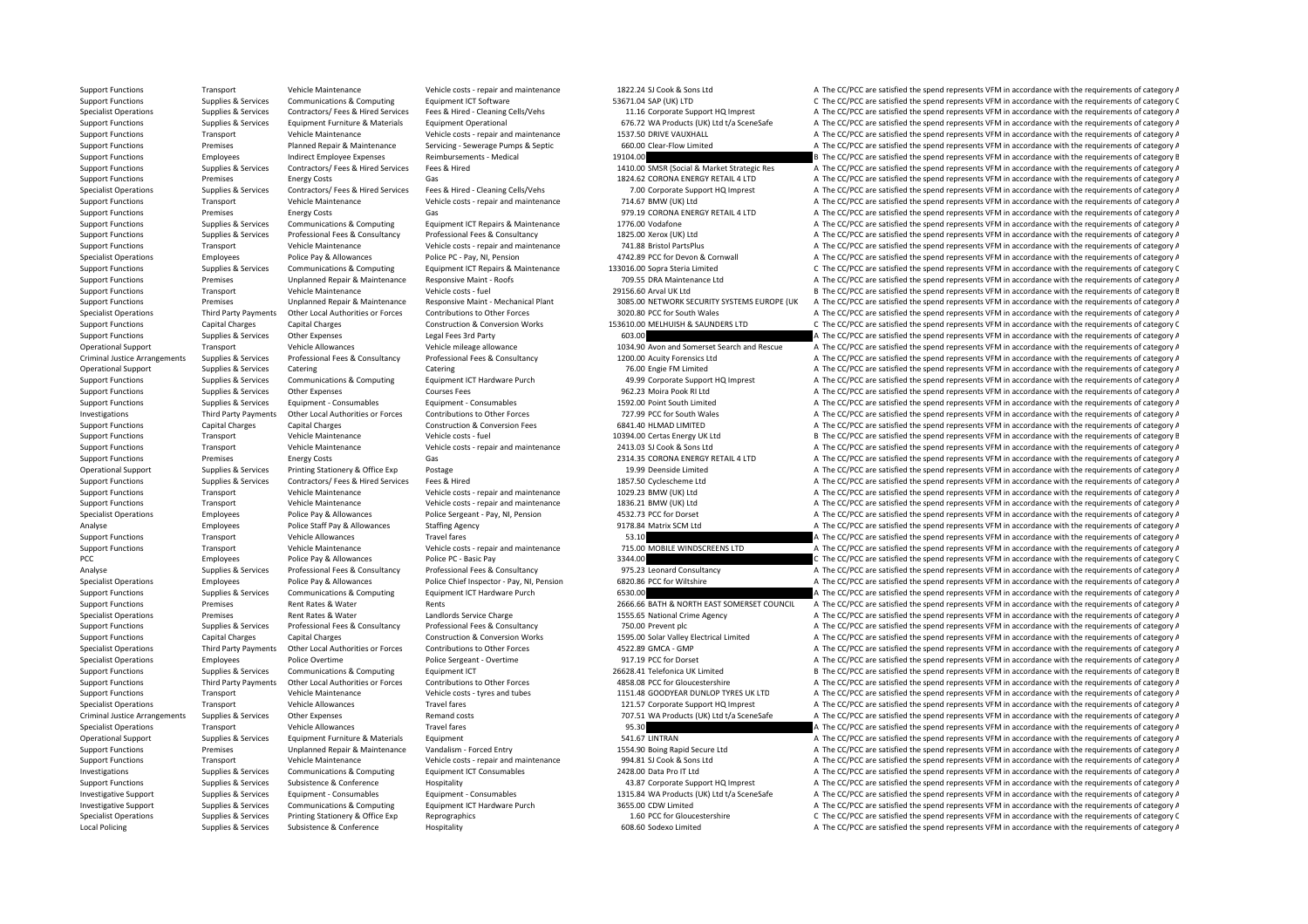Support Functions Transport Vehicle Maintenance Vehicle costs ‐ repair and maintenance 1822.24 SJ Cook & Sons Ltd A The CC/PCC are satisfied the spend represents VFM in accordance with the requirements of category A Support Functions Supplies & Services Communications & Computing Equipment ICT Software 53671.04 SAP (UK) LTD C The CC/PCC are satisfied the spend represents VFM in accordance with the requirements of category C Specialist Operations Supplies & Services Contractors/Fees & Hired Services Fees & Hired - Cleaning Cells/Vehs<br>Supplies and the compart of category A the Control of the Support HQ Instants Couponent Puritive & Materials Eq Supplies & Services Equipment Furniture & Materials Equipment Operational 676.72 WA Products (UK) Ltd t/a SceneSafe A The CC/PCC are satisfied the spend represents VFM in accordance with the requirements of category A Support Functions Transport Vehicle Maintenance Vehicle costs ‐ repair and maintenance 1537.50 DRIVE VAUXHALL A The CC/PCC are satisfied the spend represents VFM in accordance with the requirements of category A Support Functions Premises Planned Repair & Maintenance Servicing ‐ Sewerage Pumps & Septic 660.00 Clear‐Flow Limited A The CC/PCC are satisfied the spend represents VFM in accordance with the requirements of category A Support Functions Employees Indirect Employee Expenses Reimbursements - Medical 19104.00 19104.00 B The CC/PCC are satisfied the spend represents VFM in accordance with the requirements of category B Support Functions Supplies & Services Contractors/Fees & Hired Services Fees & Hired 1410.00 SMSR (Social & Market Strategic Res A The CC/PCC are satisfied the spend represents VFM in accordance with the requirements of ca Support Functions Premises Energy Costs Gas Gas 1824.62 CORONA ENERGY RETAIL 4 LTD A The CC/PCC are satisfied the spend represents VFM in accordance with the requirements of category A Supplies & Services Contractors/ Fees & Hired Services Fees & Hired - Cleaning Cells/Vehs 7.00 Corporate Support HQ Imprest A The CC/PCC are satisfied the spend represents VFM in accordance with the requirements of categor Support Functions Transport Vehicle Maintenance Vehicle costs - repair and maintenance 714.67 BMW (UK) Ltd A The CC/PCC are satisfied the spend represents VFM in accordance with the requirements of category A The CC/PC are Support Functions Premises Energy Costs Gas Gas Gas 979.19 CORONA ENERGY RETAIL 4 LTD A The CC/PCC are satisfied the spend represents VFM in accordance with the requirements of category A Support Functions Supplies & Services Communications & Computing Equipment ICT Repairs & Maintenance 1776.00 Vodafone 1977.00 Vodafone A The CC/PCC are satisfied the spend represents VFM in accordance with the requirements A The CC/PCC are satisfied the spend represents VFM in accordance with the requirements of category A Support Functions Transport Vehicle Maintenance Vehicle costs - repair and maintenance 741.88 Bristol PartsPlus A The CC/PCC are satisfied the spend represents VFM in accordance with the requirements of category A Specialist Operations Employees Police Pay & Allowances Police PC · Pay, NI, Pension 4742.89 PCC for Devon & Cornwall A The CC/PCC are satisfied the spend represents VFM in accordance with the requirements of category A Su C The CC/PCC are satisfied the spend represents VFM in accordance with the requirements of category C Support Functions Premises Unplanned Repair & Maintenance Responsive Maint ‐ Roofs 709.55 DRA Maintenance Ltd A The CC/PCC are satisfied the spend represents VFM in accordance with the requirements of category A Support Functions Transport Vehicle Maintenance Vehicle costs - fuel 29156.60 Arval UK Ltd B The CC/PCC are satisfied the spend represents VFM in accordance with the requirements of category B Support Functions Premises Unplanned Repair & Maintenance Responsive Maint - Mechanical Plant 3085.00 NETWORK SECURITY SYSTEMS EUROPE (UK A The CC/PCC are satisfied the spend represents VFM in accordance with the requireme Specialist Operations Third Party Payments Other Local Authorities or Forces Contributions to Other Forces S020.80 PCC for South Wales A The CC/PCC are satisfied the spend represents VFM in accordance with the requirements Support Functions Capital Charges Capital Charges Construction & Conversion Works 153610.00 MELHUISH & SAUNDERS LTD C. The CC/PCC are satisfied the spend represents VFM in accordance with the requirements of category C Support Functions Supplies & Services Other Expenses Legal Fees 3rd Party **A The CC/PCC are satisfied the spend represents VFM in accordance with the requirements of category A** Operational Support Transport Vehicle Allowances Vehicle mileage allowance Vehicle mileage allowance Vehicle mileage allowance 1034.90 Avon and Somerset Search and Rescue A The CC/PCC are satisfied the spend represents VFM Criminal lustice Arrangements Supplies & Services Professional Fees & Consultancy Professional Fees & Consultancy Professional Fees & Consultancy Professional Fees & Consultancy Professional Fees & Consultancy Professional Operational Support Supplies & Services Catering Catering Catering Catering Catering Catering Catering Catering Catering Catering Catering Catering The CON Engine HOLL A The CC/PCC are satisfied the spend represents VFM in Supplies & Services Communications & Computing Equipment ICT Hardware Purch 49.99 Corporate Support HQ Imprest A The CC/PCC are satisfied the spend represents VFM in accordance with the requirements of category A Support Functions Supplies & Services Other Expenses Courses Fees Courses Fees A The COLEC A The CC/PCC are satisfied the spend represents VFM in accordance with the requirements of category A Support Functions Supplies & Services Equipment - Consumables Equipment - Consumables Equipment - Consumables Equipment - Consumables A The CL/PCC are satisfied the spend represents VFM in accordance with the requirements Investigations and research of carbony and the controller of change of the controller of the controller of controller of controller controller of changes and the controller of controller the controller of catagony and the Support Functions Capital Charges Capital Charges Construction & Conversion Fees 6841.40 HLMAD LIMITED A The CC/PCC are satisfied the spend represents VFM in accordance with the requirements of category A Support Functions Transport Vehicle Maintenance Vehicle costs - fuel 10394.00 Certas Energy UK Ltd B The CC/PCC are satisfied the spend represents VFM in accordance with the requirements of category B Support Functions Transport Vehicle Maintenance Vehicle costs - repair and maintenance 2413.03 SJ Cook & Sons Ltd A The CC/PCC are satisfied the spend represents VFM in accordance with the requirements of category A Support Functions Premises Energy Costs Gas Gas CORONA ENERGY RETAIL 4 LTD A The CC/PCC are satisfied the spend represents VFM in accordance with the requirements of category A Operational Support Supplies & Services Printing Stationery & Office Exp Postage 19.99 Deenside Limited A The CC/PCC are satisfied the spend represents VFM in accordance with the requirements of category A Support Functions Supplies & Services Contractors/ Fees & Hired Fees & Hired Services Fees & Hired 1857.50 Cyclescheme Ltd A The CC/PCC are satisfied the spend represents VFM in accordance with the requirements of category Support Functions Transport Vehicle Maintenance Vehicle costs - repair and maintenance 1029.23 BMW (UK) Ltd A The CC/PCC are satisfied the spend represents VFM in accordance with the requirements of category A Support Functions Transport Vehicle Maintenance Vehicle costs - repair and maintenance 1836.21 BMW (UK) Ltd A The CC/PCC are satisfied the spend represents VFM in accordance with the requirements of category A Specialist Operations Employees Police Pay & Allowances Police Sergeant - Pay, NI, Pension 4532.73 PCC for Dorset A The CC/PCC are satisfied the spend represents VFM in accordance with the requirements of category A Thanks Analyse Employees Police Staff Pay & Allowances Staffing Agency Starting Agency 9178.84 Matrix SCM Ltd A The CC/PCC are satisfied the spend represents VFM in accordance with the requirements of category A Support Functions Transport Vehicle Allowances Travel fares Travel fares 53.10 53.10 A The CC/PCC are satisfied the spend represents VFM in accordance with the requirements of category A Support Functions Transport Vehicle Maintenance Vehicle costs - repair and maintenance 715.00 MOBILE WINDSCREENS LTD A The CC/PCC are satisfied the spend represents VFM in accordance with the requirements of category A PCC Employees Police Pay & Allowances Police PC ‐ Basic Pay 3344.00 C The CC/PCC are satisfied the spend represents VFM in accordance with the requirements of category C Analyse Supplies & Services Professional Fees & Consultancy Professional Fees & Consultancy Professional Fees & Consultancy Professional Fees & Consultancy 975.23 Leonard Consultancy A The CC/PCC are satisfied the spend re Specialist Operations Figures Employees Police Pay & Allowances Police Chief Inspector - Pay, Ni, Pension 6820.86 PCC for Wiltshire A The CC/PCC are satisfied the spend represents VFM in accordance with the requirements of Support Functions Supplies & Services Communications & Computing Equipment ICT Hardware Purch 6530.00 6530.00 A The CC/PCC are satisfied the spend represents VFM in accordance with the requirements of category A Support Functions Premises Rent Rates & Water Rents Rents Rents Rents 2666.66 BATH & NORTH EAST SOMERSET COUNCIL A The CC/PCC are satisfied the spend represents VFM in accordance with the requirements of category A Specialist Operations Premises Rent Rates & Water Landlords Service Charge 1555.65 National Crime Agency A The CC/PCC are satisfied the spend represents VFM in accordance with the requirements of category A Support Functions Supplies & Services Professional Fees & Consultancy Professional Fees & Consultancy Professional Fees & Consultancy A The CC/PCC are satisfied the spend represents VFM in accordance with the requirements Support Functions Capital Charges Capital Charges Construction & Conversion Works 1595.00 Solar Valley Electrical Limited A The CC/PCC are satisfied the spend represents VFM in accordance with the requirements of category Specialist Operations Third Party Payments Other Local Authorities or Forces Contributions to Other Forces Contributions Computer of Contences AS22.89 GMCA - GMP A The CC/PCC are satisfied the spend represents VFM in accor Specialist Operations Employees Police Overtime Police Sergeant - Overtime Police Sergeant - Overtime 917.19 PCC for Dorset A The CC/PCC are satisfied the spend represents VFM in accordance with the requirements of categor Support Functions Supplies & Services Communications & Computing Equipment ICT 26628.41 Telefonica UK Limited B The CC/PCC are satisfied the spend represents VFM in accordance with the requirements of category B Support Functions Third Party Payments Other Local Authorities or Forces Contributions to Other Forces and tubes<br>Support Functions Transport Transport Vehicle Maintenance Vehicle costs types and tubes 1151.48 GOODYFAR DUNI Support Functions Transport Vehicle Maintenance Vehicle costs - tyres and tubes 1151.48 GOODYEAR DUNLOP TYRES UK LTD A The CC/PCC are satisfied the spend represents VFM in accordance with the requirements of category A Specialist Operations Transport Vehicle Allowances Travel fares Travel fares 121.57 Corporate Support HQ Imprest A The CC/PCC are satisfied the spend represents VFM in accordance with the requirements of category A Criminal Justice Arrangements Supplies & Services Other Expenses Remand costs Remand costs 707.51 WA Products (UK) Ltd t/a SceneSafe A The CC/PCC are satisfied the spend represents VFM in accordance with the requirements o Specialist Operations Transport Vehicle Allowances Travel fares Travel fares and the spend of the CC/PCC are satisfied the spend represents VFM in accordance with the requirements of category A Operational Support Supplies & Services Equipment Furniture & Materials Equipment Equipment Equipment Support Equipment Equipment Support A The CC/PCC are satisfied the spend represents VFM in accordance with the requireme Support Functions Premises Unplanned Repair & Maintenance Vandalism - Forced Entry 1554.90 Boing Rapid Secure Ltd A The CC/PCC are satisfied the spend represents VFM in accordance with the requirements of category A Support Functions Transport Vehicle Maintenance Vehicle costs - repair and maintenance 994.81 SJ Cook & Sons Ltd A The CC/PCC are satisfied the spend represents VFM in accordance with the requirements of category A Investigations Supplies & Services Communications & Computing Equipment ICT Consumables 2428.00 Data Pro IT Ltd A The CC/PCC are satisfied the spend represents VFM in accordance with the requirements of category A The CC/P A The CC/PCC are satisfied the spend represents VFM in accordance with the requirements of category A Investigative Support Supplies & Services Equipment - Consumables Equipment - Consumables Equipment - Consumables Equipment - Consumables Equipment - Consumables A The CC/PCC are satisfied the spend represents VFM in accor Investigative Support Supplies & Services Communications & Computing Equipment ICT Hardware Purch 3655.00 CDW Limited A The CC/PCC are satisfied the spend represents VFM in accordance with the requirements of category A Specialist Operations Supplies & Services Printing Stationery & Office Exp Reprographics Reprographics 1.60 PCC for Gloucestershire C The CC/PCC are satisfied the spend represents VFM in accordance with the requirements of Local Policing Supplies & Services Subsistence & Conference Hospitality Hospitality 608.60 Sodexo Limited A The CC/PCC are satisfied the spend represents VFM in accordance with the requirements of category A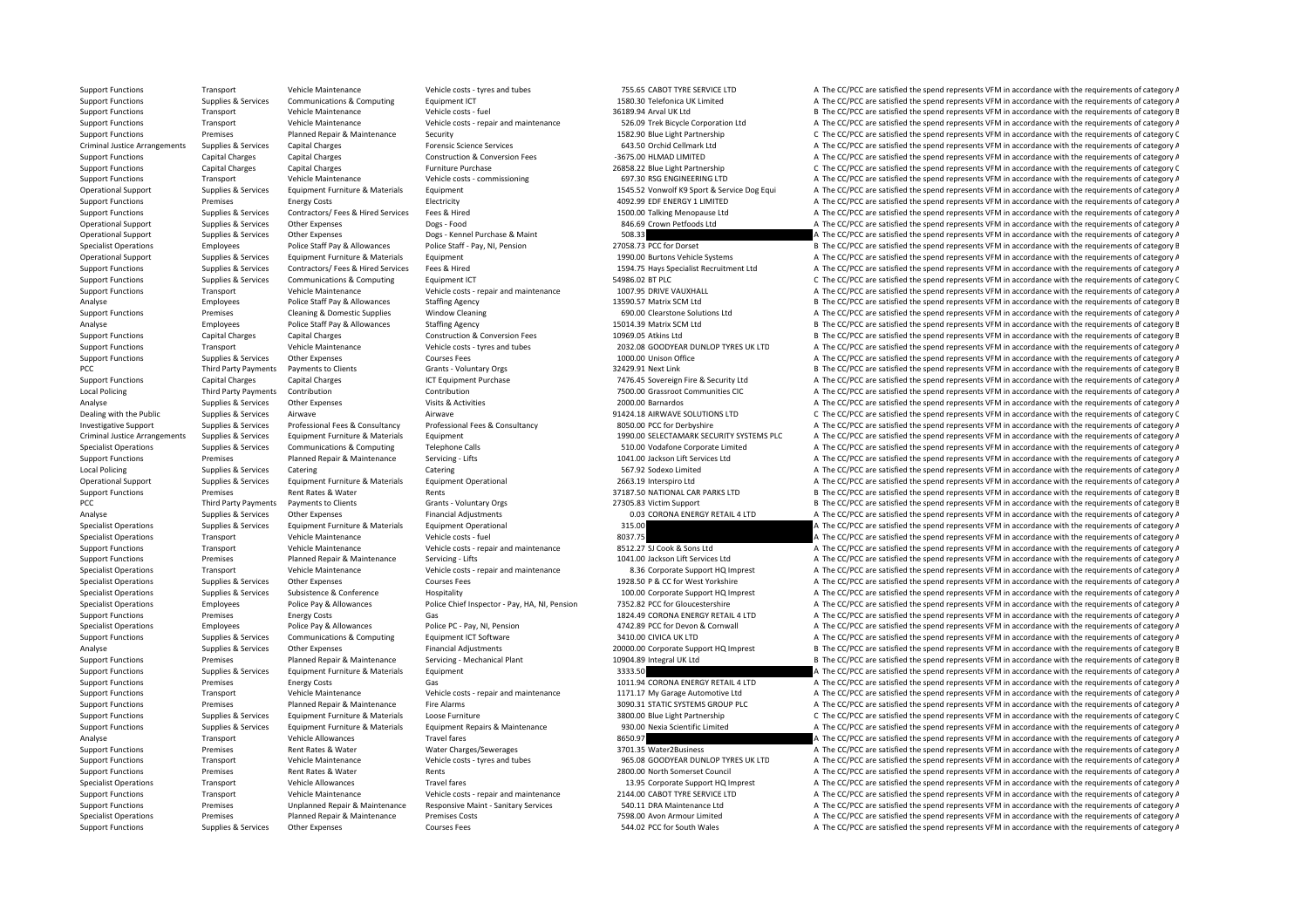Support Functions Transport Vehicle Maintenance Vehicle costs ‐ tyres and tubes 755.65 CABOT TYRE SERVICE LTD A The CC/PCC are satisfied the spend represents VFM in accordance with the requirements of category A Support Functions Supplies & Services Communications & Computing Equipment ICT 1580.30 Telefonica UK Limited A The CC/PCC are satisfied the spend represents VFM in accordance with the requirements of category A Support Functions Transport Vehicle Maintenance Vehicle costs - fuel vehicle costs - fuel 36189.94 Arval UK Ltd B The CC/PCC are satisfied the spend represents VFM in accordance with the requirements of category B The CC/P Support Functions Transport Vehicle Maintenance Vehicle costs ‐ repair and maintenance 526.09 Trek Bicycle Corporation Ltd A The CC/PCC are satisfied the spend represents VFM in accordance with the requirements of category Support Functions Premises Planned Repair & Maintenance Security 1582.90 Blue Light Partnership C The CC/PCC are satisfied the spend represents VFM in accordance with the requirements of category C Criminal Justice Arrangements Supplies & Services Capital Charges Forensic Science Services 643.50 Orchid Cellmark Ltd A The CC/PCC are satisfied the spend represents VFM in accordance with the requirements of category A Support Functions Capital Charges Capital Charges Capital Charges Construction & Conversion Fees -3675.00 HLMAD LIMITED A The CC/PCC are satisfied the spend represents VFM in accordance with the requirements of category A Support Functions Capital Charges Capital Charges Capital Charges Capital Charges Capital Charges Capital Charges Functions Functions of category C The CC/PCC are satisfied the spend represents VFM in accordance with the r Support Functions Transport Vehicle Maintenance Vehicle costs ‐ commissioning 697.30 RSG ENGINEERING LTD A The CC/PCC are satisfied the spend represents VFM in accordance with the requirements of category A Operational Supplies & Services Equipment Furniture & Materials Equipment Equipment Equipment Equipment Equipment Equipment Equipment and the C19CC are Satisfied the spend represents VFM in accordance with the requirements Support Functions Premises Premises Energy Costs Electricity Electricity Electricity Electricity and the Support Electricity and the Support Functions of category A The CC/PCC are satisfied the spend represents VFM in acco Support Functions Supplies & Services Contractors/ Fees & Hired Services Fees & Hired 1500.00 Talking Menopause Ltd A The CC/PCC are satisfied the spend represents VFM in accordance with the requirements of category A Operational Support Supplies & Services Other Expenses 2016 Dogs - Food Dogs Food Bucks Dogs and Bucks and the COLOG Crown Petfoods Ltd A The CC/PCC are satisfied the spend represents VFM in accordance with the requirement A The CC/PCC are satisfied the spend represents VFM in accordance with the requirements of category A Specialist Operations Employees Police Staff Pay & Allowances Police Staff - Pay, NI, Pension 27058.73 PCC for Dorset B The CC/PCC are satisfied the spend represents VFM in accordance with the requirements of category B Operational Support Supplies & Services Equipment Furniture & Materials Equipment Equipment 1990.00 Burtons Vehicle Systems A The CC/PCC are satisfied the spend represents VFM in accordance with the requirements of categor A The CC/PCC are satisfied the spend represents VFM in accordance with the requirements of category A Support Functions Supplies & Services Communications & Computing Equipment ICT 54986.02 BT PLC SASS COMPUTING THE CC/PCC are satisfied the spend represents VFM in accordance with the requirements of category C Support Functions Transport Vehicle Maintenance Vehicle costs - repair and maintenance 1007.95 DRIVE VAUXHALL A The CC/PCC are satisfied the spend represents VFM in accordance with the requirements of category A Analyse Employees Police Staff Pay & Allowances Staffing Agency 13590.57 Matrix SCM Ltd B The CC/PCC are satisfied the spend represents VFM in accordance with the requirements of category E Support Functions Premises Cleaning & Domestic Supplies Window Cleaning Window Cleaning examples and the SO.00 Clearstone Solutions Ltd A The CC/PCC are satisfied the spend represents VFM in accordance with the requirement Analyse Employees Police Staff Pay & Allowances Staffing Agency 15014.39 Matrix SCM Ltd B The CC/PCC are satisfied the spend represents VFM in accordance with the requirements of category B Support Functions Capital Charges Capital Charges Capital Charges Construction & Conversion Fees 10969.05 Atkins Ltd B The CC/PCC are satisfied the spend represents VFM in accordance with the requirements of category B Support Functions Transport Vehicle Maintenance Vehicle costs - tyres and tubes 2032.08 GOODYEAR DUNLOP TYRES UK LTD A The CC/PCC are satisfied the spend represents VFM in accordance with the requirements of category A Support Functions Supplies & Services Other Expenses Courses Fees 1000.00 Unison Office A The CC/PCC are satisfied the spend represents VFM in accordance with the requirements of category A PCC Third Party Payments Payments to Clients Grants - Voluntary Orgs 32429.91 Next Link B The CC/PCC are satisfied the spend represents VFM in accordance with the requirements of category B The CC/PCC are satisfied the spe Capital Charges Capital Charges Capital Charges ICT Equipment Purchase 7476.45 Sovereign Fire & Security Ltd A The CC/PCC are satisfied the spend represents VFM in accordance with the requirements of category A Local Policing Third Party Payments Contribution Contribution Contribution Contribution Contribution Contribution Contribution and Contribution 7500.00 Grassroot Communities CIC A The CC/PCC are satisfied the spend represe Analyse Supplies & Services Other Expenses Visits & Activities Visits Activities 2000.00 Barnardos A The CC/PCC are satisfied the spend represents VFM in accordance with the requirements of category A Dealing with the Public Supplies & Services Airwave Airwave Airwave Airwave Airwave Airwave Airwave Airwave Airwave Airwave Airwave 91424.18 AIRWAVE SOLUTIONS LTD C The CC/PCC are satisfied the spend represents VFM in acco Investigative Support Supplies & Services Professional Fees & Consultancy Professional Fees & Consultancy Professional Fees & Consultancy Professional Fees & Consultancy and a substance of criminal and a The CC/PCC are sat Criminal Justice Arrangements Supplies & Services Equipment Furniture & Materials Equipment expansive Equipment expansive expansive and the SUPAC A The CC/PCC are satisfied the spend represents VFM in accordance with the r Specialist Operations Supplies & Services Communications & Computing Telephone Calls Telephone Calls 510.00 Vodafone Corporate Limited A The CC/PCC are satisfied the spend represents VFM in accordance with the requirements Support Functions Premises Planned Repair & Maintenance Servicing - Lifts 1041.00 Jackson Lift Services Ltd A The CC/PCC are satisfied the spend represents VFM in accordance with the requirements of category A Local Policing Supplies & Services Catering Catering Catering Catering States and States and States and Development and the CC/PCC are satisfied the spend represents VFM in accordance with the requirements of category A Operational Support Supplies & Services Equipment Furniture & Materials Equipment Operational exacts Equipment Operational 2663.19 Interspiro Ltd A The CC/PCC are satisfied the spend represents VFM in accordance with the r Support Functions Premises Rent Rates & Water Rents Rents Rents Rents and STIB7.50 NATIONAL CAR PARKS LTD B The CC/PCC are satisfied the spend represents VFM in accordance with the requirements of category E PCC Third Party Payments **Payments to Clients** Grants - Voluntary Orgs 27305.83 Victim Support B The CC/PCC are satisfied the spend represents VFM in accordance with the requirements of category B Analyse Supplies & Services Other Expenses Financial Adjustments Financial Adjustments 0.03 CORONA ENERGY RETAIL 4 LTD A The CC/PCC are satisfied the spend represents VFM in accordance with the requirements of category A S Specialist Operations Supplies & Services Foundment Furniture & Materials Foundment Operational 315.00 315.00 A The CC/PCC are satisfied the spend represents VFM in accordance with the requirements of category A Specialist Operations Transport Vehicle Maintenance Vehicle costs ‐ fuel 8037.75 A The CC/PCC are satisfied the spend represents VFM in accordance with the requirements of category A Support Functions Transport Vehicle Maintenance Vehicle costs ‐ repair and maintenance 8512.27 SJ Cook & Sons Ltd A The CC/PCC are satisfied the spend represents VFM in accordance with the requirements of category A Support Functions Premises Planned Repair & Maintenance Servicing - Lifts 1041.00 Jackson Lift Services Ltd A The CC/PCC are satisfied the spend represents VFM in accordance with the requirements of category A Specialist Operations Transport Transport Wehicle Maintenance Vehicle costs - repair and maintenance S.36 Corporate Support HO Imprest A The CC/PCC are satisfied the spend represents VFM in accordance with the requirements Specialist Operations Supplies & Services Other Expenses Courses Fees Courses Fees 1928.50 P & CC for West Yorkshire A The CC/PCC are satisfied the spend represents VFM in accordance with the requirements of category A Specialist Operations Supplies & Services Subsistence & Conference Hospitality Hospitality 100.00 Corporate Support HQ Imprest A The CC/PCC are satisfied the spend represents VFM in accordance with the requirements of cate Specialist Operations Figures Employees Police Pay & Allowances Police Chief Inspector - Pay, HA, NI, Pension 7352.82 PCC for Gloucestershire A The CC/PCC are satisfied the spend represents VFM in accordance with the requi Support Functions Premises Energy Costs Gas Gas 1824.49 CORONA ENERGY RETAIL 4 LTD A The CC/PCC are satisfied the spend represents VFM in accordance with the requirements of category A Specialist Operations Employees Police Pay & Allowances Police PC · Pay, NI, Pension 4742.89 PCC for Devon & Cornwall A The CC/PCC are satisfied the spend represents VFM in accordance with the requirements of category A Th A The CC/PCC are satisfied the spend represents VFM in accordance with the requirements of category A Analyse Supplies & Services Other Expenses Financial Adjustments Financial Adjustments 20000.00 Corporate Support HQ Imprest B The CC/PCC are satisfied the spend represents VFM in accordance with the requirements of catego Support Functions Premises Planned Repair & Maintenance Servicing • Mechanical Plant 10904.89 Integral UK Ltd B The CC/PCC are satisfied the spend represents VFM in accordance with the requirements of category B Support Functions Supplies & Services Equipment Furniture & Materials Equipment 3333.50 3333.50 A The CC/PCC are satisfied the spend represents VFM in accordance with the requirements of category A Support Functions Premises Energy Costs Gas Gas 1011.94 CORONA ENERGY RETAIL 4 LTD A The CC/PCC are satisfied the spend represents VFM in accordance with the requirements of category A Support Functions Transport Vehicle Maintenance Vehicle costs - repair and maintenance 1171.17 My Garage Automotive Ltd A The CC/PCC are satisfied the spend represents VFM in accordance with the requirements of category A Support Functions Premises Planned Repair & Maintenance Fire Alarms and a support and the SC/PCC are satisfied the spend represents VFM in accordance with the requirements of category A Support Functions Supplies & Services Equipment Furniture & Materials Loose Furniture 2000 Blue Light Partnership 3800.00 Blue Light Partnership C The CC/PCC are satisfied the spend represents VFM in accordance with the re Supplies & Services Equipment Furniture & Materials Foundment Repairs & Maintenance 930.00 Nexia Scientific Limited A The CC/PCC are satisfied the spend represents VFM in accordance with the requirements of category A Analyse Transport Menicle Allowances Travel fares Travel fares and the Section of CONCLARES A The CC/PCC are satisfied the spend represents VFM in accordance with the requirements of category A Support Functions Premises R A The CC/PCC are satisfied the spend represents VFM in accordance with the requirements of category A Support Functions Transport Vehicle Maintenance Vehicle costs - tyres and tubes 965.08 GOODYEAR DUNLOP TYRES UK LTD A The CC/PCC are satisfied the spend represents VFM in accordance with the requirements of category A Support Functions Premises Premises Rent Rates & Water Rents Rents Rents Rents Rents Rents Rents 2800.00 North Somerset Council A The CC/PCC are satisfied the spend represents VFM in accordance with the requirements of cat A The CC/PCC are satisfied the spend represents VFM in accordance with the requirements of category A Support Functions Transport Vehicle Maintenance Vehicle costs - repair and maintenance 2144.00 CABOT TYRE SERVICE LTD A The CC/PCC are satisfied the spend represents VFM in accordance with the requirements of category A Support Functions Premises Unplanned Repair & Maintenance Responsive Maint - Sanitary Services 540.11 DRA Maintenance Ltd A The CC/PCC are satisfied the spend represents VFM in accordance with the requirements of category Specialist Operations Premises Planned Repair & Maintenance Premises Costs 7598.00 Avon Armour Limited A The CC/PCC are satisfied the spend represents VFM in accordance with the requirements of category A Support Functions Supplies & Services Other Expenses Courses Fees Courses Fees 544.02 PCC for South Wales A The CC/PCC are satisfied the spend represents VFM in accordance with the requirements of category A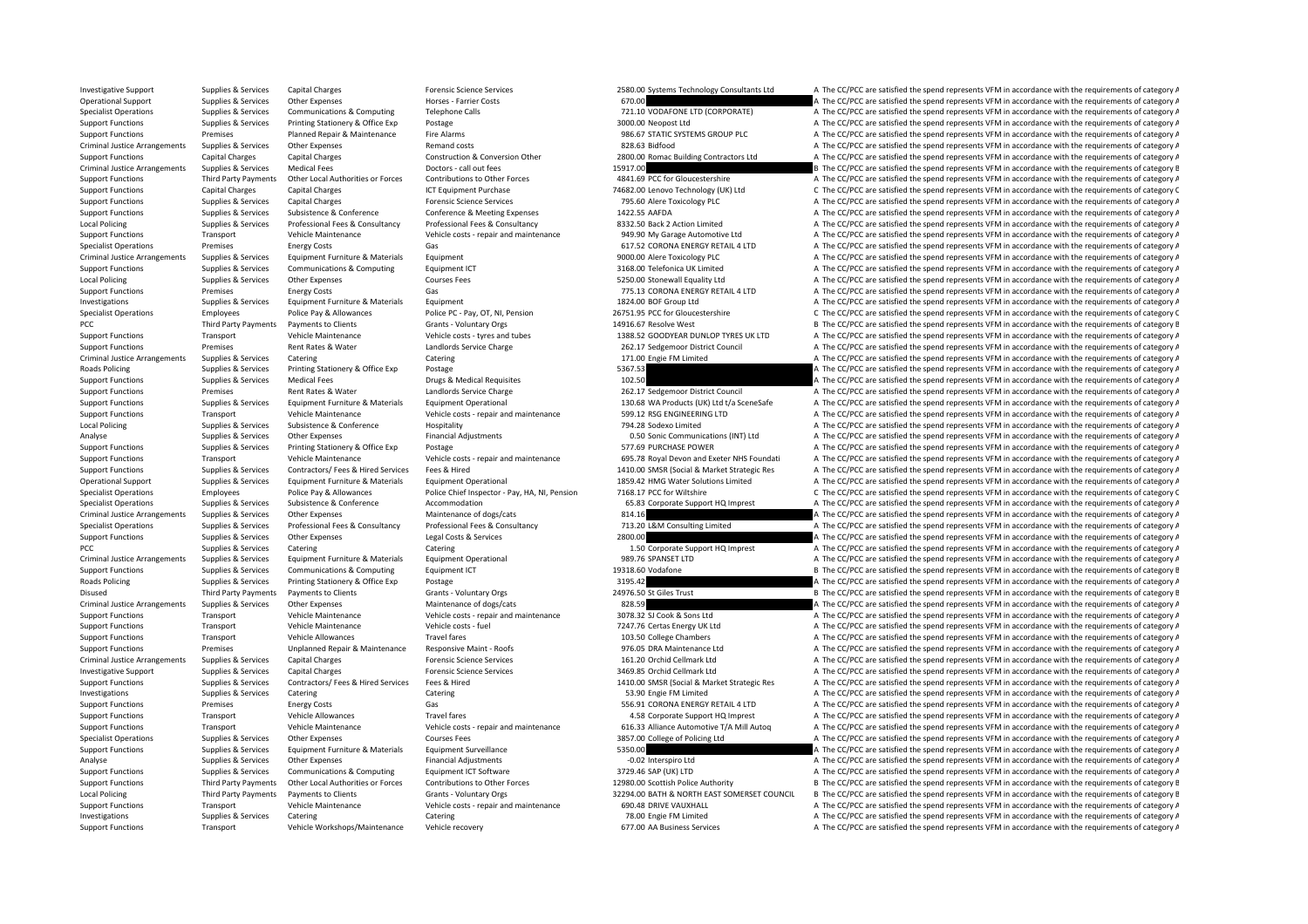Investigative Supplies & Services Capital Charges Forensic Science Services (Services Provides & Services Provides & Services Provides Capital Charges Provides Capital Charges Provides Capital Charges Provides Services Pro Operational Support Supplies & Services Other Expenses Horses - Farrier Costs Horses - Farrier Costs 670.00 A The CC/PCC are satisfied the spend represents VFM in accordance with the requirements of category A The Costs 67 Specialist Operations Supplies & Services Communications & Computing Telephone Calls 721.10 VODAFONE LTD (CORPORATE) A The CC/PCC are satisfied the spend represents VFM in accordance with the requirements of category A Sup Support Functions Supplies & Services Printing Stationery & Office Exp Postage 2000.00 Neopost Ltd A The CC/PCC are satisfied the spend represents VFM in accordance with the requirements of category A Support Functions Premises Planned Repair & Maintenance Fire Alarms 986.67 STATIC SYSTEMS GROUP PLC A The CC/PCC are satisfied the spend represents VFM in accordance with the requirements of category A Criminal Justice Arrangements Supplies & Services Other Expenses Remand costs Remand costs 828.63 Bidfood A The CC/PCC are satisfied the spend represents VFM in accordance with the requirements of category A Support Functions Capital Charges Capital Charges Construction & Conversion Other 2800.00 Romac Building Contractors Ltd A The CC/PCC are satisfied the spend represents VFM in accordance with the requirements of category A Criminal Justice Arrangements Supplies & Services Medical Fees Doctors - call out fees Doctors – call out fees<br>
Support Ference and The CC/PCC are satisfied the spend represents VFM in accordance with the requirements of c Third Party Payments Other Local Authorities or Forces Contributions to Other Forces 4841.69 PCC for Gloucestershire A The CC/PCC are satisfied the spend represents VFM in accordance with the requirements of category A Support Functions Capital Charges Capital Charges Capital Charges ICT Equipment Purchase 795.60 Lenovo Technology (UK) Ltd C The CC/PCC are satisfied the spend represents VFM in accordance with the requirements of category Support Functions Supplies & Services Capital Charges Forensic Science Services Forensic Science Services 795.60 Alere Toxicology PLC A The CC/PCC are satisfied the spend represents VFM in accordance with the requirements Support Functions Supplies & Services Subsistence & Conference Conference & Meeting Expenses 1422.55 AAFDA A The CC/PCC are satisfied the spend represents VFM in accordance with the requirements of category A Local Policing Supplies & Services Professional Fees & Consultancy Professional Fees & Consultancy Professional Fees & Consultancy Professional Fees & Consultance and a anitenance and the Supplies and the CONCC are satisfi Support Functions Transport Transport Maintenance (Vehicle Maintenance 2014). A The CC/PCC are satisfied the spend represents VFM in accordance with the requirements of category A Specialist Operations Premises Energy Costs Gas Gas Gas 617.52 CORONA ENERGY RETAIL 4 LTD A The CC/PCC are satisfied the spend represents VFM in accordance with the requirements of category A Criminal Justice Arrangements Supplies & Services Equipment Furniture & Materials Equipment 9000.00 Alere Toxicology PLC A The CC/PCC are satisfied the spend represents VFM in accordance with the requirements of category A A The CC/PCC are satisfied the spend represents VFM in accordance with the requirements of category A Local Policing Supplies & Services Other Expenses Courses Fees Courses Fees S250.00 Stonewall Equality Ltd A The CC/PCC are satisfied the spend represents VFM in accordance with the requirements of category A Support Functions Premises Premises Energy Costs Gas Gas Gas The CONNA ENERGY RETAIL 4 LTD A The CC/PCC are satisfied the spend represents VFM in accordance with the requirements of category A Investigations Supplies & Ser Investigations Supplies & Services Equipment Furniture & Materials Equipment 1824.00 BOF Group Ltd A The CC/PCC are satisfied the spend represents VFM in accordance with the requirements of category A Specialist Operations Employees Police Pay & Allowances Police PC · Pay, OT, NI, Pension 26751.95 PCC for Gloucestershire C The CC/PCC are satisfied the spend represents VFM in accordance with the requirements of category PCC Third Party Payments Payments to Clients Grants - Voluntary Orgs 14916.67 Resolve West B The CC/PCC are satisfied the spend represents VFM in accordance with the requirements of category B Vehicle Maintenance Vehicle C Support Functions Transport Vehicle Maintenance Vehicle costs - tyres and tubes 1388.52 GOODYEAR DUNLOP TYRES UK LTD A The CC/PCC are satisfied the spend represents VFM in accordance with the requirements of category A Support Functions Premises Rent Rates & Water Landlords Service Charge 262.17 Sedgemoor District Council A The CC/PCC are satisfied the spend represents VFM in accordance with the requirements of category A Criminal Justice Arrangements Supplies & Services Catering Catering Catering Catering Catering Catering Catering Catering Catering Catering Catering Catering Category A The CC/PCC are satisfied the spend represents VFM in Roads Policing Supplies & Services Printing Stationery & Office Exp Postage 5367.53 A The CC/PCC are satisfied the spend represents VFM in accordance with the requirements of category A The Criteria experiments of category Support Functions Supplies & Services Medical Fees Drugs Medical Requisites 102.50 A The CC/PCC are satisfied the spend represents VFM in accordance with the requirements of category A Support Functions Premises Rent Rates & Water Landlords Service Charge 262.17 Sedgemoor District Council A The CC/PCC are satisfied the spend represents VFM in accordance with the requirements of category A Supplies & Services Equipment Furniture & Materials Equipment Operational Equipment Operational 130.68 WA Products (UK) Ltd t/a SceneSafe A The CC/PCC are satisfied the spend represents VFM in accordance with the requireme Support Functions Transport Vehicle Maintenance Vehicle costs ‐ repair and maintenance 599.12 RSG ENGINEERING LTD A The CC/PCC are satisfied the spend represents VFM in accordance with the requirements of category A Local Policing Supplies & Services Subsistence Subsistence A Conference Hospitality Hospitality 794.28 Sodexo Limited A The CC/PCC are satisfied the spend represents VFM in accordance with the requirements of category A Th Analyse Supplies & Services Other Expenses Financial Adjustments Financial Adjustments 0.50 Sonic Communications (INT) Ltd A The CC/PCC are satisfied the spend represents VFM in accordance with the requirements of category Support Functions Supplies & Services Printing Stationery & Office Exp Postage 577.69 PURCHASE POWER A The CC/PCC are satisfied the spend represents VFM in accordance with the requirements of category A Support Functions Transport Vehicle Maintenance Vehicle Costs - repair and maintenance 695.78 Royal Devon and Exeter NHS Foundati A The CC/PCC are satisfied the spend represents VFM in accordance with the requirements of c Suppliers & Services Contractors/Fees & Hired Services Fees & Hired Services Fees & Hired Services Fees & Hired Services Fees & Hired Services Fees & Hired Services Fees & Hired 1410.00 SMSR (Social & Market Strategic Res Operational Support Supplies & Services Equipment Furniture & Materials Equipment Operational Equipment Operational and the Support of the COVIC are satisfied the spend represents VFM in accordance with the requirements of Specialist Operations Figures Employees Police Pay & Allowances Police Chief Inspector - Pay, HA, NI, Pension 7168.17 PCC for Wiltshire C The CC/PCC are satisfied the spend represents VFM in accordance with the requirement Specialist Operations Supplies & Services Subsistence Subsistence Accommodation Accommodation 65.83 Corporate Support HQ Imprest A The CC/PCC are satisfied the spend represents VFM in accordance with the requirements of ca Criminal Justice Arrangements Supplies & Services Other Expenses Maintenance of dogs/cats Maintenance of dogs/cats 814.16 A The CC/PCC are satisfied the spend represents VFM in accordance with the requirements of category Supplies & Services Professional Fees & Consultancy Professional Fees & Consultancy Professional Fees & Consultancy Professional Fees & Consultancy Professional Fees & Consultancy Professional Fees & Consultancy Profession Support Functions Supplies & Services Other Expenses Legal Costs & Services 2800.00 2000.00 A The CC/PCC are satisfied the spend represents VFM in accordance with the requirements of category A PCC Supplies & Services Catering Catering Catering Catering Catering Catering Catering Catering Catering Catering Catering Catering Catering Catering Catering Catering Catering Catering Catering Catering Catering Catering Criminal Justice Arrangements Supplies & Services Equipment Furniture & Materials Equipment Operational expendies and the Service of category A The CC/PCC are satisfied the spend represents VFM in accordance with the requi Support Functions Supplies & Services Communications & Computing Equipment ICT 19318.60 Vodafone 19318.60 Vodafone B The CC/PCC are satisfied the spend represents VFM in accordance with the requirements of category B Roads Policing Supplies & Services Printing Stationery & Office Exp Postage Printing Stationery & Office Exp Postage 2013 A The CC/PCC are satisfied the spend represents VFM in accordance with the requirements of category Disused Third Party Payments Payments to Clients Grants - Voluntary Orgs 24976.50 St Giles Trust B The CC/PCC are satisfied the spend represents VFM in accordance with the requirements of category B Criminal Justice Arrangements Supplies & Services Other Expenses Maintenance of dogs/cats Maintenance of dogs/cats 828.59 A The CC/PCC are satisfied the spend represents VFM in accordance with the requirements of category Support Functions Transport Vehicle Maintenance Vehicle costs - repair and maintenance 3078.32 SJ Cook & Sons Ltd A The CC/PCC are satisfied the spend represents VFM in accordance with the requirements of category A The Co Support Functions Transport Vehicle Maintenance Vehicle costs - fuel 1992 vehicle costs - fuel 7247.76 Certas Energy UK Ltd A The CC/PCC are satisfied the spend represents VFM in accordance with the requirements of categor Support Functions Transport Vehicle Allowances Travel fares Travel fares 103.50 College Chambers A The CC/PCC are satisfied the spend represents VFM in accordance with the requirements of category A Support Functions Premises Unplanned Repair & Maintenance Responsive Maint ‐ Roofs 976.05 DRA Maintenance Ltd A The CC/PCC are satisfied the spend represents VFM in accordance with the requirements of category A Criminal Justice Arrangements Supplies & Services Capital Charges Forensic Science Services Forensic Science Services 161.20 Orchid Cellmark Ltd A The CC/PCC are satisfied the spend represents VFM in accordance with the re Investigative Support Supplies & Services Capital Charges Forensic Science Services Forensic Science Services 3469.85 Orchid Cellmark Ltd A The CC/PCC are satisfied the spend represents VFM in accordance with the requireme Supplies & Services Contractors/Fees & Hired Services Fees & Hired The Services Fees & Hired The Services Fees & Hired The Services Fees & Hired The Services Fees & Hired The Services Fees & Hired The Magnetic Magnetic Ana Investigations Supplies & Services Catering Catering Catering Catering Catering Catering Catering Catering Catering Catering Catering Catering SA The CC/PCC are satisfied the spend represents VFM in accordance with the req Support Functions Premises Energy Costs Gas Gas Gas Stategory A The CC/PCC are satisfied the spend represents VFM in accordance with the requirements of category A Support Functions Transport Vehicle Allowances Travel fares Travel fares and the support HQ Imprest A The CC/PCC are satisfied the spend represents VFM in accordance with the requirements of category A Support Functions Transport Vehicle Maintenance Vehicle Vehicle Costs - repair and maintenance 616.33 Alliance 4utomotive T/A Mill Autog A The CC/PCC are satisfied the spend represents VFM in accordance with the requiremen Specialist Operations Supplies & Services Other Expenses Courses Fees Courses Fees 3857.00 College of Policing Ltd A The CC/PCC are satisfied the spend represents VFM in accordance with the requirements of category A The C A The CC/PCC are satisfied the spend represents VFM in accordance with the requirements of category A Analyse Supplies & Services Other Expenses Financial Adjustments Financial Adjustments **Financial Adjustments** -0.02 Interspiro Ltd A The CC/PCC are satisfied the spend represents VFM in accordance with the requirements of Support Functions Supplies & Services Communications & Computing Equipment ICT Software and a state and a state and a state of the CC/PCC are satisfied the spend represents VFM in accordance with the requirements of catego B The CC/PCC are satisfied the spend represents VFM in accordance with the requirements of category E Local Policing Third Party Payments Payments to Clients Grants - Voluntary Orgs 32294.00 BATH & NORTH EAST SOMERSET COUNCIL B The CC/PCC are satisfied the spend represents VFM in accordance with the requirements of categor Support Functions Transport Vehicle Maintenance Vehicle costs - repair and maintenance 690.48 DRIVE VAUXHALL A The CC/PCC are satisfied the spend represents VFM in accordance with the requirements of category A Investigations Supplies & Services Catering Catering Catering Catering Catering Catering Catering Catering Catering Catering Catering Catering Table 1990 Page FM Limited A The CC/PCC are satisfied the spend represents VFM Support Functions Transport Vehicle Workshops/Maintenance Vehicle recovery 677.00 AA Business Services A The CC/PCC are satisfied the spend represents VFM in accordance with the requirements of category A